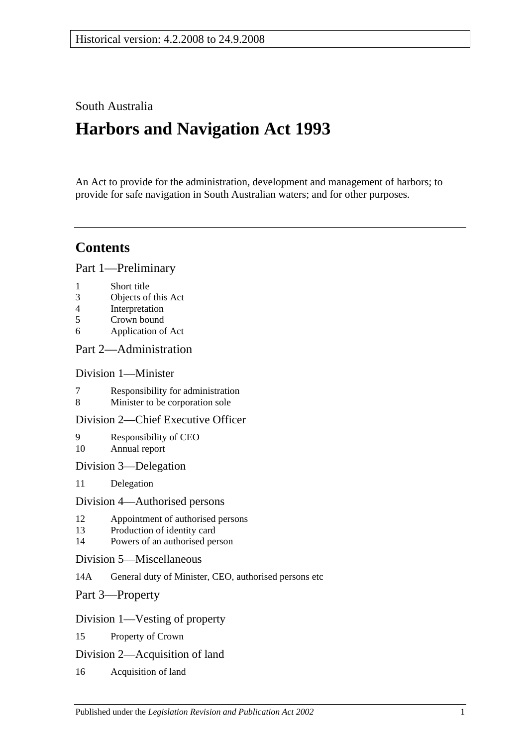# South Australia

# **Harbors and Navigation Act 1993**

An Act to provide for the administration, development and management of harbors; to provide for safe navigation in South Australian waters; and for other purposes.

# **Contents**

[Part 1—Preliminary](#page-6-0)

- 1 [Short title](#page-6-1)
- 3 [Objects of this Act](#page-6-2)
- 4 [Interpretation](#page-6-3)
- 5 [Crown bound](#page-9-0)
- 6 [Application of Act](#page-9-1)

## [Part 2—Administration](#page-10-0)

## [Division 1—Minister](#page-10-1)

- 7 [Responsibility for administration](#page-10-2)<br>8 Minister to be corporation sole
- [Minister to be corporation sole](#page-10-3)

## [Division 2—Chief Executive Officer](#page-10-4)

- 9 [Responsibility of CEO](#page-10-5) 10 [Annual report](#page-10-6)
- [Division 3—Delegation](#page-10-7)
- 11 [Delegation](#page-10-8)

#### [Division 4—Authorised persons](#page-10-9)

- 12 [Appointment of authorised persons](#page-10-10)
- 13 [Production of identity card](#page-11-0)
- 14 [Powers of an authorised person](#page-11-1)
- [Division 5—Miscellaneous](#page-13-0)
- 14A [General duty of Minister, CEO, authorised persons etc](#page-13-1)
- [Part 3—Property](#page-14-0)

## [Division 1—Vesting of property](#page-14-1)

- 15 [Property of Crown](#page-14-2)
- [Division 2—Acquisition of land](#page-14-3)
- 16 [Acquisition of land](#page-14-4)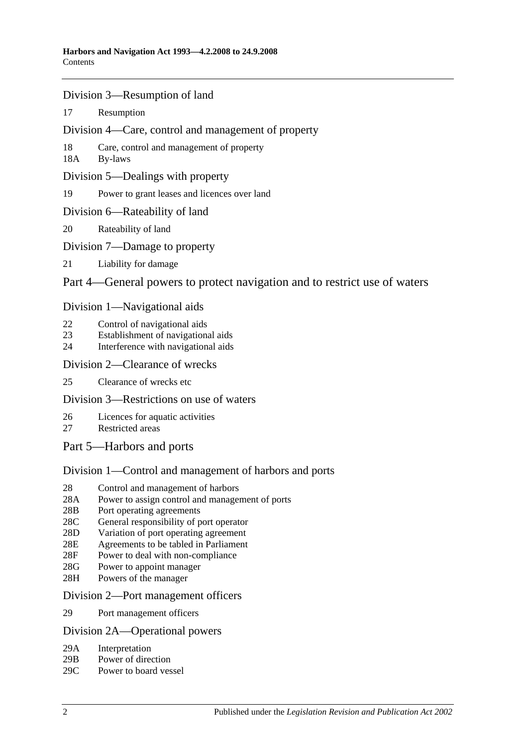- [Division 3—Resumption of land](#page-14-5)
- 17 [Resumption](#page-14-6)
- [Division 4—Care, control and management of property](#page-15-0)
- 18 [Care, control and management of property](#page-15-1)
- 18A [By-laws](#page-15-2)
- [Division 5—Dealings with property](#page-16-0)
- 19 [Power to grant leases and licences over land](#page-16-1)
- [Division 6—Rateability of land](#page-16-2)
- 20 [Rateability of land](#page-16-3)
- [Division 7—Damage to property](#page-16-4)
- 21 [Liability for damage](#page-16-5)

## [Part 4—General powers to protect navigation and to restrict use of waters](#page-18-0)

#### [Division 1—Navigational aids](#page-18-1)

- 22 [Control of navigational aids](#page-18-2)
- 23 [Establishment of navigational aids](#page-18-3)
- 24 [Interference with navigational aids](#page-18-4)

#### [Division 2—Clearance of wrecks](#page-19-0)

25 [Clearance of wrecks etc](#page-19-1)

## [Division 3—Restrictions on use of waters](#page-19-2)

- 26 [Licences for aquatic activities](#page-19-3)
- 27 [Restricted areas](#page-20-0)
- [Part 5—Harbors and ports](#page-22-0)

## [Division 1—Control and management of harbors and ports](#page-22-1)

- 28 [Control and management of harbors](#page-22-2)
- 28A [Power to assign control and management of ports](#page-22-3)
- 28B [Port operating agreements](#page-22-4)
- 28C [General responsibility of port operator](#page-23-0)
- 28D [Variation of port operating agreement](#page-23-1)
- 28E [Agreements to be tabled in Parliament](#page-23-2)
- 28F [Power to deal with non-compliance](#page-23-3)
- 28G [Power to appoint manager](#page-24-0)
- 28H [Powers of the manager](#page-24-1)

#### [Division 2—Port management officers](#page-25-0)

29 [Port management officers](#page-25-1)

#### [Division 2A—Operational powers](#page-25-2)

- 29A [Interpretation](#page-25-3)
- 29B [Power of direction](#page-25-4)
- 29C [Power to board vessel](#page-26-0)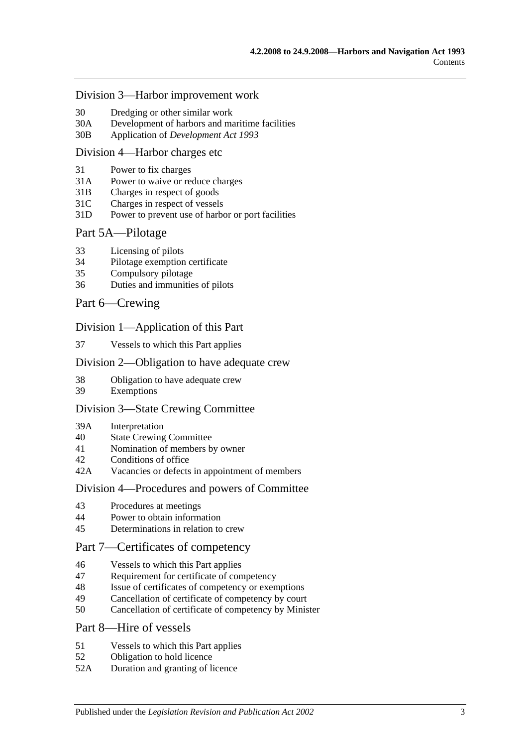#### [Division 3—Harbor improvement work](#page-26-1)

- 30 [Dredging or other similar work](#page-26-2)
- 30A [Development of harbors and maritime facilities](#page-26-3)
- 30B Application of *[Development Act](#page-27-0) 1993*

#### [Division 4—Harbor charges etc](#page-27-1)

- 31 [Power to fix charges](#page-27-2)
- 31A Power to waive [or reduce charges](#page-27-3)
- 31B [Charges in respect of goods](#page-27-4)
- 31C [Charges in respect of vessels](#page-28-0)
- 31D [Power to prevent use of harbor or port facilities](#page-28-1)

#### [Part 5A—Pilotage](#page-30-0)

- 33 [Licensing of pilots](#page-30-1)
- 34 [Pilotage exemption certificate](#page-30-2)
- 35 [Compulsory pilotage](#page-31-0)
- 36 [Duties and immunities of pilots](#page-31-1)

#### [Part 6—Crewing](#page-32-0)

#### [Division 1—Application of this Part](#page-32-1)

37 [Vessels to which this Part applies](#page-32-2)

#### [Division 2—Obligation to have adequate crew](#page-32-3)

- 38 [Obligation to have adequate crew](#page-32-4)
- 39 [Exemptions](#page-32-5)

#### [Division 3—State Crewing Committee](#page-32-6)

- 39A [Interpretation](#page-32-7)
- 40 [State Crewing Committee](#page-33-0)
- 41 [Nomination of members by owner](#page-33-1)
- 42 [Conditions of office](#page-34-0)
- 42A [Vacancies or defects in appointment of members](#page-34-1)

#### [Division 4—Procedures and powers of Committee](#page-34-2)

- 43 [Procedures at meetings](#page-34-3)
- 44 [Power to obtain information](#page-35-0)
- 45 [Determinations in relation to crew](#page-35-1)

## [Part 7—Certificates of competency](#page-36-0)

- 46 [Vessels to which this Part applies](#page-36-1)
- 47 [Requirement for certificate of competency](#page-36-2)
- 48 [Issue of certificates of competency or exemptions](#page-37-0)
- 49 [Cancellation of certificate of competency by court](#page-38-0)
- 50 [Cancellation of certificate of competency by Minister](#page-38-1)

#### [Part 8—Hire of vessels](#page-40-0)

- 51 [Vessels to which this Part applies](#page-40-1)
- 52 [Obligation to hold licence](#page-40-2)
- 52A [Duration and granting of licence](#page-40-3)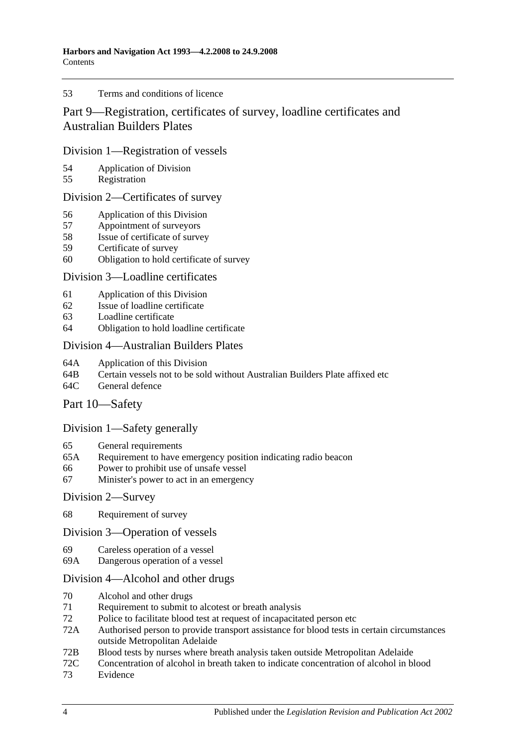#### 53 [Terms and conditions of licence](#page-40-4)

# [Part 9—Registration, certificates of survey, loadline certificates and](#page-42-0)  [Australian Builders Plates](#page-42-0)

#### [Division 1—Registration of vessels](#page-42-1)

- 54 [Application of Division](#page-42-2)<br>55 Registration
- [Registration](#page-42-3)

#### [Division 2—Certificates of survey](#page-42-4)

- 56 [Application of this Division](#page-42-5)
- 57 [Appointment of surveyors](#page-42-6)
- 58 [Issue of certificate of survey](#page-43-0)
- 59 [Certificate of survey](#page-43-1)
- 60 [Obligation to hold certificate of survey](#page-43-2)

#### [Division 3—Loadline certificates](#page-44-0)

- 61 [Application of this Division](#page-44-1)<br>62 Issue of loadline certificate
- [Issue of loadline certificate](#page-44-2)
- 63 [Loadline certificate](#page-44-3)
- 64 [Obligation to hold loadline certificate](#page-44-4)

#### [Division 4—Australian Builders Plates](#page-45-0)

- 64A [Application of this Division](#page-45-1)
- 64B [Certain vessels not to be sold without Australian Builders Plate affixed etc](#page-45-2)
- 64C [General defence](#page-46-0)

## [Part 10—Safety](#page-48-0)

## [Division 1—Safety generally](#page-48-1)

- 65 [General requirements](#page-48-2)
- 65A [Requirement to have emergency position indicating radio beacon](#page-48-3)
- 66 [Power to prohibit use of unsafe vessel](#page-48-4)
- 67 [Minister's power to act in an emergency](#page-49-0)

#### [Division 2—Survey](#page-49-1)

68 [Requirement of survey](#page-49-2)

#### [Division 3—Operation of vessels](#page-50-0)

- 69 [Careless operation of a vessel](#page-50-1)
- 69A [Dangerous operation of a vessel](#page-50-2)

## [Division 4—Alcohol and other drugs](#page-50-3)

- 70 [Alcohol and other drugs](#page-50-4)
- 71 [Requirement to submit to alcotest or breath analysis](#page-52-0)
- 72 [Police to facilitate blood test at request of incapacitated person etc](#page-53-0)
- 72A [Authorised person to provide transport assistance for blood tests in certain circumstances](#page-54-0)  [outside Metropolitan Adelaide](#page-54-0)
- 72B [Blood tests by nurses where breath analysis taken outside Metropolitan Adelaide](#page-54-1)
- 72C [Concentration of alcohol in breath taken to indicate concentration of alcohol in blood](#page-55-0)
- 73 [Evidence](#page-55-1)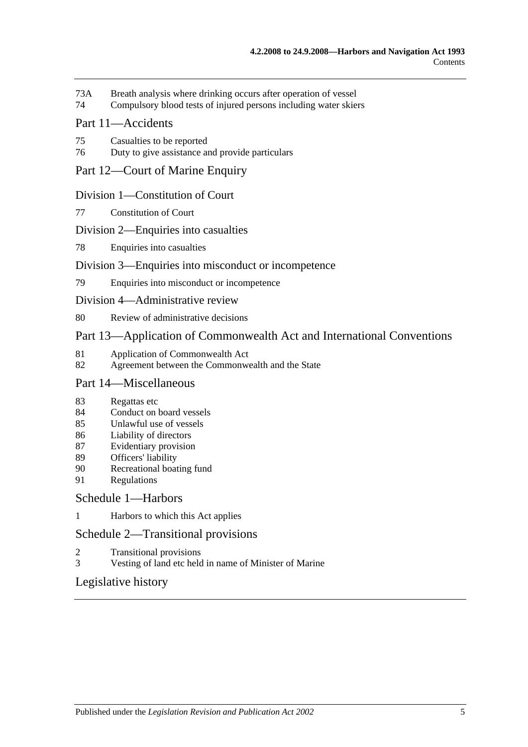- 73A [Breath analysis where drinking occurs after operation of vessel](#page-57-0)
- 74 [Compulsory blood tests of injured persons including water skiers](#page-58-0)

## [Part 11—Accidents](#page-62-0)

- 75 [Casualties to be reported](#page-62-1)
- 76 [Duty to give assistance and provide particulars](#page-62-2)

#### [Part 12—Court of Marine Enquiry](#page-64-0)

#### [Division 1—Constitution of Court](#page-64-1)

77 [Constitution of Court](#page-64-2)

#### [Division 2—Enquiries into casualties](#page-64-3)

78 [Enquiries into casualties](#page-64-4)

#### [Division 3—Enquiries into misconduct or incompetence](#page-64-5)

79 [Enquiries into misconduct or incompetence](#page-64-6)

#### [Division 4—Administrative review](#page-65-0)

80 [Review of administrative decisions](#page-65-1)

## [Part 13—Application of Commonwealth Act and International Conventions](#page-66-0)

- 81 [Application of Commonwealth Act](#page-66-1)<br>82 Agreement between the Commonwe
- [Agreement between the Commonwealth and the State](#page-66-2)

## [Part 14—Miscellaneous](#page-68-0)

- 83 [Regattas etc](#page-68-1)
- 84 [Conduct on board vessels](#page-68-2)
- 85 [Unlawful use of vessels](#page-68-3)
- 86 [Liability of directors](#page-68-4)
- 87 [Evidentiary provision](#page-69-0)
- 89 [Officers' liability](#page-69-1)
- 90 [Recreational boating fund](#page-70-0)
- 91 [Regulations](#page-70-1)

#### [Schedule 1—Harbors](#page-74-0)

1 [Harbors to which this Act applies](#page-74-1)

#### [Schedule 2—Transitional provisions](#page-75-0)

- 2 [Transitional provisions](#page-75-1)
- 3 [Vesting of land etc held in name of Minister of Marine](#page-75-2)

## [Legislative history](#page-78-0)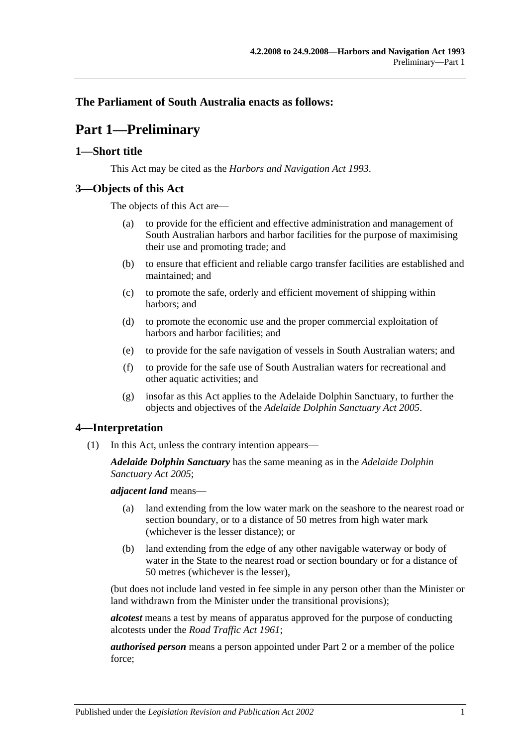## <span id="page-6-0"></span>**The Parliament of South Australia enacts as follows:**

# **Part 1—Preliminary**

## <span id="page-6-1"></span>**1—Short title**

This Act may be cited as the *Harbors and Navigation Act 1993*.

## <span id="page-6-2"></span>**3—Objects of this Act**

The objects of this Act are—

- (a) to provide for the efficient and effective administration and management of South Australian harbors and harbor facilities for the purpose of maximising their use and promoting trade; and
- (b) to ensure that efficient and reliable cargo transfer facilities are established and maintained; and
- (c) to promote the safe, orderly and efficient movement of shipping within harbors; and
- (d) to promote the economic use and the proper commercial exploitation of harbors and harbor facilities; and
- (e) to provide for the safe navigation of vessels in South Australian waters; and
- (f) to provide for the safe use of South Australian waters for recreational and other aquatic activities; and
- (g) insofar as this Act applies to the Adelaide Dolphin Sanctuary, to further the objects and objectives of the *[Adelaide Dolphin Sanctuary Act](http://www.legislation.sa.gov.au/index.aspx?action=legref&type=act&legtitle=Adelaide%20Dolphin%20Sanctuary%20Act%202005) 2005*.

## <span id="page-6-3"></span>**4—Interpretation**

(1) In this Act, unless the contrary intention appears—

*Adelaide Dolphin Sanctuary* has the same meaning as in the *[Adelaide Dolphin](http://www.legislation.sa.gov.au/index.aspx?action=legref&type=act&legtitle=Adelaide%20Dolphin%20Sanctuary%20Act%202005)  [Sanctuary Act](http://www.legislation.sa.gov.au/index.aspx?action=legref&type=act&legtitle=Adelaide%20Dolphin%20Sanctuary%20Act%202005) 2005*;

*adjacent land* means—

- (a) land extending from the low water mark on the seashore to the nearest road or section boundary, or to a distance of 50 metres from high water mark (whichever is the lesser distance); or
- (b) land extending from the edge of any other navigable waterway or body of water in the State to the nearest road or section boundary or for a distance of 50 metres (whichever is the lesser),

(but does not include land vested in fee simple in any person other than the Minister or land withdrawn from the Minister under the transitional provisions);

*alcotest* means a test by means of apparatus approved for the purpose of conducting alcotests under the *[Road Traffic Act](http://www.legislation.sa.gov.au/index.aspx?action=legref&type=act&legtitle=Road%20Traffic%20Act%201961) 1961*;

*authorised person* means a person appointed under [Part 2](#page-10-0) or a member of the police force;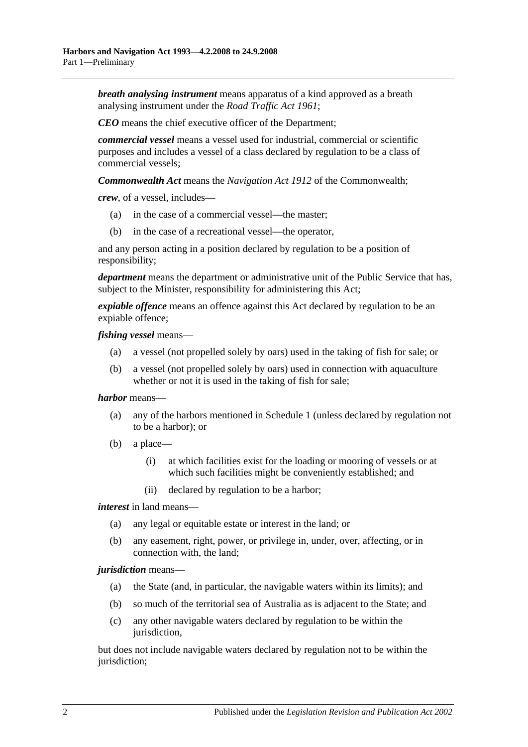*breath analysing instrument* means apparatus of a kind approved as a breath analysing instrument under the *[Road Traffic Act](http://www.legislation.sa.gov.au/index.aspx?action=legref&type=act&legtitle=Road%20Traffic%20Act%201961) 1961*;

*CEO* means the chief executive officer of the Department;

*commercial vessel* means a vessel used for industrial, commercial or scientific purposes and includes a vessel of a class declared by regulation to be a class of commercial vessels;

*Commonwealth Act* means the *Navigation Act 1912* of the Commonwealth;

*crew*, of a vessel, includes—

- (a) in the case of a commercial vessel—the master;
- (b) in the case of a recreational vessel—the operator,

and any person acting in a position declared by regulation to be a position of responsibility;

*department* means the department or administrative unit of the Public Service that has, subject to the Minister, responsibility for administering this Act;

*expiable offence* means an offence against this Act declared by regulation to be an expiable offence;

*fishing vessel* means—

- (a) a vessel (not propelled solely by oars) used in the taking of fish for sale; or
- (b) a vessel (not propelled solely by oars) used in connection with aquaculture whether or not it is used in the taking of fish for sale;

#### *harbor* means—

- (a) any of the harbors mentioned in [Schedule 1](#page-74-0) (unless declared by regulation not to be a harbor); or
- (b) a place—
	- (i) at which facilities exist for the loading or mooring of vessels or at which such facilities might be conveniently established; and
	- (ii) declared by regulation to be a harbor;

*interest* in land means—

- (a) any legal or equitable estate or interest in the land; or
- (b) any easement, right, power, or privilege in, under, over, affecting, or in connection with, the land;

#### *jurisdiction* means—

- (a) the State (and, in particular, the navigable waters within its limits); and
- (b) so much of the territorial sea of Australia as is adjacent to the State; and
- (c) any other navigable waters declared by regulation to be within the jurisdiction,

but does not include navigable waters declared by regulation not to be within the jurisdiction;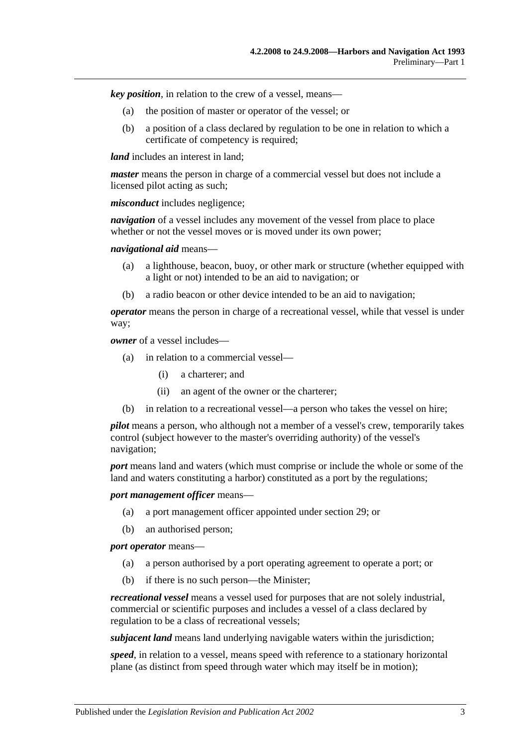*key position*, in relation to the crew of a vessel, means—

- (a) the position of master or operator of the vessel; or
- (b) a position of a class declared by regulation to be one in relation to which a certificate of competency is required;

*land* includes an interest in land:

*master* means the person in charge of a commercial vessel but does not include a licensed pilot acting as such;

*misconduct* includes negligence;

*navigation* of a vessel includes any movement of the vessel from place to place whether or not the vessel moves or is moved under its own power:

*navigational aid* means—

- (a) a lighthouse, beacon, buoy, or other mark or structure (whether equipped with a light or not) intended to be an aid to navigation; or
- (b) a radio beacon or other device intended to be an aid to navigation;

*operator* means the person in charge of a recreational vessel, while that vessel is under way;

*owner* of a vessel includes—

- (a) in relation to a commercial vessel—
	- (i) a charterer; and
	- (ii) an agent of the owner or the charterer;
- (b) in relation to a recreational vessel—a person who takes the vessel on hire;

*pilot* means a person, who although not a member of a vessel's crew, temporarily takes control (subject however to the master's overriding authority) of the vessel's navigation;

*port* means land and waters (which must comprise or include the whole or some of the land and waters constituting a harbor) constituted as a port by the regulations;

*port management officer* means—

- (a) a port management officer appointed under [section](#page-25-1) 29; or
- (b) an authorised person;

*port operator* means—

- (a) a person authorised by a port operating agreement to operate a port; or
- (b) if there is no such person—the Minister;

*recreational vessel* means a vessel used for purposes that are not solely industrial, commercial or scientific purposes and includes a vessel of a class declared by regulation to be a class of recreational vessels;

*subjacent land* means land underlying navigable waters within the jurisdiction;

*speed*, in relation to a vessel, means speed with reference to a stationary horizontal plane (as distinct from speed through water which may itself be in motion);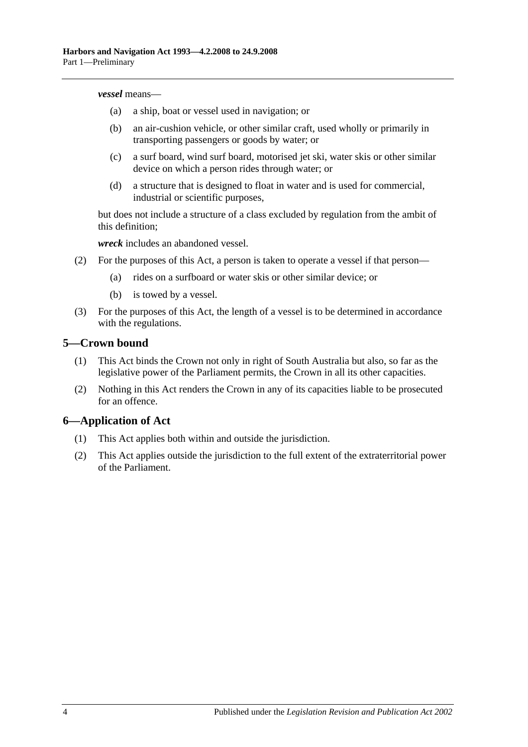#### *vessel* means—

- (a) a ship, boat or vessel used in navigation; or
- (b) an air-cushion vehicle, or other similar craft, used wholly or primarily in transporting passengers or goods by water; or
- (c) a surf board, wind surf board, motorised jet ski, water skis or other similar device on which a person rides through water; or
- (d) a structure that is designed to float in water and is used for commercial, industrial or scientific purposes,

but does not include a structure of a class excluded by regulation from the ambit of this definition;

*wreck* includes an abandoned vessel.

- (2) For the purposes of this Act, a person is taken to operate a vessel if that person—
	- (a) rides on a surfboard or water skis or other similar device; or
	- (b) is towed by a vessel.
- (3) For the purposes of this Act, the length of a vessel is to be determined in accordance with the regulations.

#### <span id="page-9-0"></span>**5—Crown bound**

- (1) This Act binds the Crown not only in right of South Australia but also, so far as the legislative power of the Parliament permits, the Crown in all its other capacities.
- (2) Nothing in this Act renders the Crown in any of its capacities liable to be prosecuted for an offence.

## <span id="page-9-1"></span>**6—Application of Act**

- (1) This Act applies both within and outside the jurisdiction.
- (2) This Act applies outside the jurisdiction to the full extent of the extraterritorial power of the Parliament.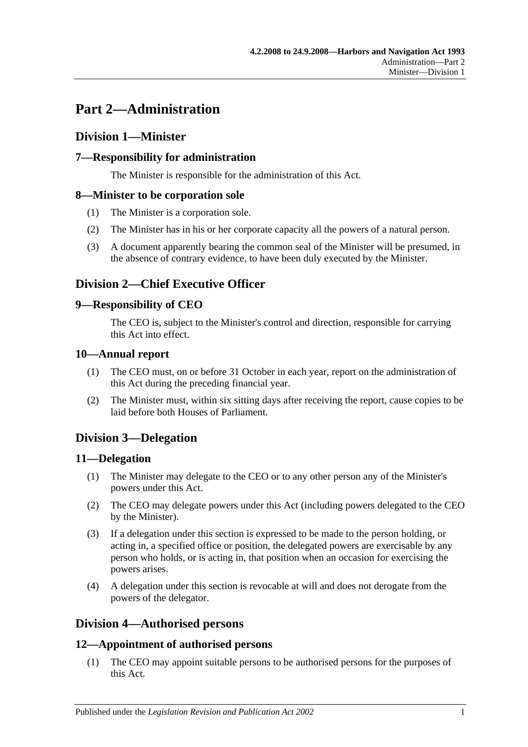# <span id="page-10-0"></span>**Part 2—Administration**

# <span id="page-10-1"></span>**Division 1—Minister**

# <span id="page-10-2"></span>**7—Responsibility for administration**

The Minister is responsible for the administration of this Act.

## <span id="page-10-3"></span>**8—Minister to be corporation sole**

- (1) The Minister is a corporation sole.
- (2) The Minister has in his or her corporate capacity all the powers of a natural person.
- (3) A document apparently bearing the common seal of the Minister will be presumed, in the absence of contrary evidence, to have been duly executed by the Minister.

# <span id="page-10-4"></span>**Division 2—Chief Executive Officer**

## <span id="page-10-5"></span>**9—Responsibility of CEO**

The CEO is, subject to the Minister's control and direction, responsible for carrying this Act into effect.

## <span id="page-10-6"></span>**10—Annual report**

- (1) The CEO must, on or before 31 October in each year, report on the administration of this Act during the preceding financial year.
- (2) The Minister must, within six sitting days after receiving the report, cause copies to be laid before both Houses of Parliament.

# <span id="page-10-7"></span>**Division 3—Delegation**

## <span id="page-10-8"></span>**11—Delegation**

- (1) The Minister may delegate to the CEO or to any other person any of the Minister's powers under this Act.
- (2) The CEO may delegate powers under this Act (including powers delegated to the CEO by the Minister).
- (3) If a delegation under this section is expressed to be made to the person holding, or acting in, a specified office or position, the delegated powers are exercisable by any person who holds, or is acting in, that position when an occasion for exercising the powers arises.
- (4) A delegation under this section is revocable at will and does not derogate from the powers of the delegator.

# <span id="page-10-9"></span>**Division 4—Authorised persons**

## <span id="page-10-10"></span>**12—Appointment of authorised persons**

(1) The CEO may appoint suitable persons to be authorised persons for the purposes of this Act.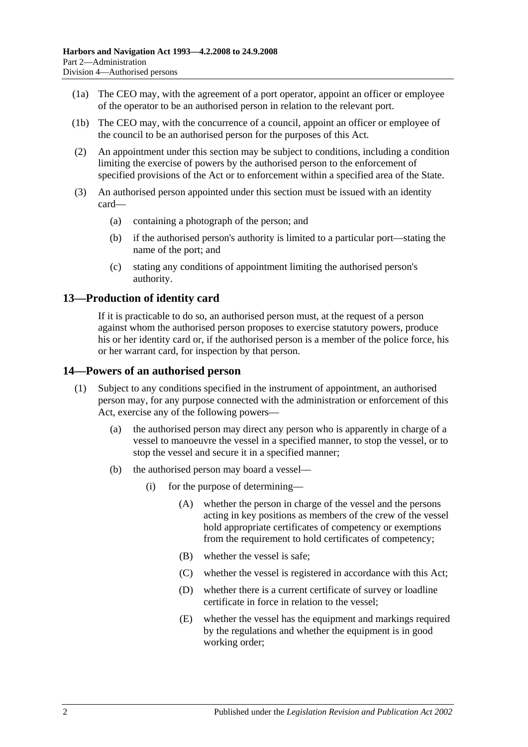- (1a) The CEO may, with the agreement of a port operator, appoint an officer or employee of the operator to be an authorised person in relation to the relevant port.
- (1b) The CEO may, with the concurrence of a council, appoint an officer or employee of the council to be an authorised person for the purposes of this Act.
- (2) An appointment under this section may be subject to conditions, including a condition limiting the exercise of powers by the authorised person to the enforcement of specified provisions of the Act or to enforcement within a specified area of the State.
- (3) An authorised person appointed under this section must be issued with an identity card—
	- (a) containing a photograph of the person; and
	- (b) if the authorised person's authority is limited to a particular port—stating the name of the port; and
	- (c) stating any conditions of appointment limiting the authorised person's authority.

## <span id="page-11-0"></span>**13—Production of identity card**

If it is practicable to do so, an authorised person must, at the request of a person against whom the authorised person proposes to exercise statutory powers, produce his or her identity card or, if the authorised person is a member of the police force, his or her warrant card, for inspection by that person.

#### <span id="page-11-1"></span>**14—Powers of an authorised person**

- (1) Subject to any conditions specified in the instrument of appointment, an authorised person may, for any purpose connected with the administration or enforcement of this Act, exercise any of the following powers—
	- (a) the authorised person may direct any person who is apparently in charge of a vessel to manoeuvre the vessel in a specified manner, to stop the vessel, or to stop the vessel and secure it in a specified manner;
	- (b) the authorised person may board a vessel—
		- (i) for the purpose of determining—
			- (A) whether the person in charge of the vessel and the persons acting in key positions as members of the crew of the vessel hold appropriate certificates of competency or exemptions from the requirement to hold certificates of competency;
			- (B) whether the vessel is safe;
			- (C) whether the vessel is registered in accordance with this Act;
			- (D) whether there is a current certificate of survey or loadline certificate in force in relation to the vessel;
			- (E) whether the vessel has the equipment and markings required by the regulations and whether the equipment is in good working order;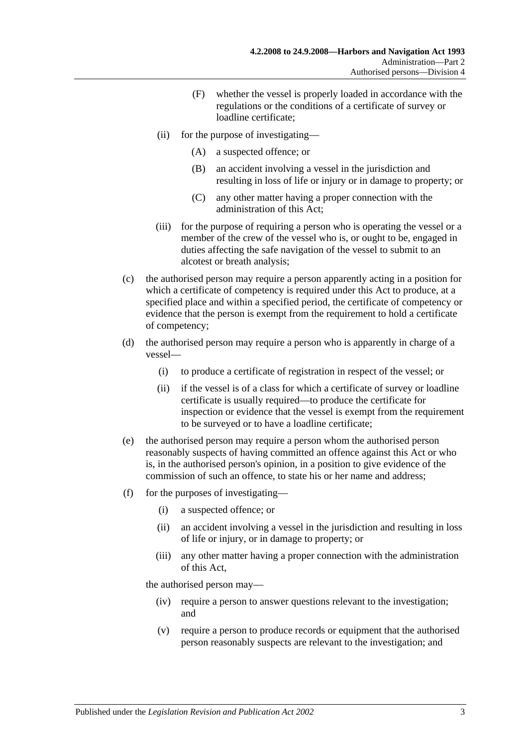- (F) whether the vessel is properly loaded in accordance with the regulations or the conditions of a certificate of survey or loadline certificate;
- (ii) for the purpose of investigating—
	- (A) a suspected offence; or
	- (B) an accident involving a vessel in the jurisdiction and resulting in loss of life or injury or in damage to property; or
	- (C) any other matter having a proper connection with the administration of this Act;
- (iii) for the purpose of requiring a person who is operating the vessel or a member of the crew of the vessel who is, or ought to be, engaged in duties affecting the safe navigation of the vessel to submit to an alcotest or breath analysis;
- (c) the authorised person may require a person apparently acting in a position for which a certificate of competency is required under this Act to produce, at a specified place and within a specified period, the certificate of competency or evidence that the person is exempt from the requirement to hold a certificate of competency;
- (d) the authorised person may require a person who is apparently in charge of a vessel—
	- (i) to produce a certificate of registration in respect of the vessel; or
	- (ii) if the vessel is of a class for which a certificate of survey or loadline certificate is usually required—to produce the certificate for inspection or evidence that the vessel is exempt from the requirement to be surveyed or to have a loadline certificate;
- (e) the authorised person may require a person whom the authorised person reasonably suspects of having committed an offence against this Act or who is, in the authorised person's opinion, in a position to give evidence of the commission of such an offence, to state his or her name and address;
- (f) for the purposes of investigating—
	- (i) a suspected offence; or
	- (ii) an accident involving a vessel in the jurisdiction and resulting in loss of life or injury, or in damage to property; or
	- (iii) any other matter having a proper connection with the administration of this Act,

the authorised person may—

- (iv) require a person to answer questions relevant to the investigation; and
- (v) require a person to produce records or equipment that the authorised person reasonably suspects are relevant to the investigation; and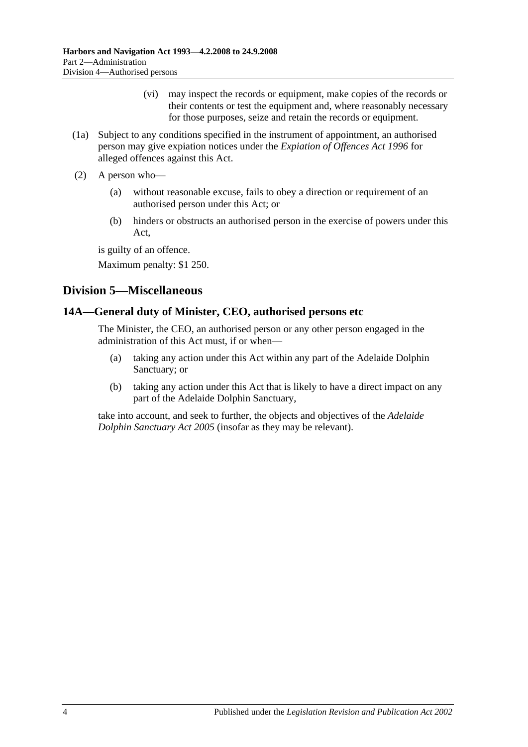- (vi) may inspect the records or equipment, make copies of the records or their contents or test the equipment and, where reasonably necessary for those purposes, seize and retain the records or equipment.
- (1a) Subject to any conditions specified in the instrument of appointment, an authorised person may give expiation notices under the *[Expiation of Offences Act](http://www.legislation.sa.gov.au/index.aspx?action=legref&type=act&legtitle=Expiation%20of%20Offences%20Act%201996) 1996* for alleged offences against this Act.
- (2) A person who—
	- (a) without reasonable excuse, fails to obey a direction or requirement of an authorised person under this Act; or
	- (b) hinders or obstructs an authorised person in the exercise of powers under this Act,

is guilty of an offence.

Maximum penalty: \$1 250.

# <span id="page-13-0"></span>**Division 5—Miscellaneous**

## <span id="page-13-1"></span>**14A—General duty of Minister, CEO, authorised persons etc**

The Minister, the CEO, an authorised person or any other person engaged in the administration of this Act must, if or when—

- (a) taking any action under this Act within any part of the Adelaide Dolphin Sanctuary; or
- (b) taking any action under this Act that is likely to have a direct impact on any part of the Adelaide Dolphin Sanctuary,

take into account, and seek to further, the objects and objectives of the *[Adelaide](http://www.legislation.sa.gov.au/index.aspx?action=legref&type=act&legtitle=Adelaide%20Dolphin%20Sanctuary%20Act%202005)  [Dolphin Sanctuary Act](http://www.legislation.sa.gov.au/index.aspx?action=legref&type=act&legtitle=Adelaide%20Dolphin%20Sanctuary%20Act%202005) 2005* (insofar as they may be relevant).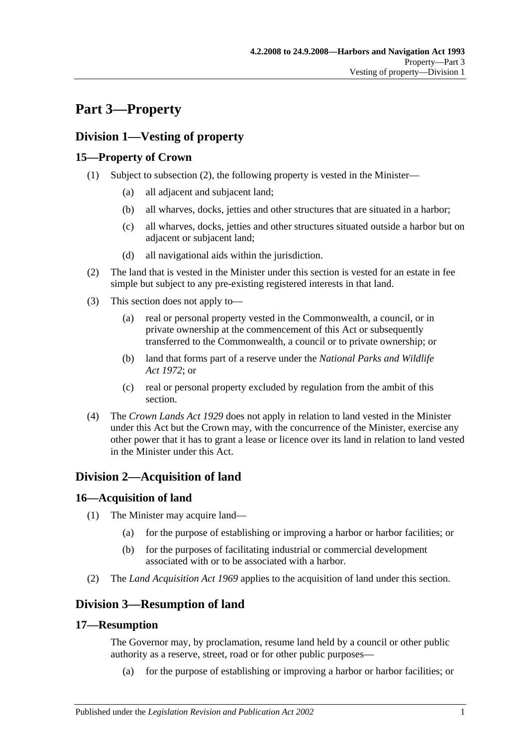# <span id="page-14-0"></span>**Part 3—Property**

# <span id="page-14-1"></span>**Division 1—Vesting of property**

# <span id="page-14-2"></span>**15—Property of Crown**

- (1) Subject to [subsection](#page-14-7) (2), the following property is vested in the Minister—
	- (a) all adjacent and subjacent land;
	- (b) all wharves, docks, jetties and other structures that are situated in a harbor;
	- (c) all wharves, docks, jetties and other structures situated outside a harbor but on adjacent or subjacent land;
	- (d) all navigational aids within the jurisdiction.
- <span id="page-14-7"></span>(2) The land that is vested in the Minister under this section is vested for an estate in fee simple but subject to any pre-existing registered interests in that land.
- (3) This section does not apply to—
	- (a) real or personal property vested in the Commonwealth, a council, or in private ownership at the commencement of this Act or subsequently transferred to the Commonwealth, a council or to private ownership; or
	- (b) land that forms part of a reserve under the *[National Parks and Wildlife](http://www.legislation.sa.gov.au/index.aspx?action=legref&type=act&legtitle=National%20Parks%20and%20Wildlife%20Act%201972)  Act [1972](http://www.legislation.sa.gov.au/index.aspx?action=legref&type=act&legtitle=National%20Parks%20and%20Wildlife%20Act%201972)*; or
	- (c) real or personal property excluded by regulation from the ambit of this section.
- (4) The *[Crown Lands Act](http://www.legislation.sa.gov.au/index.aspx?action=legref&type=act&legtitle=Crown%20Lands%20Act%201929) 1929* does not apply in relation to land vested in the Minister under this Act but the Crown may, with the concurrence of the Minister, exercise any other power that it has to grant a lease or licence over its land in relation to land vested in the Minister under this Act.

# <span id="page-14-3"></span>**Division 2—Acquisition of land**

# <span id="page-14-4"></span>**16—Acquisition of land**

- (1) The Minister may acquire land—
	- (a) for the purpose of establishing or improving a harbor or harbor facilities; or
	- (b) for the purposes of facilitating industrial or commercial development associated with or to be associated with a harbor.
- (2) The *[Land Acquisition Act](http://www.legislation.sa.gov.au/index.aspx?action=legref&type=act&legtitle=Land%20Acquisition%20Act%201969) 1969* applies to the acquisition of land under this section.

# <span id="page-14-5"></span>**Division 3—Resumption of land**

# <span id="page-14-6"></span>**17—Resumption**

The Governor may, by proclamation, resume land held by a council or other public authority as a reserve, street, road or for other public purposes—

(a) for the purpose of establishing or improving a harbor or harbor facilities; or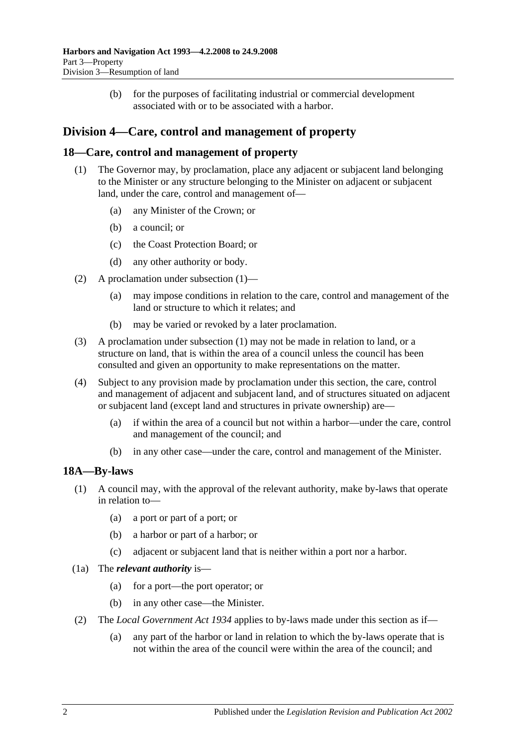(b) for the purposes of facilitating industrial or commercial development associated with or to be associated with a harbor.

# <span id="page-15-0"></span>**Division 4—Care, control and management of property**

#### <span id="page-15-3"></span><span id="page-15-1"></span>**18—Care, control and management of property**

- (1) The Governor may, by proclamation, place any adjacent or subjacent land belonging to the Minister or any structure belonging to the Minister on adjacent or subjacent land, under the care, control and management of—
	- (a) any Minister of the Crown; or
	- (b) a council; or
	- (c) the Coast Protection Board; or
	- (d) any other authority or body.
- (2) A proclamation under [subsection](#page-15-3) (1)—
	- (a) may impose conditions in relation to the care, control and management of the land or structure to which it relates; and
	- (b) may be varied or revoked by a later proclamation.
- (3) A proclamation under [subsection](#page-15-3) (1) may not be made in relation to land, or a structure on land, that is within the area of a council unless the council has been consulted and given an opportunity to make representations on the matter.
- (4) Subject to any provision made by proclamation under this section, the care, control and management of adjacent and subjacent land, and of structures situated on adjacent or subjacent land (except land and structures in private ownership) are—
	- (a) if within the area of a council but not within a harbor—under the care, control and management of the council; and
	- (b) in any other case—under the care, control and management of the Minister.

#### <span id="page-15-2"></span>**18A—By-laws**

- (1) A council may, with the approval of the relevant authority, make by-laws that operate in relation to—
	- (a) a port or part of a port; or
	- (b) a harbor or part of a harbor; or
	- (c) adjacent or subjacent land that is neither within a port nor a harbor.
- (1a) The *relevant authority* is—
	- (a) for a port—the port operator; or
	- (b) in any other case—the Minister.
- (2) The *[Local Government Act](http://www.legislation.sa.gov.au/index.aspx?action=legref&type=act&legtitle=Local%20Government%20Act%201934) 1934* applies to by-laws made under this section as if—
	- (a) any part of the harbor or land in relation to which the by-laws operate that is not within the area of the council were within the area of the council; and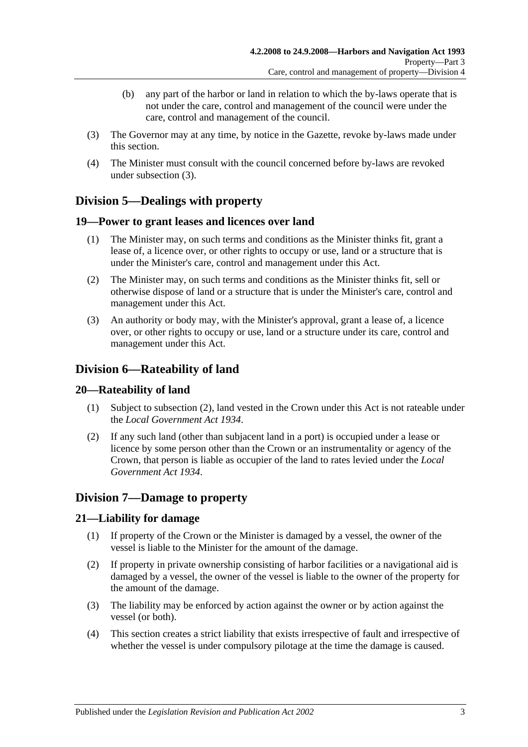- (b) any part of the harbor or land in relation to which the by-laws operate that is not under the care, control and management of the council were under the care, control and management of the council.
- <span id="page-16-6"></span>(3) The Governor may at any time, by notice in the Gazette, revoke by-laws made under this section.
- (4) The Minister must consult with the council concerned before by-laws are revoked under [subsection](#page-16-6) (3).

# <span id="page-16-0"></span>**Division 5—Dealings with property**

## <span id="page-16-1"></span>**19—Power to grant leases and licences over land**

- (1) The Minister may, on such terms and conditions as the Minister thinks fit, grant a lease of, a licence over, or other rights to occupy or use, land or a structure that is under the Minister's care, control and management under this Act.
- (2) The Minister may, on such terms and conditions as the Minister thinks fit, sell or otherwise dispose of land or a structure that is under the Minister's care, control and management under this Act.
- (3) An authority or body may, with the Minister's approval, grant a lease of, a licence over, or other rights to occupy or use, land or a structure under its care, control and management under this Act.

# <span id="page-16-2"></span>**Division 6—Rateability of land**

## <span id="page-16-3"></span>**20—Rateability of land**

- (1) Subject to [subsection](#page-16-7) (2), land vested in the Crown under this Act is not rateable under the *[Local Government Act](http://www.legislation.sa.gov.au/index.aspx?action=legref&type=act&legtitle=Local%20Government%20Act%201934) 1934*.
- <span id="page-16-7"></span>(2) If any such land (other than subjacent land in a port) is occupied under a lease or licence by some person other than the Crown or an instrumentality or agency of the Crown, that person is liable as occupier of the land to rates levied under the *[Local](http://www.legislation.sa.gov.au/index.aspx?action=legref&type=act&legtitle=Local%20Government%20Act%201934)  [Government Act](http://www.legislation.sa.gov.au/index.aspx?action=legref&type=act&legtitle=Local%20Government%20Act%201934) 1934*.

# <span id="page-16-4"></span>**Division 7—Damage to property**

## <span id="page-16-5"></span>**21—Liability for damage**

- (1) If property of the Crown or the Minister is damaged by a vessel, the owner of the vessel is liable to the Minister for the amount of the damage.
- (2) If property in private ownership consisting of harbor facilities or a navigational aid is damaged by a vessel, the owner of the vessel is liable to the owner of the property for the amount of the damage.
- (3) The liability may be enforced by action against the owner or by action against the vessel (or both).
- (4) This section creates a strict liability that exists irrespective of fault and irrespective of whether the vessel is under compulsory pilotage at the time the damage is caused.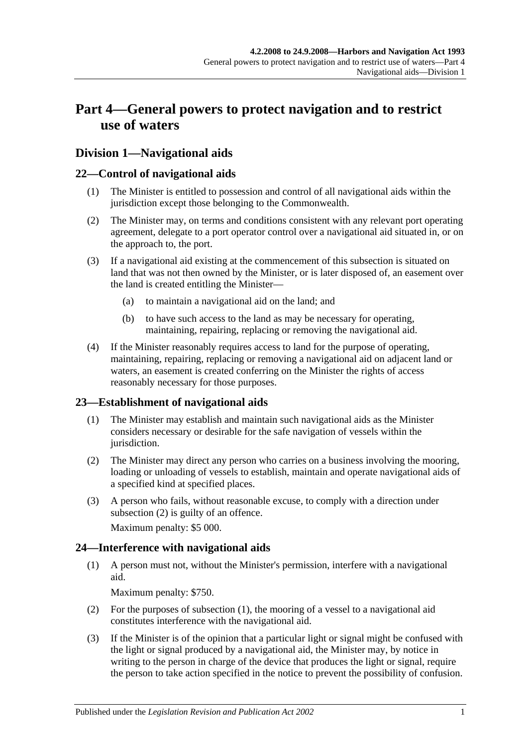# <span id="page-18-0"></span>**Part 4—General powers to protect navigation and to restrict use of waters**

# <span id="page-18-1"></span>**Division 1—Navigational aids**

## <span id="page-18-2"></span>**22—Control of navigational aids**

- (1) The Minister is entitled to possession and control of all navigational aids within the jurisdiction except those belonging to the Commonwealth.
- (2) The Minister may, on terms and conditions consistent with any relevant port operating agreement, delegate to a port operator control over a navigational aid situated in, or on the approach to, the port.
- (3) If a navigational aid existing at the commencement of this subsection is situated on land that was not then owned by the Minister, or is later disposed of, an easement over the land is created entitling the Minister—
	- (a) to maintain a navigational aid on the land; and
	- (b) to have such access to the land as may be necessary for operating, maintaining, repairing, replacing or removing the navigational aid.
- (4) If the Minister reasonably requires access to land for the purpose of operating, maintaining, repairing, replacing or removing a navigational aid on adjacent land or waters, an easement is created conferring on the Minister the rights of access reasonably necessary for those purposes.

## <span id="page-18-3"></span>**23—Establishment of navigational aids**

- (1) The Minister may establish and maintain such navigational aids as the Minister considers necessary or desirable for the safe navigation of vessels within the jurisdiction.
- <span id="page-18-5"></span>(2) The Minister may direct any person who carries on a business involving the mooring, loading or unloading of vessels to establish, maintain and operate navigational aids of a specified kind at specified places.
- (3) A person who fails, without reasonable excuse, to comply with a direction under [subsection](#page-18-5) (2) is guilty of an offence.

Maximum penalty: \$5 000.

# <span id="page-18-6"></span><span id="page-18-4"></span>**24—Interference with navigational aids**

(1) A person must not, without the Minister's permission, interfere with a navigational aid.

Maximum penalty: \$750.

- (2) For the purposes of [subsection](#page-18-6) (1), the mooring of a vessel to a navigational aid constitutes interference with the navigational aid.
- <span id="page-18-7"></span>(3) If the Minister is of the opinion that a particular light or signal might be confused with the light or signal produced by a navigational aid, the Minister may, by notice in writing to the person in charge of the device that produces the light or signal, require the person to take action specified in the notice to prevent the possibility of confusion.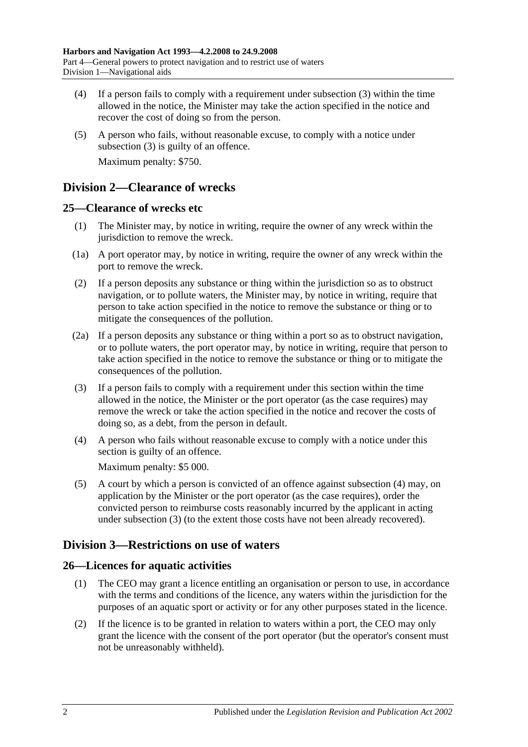- (4) If a person fails to comply with a requirement under [subsection](#page-18-7) (3) within the time allowed in the notice, the Minister may take the action specified in the notice and recover the cost of doing so from the person.
- (5) A person who fails, without reasonable excuse, to comply with a notice under [subsection](#page-18-7) (3) is guilty of an offence. Maximum penalty: \$750.

# <span id="page-19-0"></span>**Division 2—Clearance of wrecks**

## <span id="page-19-1"></span>**25—Clearance of wrecks etc**

- (1) The Minister may, by notice in writing, require the owner of any wreck within the jurisdiction to remove the wreck.
- (1a) A port operator may, by notice in writing, require the owner of any wreck within the port to remove the wreck.
- (2) If a person deposits any substance or thing within the jurisdiction so as to obstruct navigation, or to pollute waters, the Minister may, by notice in writing, require that person to take action specified in the notice to remove the substance or thing or to mitigate the consequences of the pollution.
- (2a) If a person deposits any substance or thing within a port so as to obstruct navigation, or to pollute waters, the port operator may, by notice in writing, require that person to take action specified in the notice to remove the substance or thing or to mitigate the consequences of the pollution.
- <span id="page-19-5"></span>(3) If a person fails to comply with a requirement under this section within the time allowed in the notice, the Minister or the port operator (as the case requires) may remove the wreck or take the action specified in the notice and recover the costs of doing so, as a debt, from the person in default.
- <span id="page-19-4"></span>(4) A person who fails without reasonable excuse to comply with a notice under this section is guilty of an offence.

Maximum penalty: \$5 000.

(5) A court by which a person is convicted of an offence against [subsection](#page-19-4) (4) may, on application by the Minister or the port operator (as the case requires), order the convicted person to reimburse costs reasonably incurred by the applicant in acting under [subsection](#page-19-5) (3) (to the extent those costs have not been already recovered).

# <span id="page-19-2"></span>**Division 3—Restrictions on use of waters**

# <span id="page-19-3"></span>**26—Licences for aquatic activities**

- (1) The CEO may grant a licence entitling an organisation or person to use, in accordance with the terms and conditions of the licence, any waters within the jurisdiction for the purposes of an aquatic sport or activity or for any other purposes stated in the licence.
- (2) If the licence is to be granted in relation to waters within a port, the CEO may only grant the licence with the consent of the port operator (but the operator's consent must not be unreasonably withheld).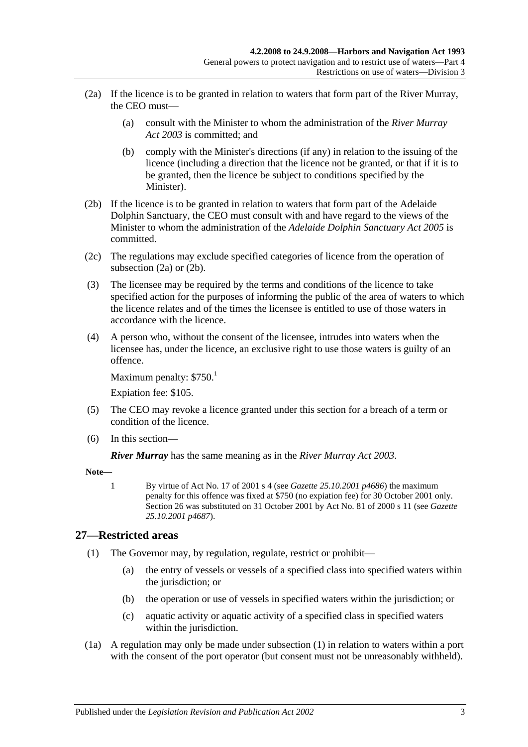- <span id="page-20-1"></span>(2a) If the licence is to be granted in relation to waters that form part of the River Murray, the CEO must—
	- (a) consult with the Minister to whom the administration of the *[River Murray](http://www.legislation.sa.gov.au/index.aspx?action=legref&type=act&legtitle=River%20Murray%20Act%202003)  Act [2003](http://www.legislation.sa.gov.au/index.aspx?action=legref&type=act&legtitle=River%20Murray%20Act%202003)* is committed; and
	- (b) comply with the Minister's directions (if any) in relation to the issuing of the licence (including a direction that the licence not be granted, or that if it is to be granted, then the licence be subject to conditions specified by the Minister).
- <span id="page-20-2"></span>(2b) If the licence is to be granted in relation to waters that form part of the Adelaide Dolphin Sanctuary, the CEO must consult with and have regard to the views of the Minister to whom the administration of the *[Adelaide Dolphin](http://www.legislation.sa.gov.au/index.aspx?action=legref&type=act&legtitle=Adelaide%20Dolphin%20Sanctuary%20Act%202005) Sanctuary Act 2005* is committed.
- (2c) The regulations may exclude specified categories of licence from the operation of [subsection](#page-20-1) (2a) or [\(2b\).](#page-20-2)
- (3) The licensee may be required by the terms and conditions of the licence to take specified action for the purposes of informing the public of the area of waters to which the licence relates and of the times the licensee is entitled to use of those waters in accordance with the licence.
- (4) A person who, without the consent of the licensee, intrudes into waters when the licensee has, under the licence, an exclusive right to use those waters is guilty of an offence.

Maximum penalty:  $$750.<sup>1</sup>$ 

Expiation fee: \$105.

- (5) The CEO may revoke a licence granted under this section for a breach of a term or condition of the licence.
- (6) In this section—

*River Murray* has the same meaning as in the *[River Murray Act](http://www.legislation.sa.gov.au/index.aspx?action=legref&type=act&legtitle=River%20Murray%20Act%202003) 2003*.

**Note—**

1 By virtue of Act No. 17 of 2001 s 4 (see *Gazette 25.10.2001 p4686*) the maximum penalty for this offence was fixed at \$750 (no expiation fee) for 30 October 2001 only. Section 26 was substituted on 31 October 2001 by Act No. 81 of 2000 s 11 (see *Gazette 25.10.2001 p4687*).

## <span id="page-20-3"></span><span id="page-20-0"></span>**27—Restricted areas**

- (1) The Governor may, by regulation, regulate, restrict or prohibit—
	- (a) the entry of vessels or vessels of a specified class into specified waters within the jurisdiction; or
	- (b) the operation or use of vessels in specified waters within the jurisdiction; or
	- (c) aquatic activity or aquatic activity of a specified class in specified waters within the jurisdiction.
- (1a) A regulation may only be made under [subsection](#page-20-3) (1) in relation to waters within a port with the consent of the port operator (but consent must not be unreasonably withheld).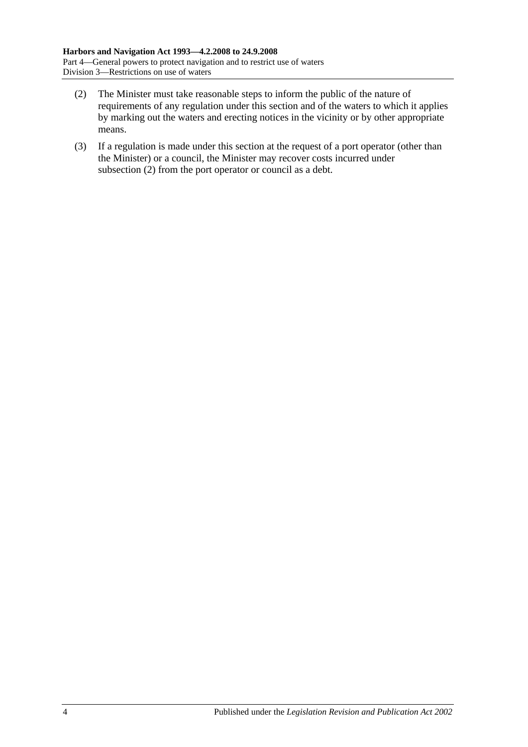- <span id="page-21-0"></span>(2) The Minister must take reasonable steps to inform the public of the nature of requirements of any regulation under this section and of the waters to which it applies by marking out the waters and erecting notices in the vicinity or by other appropriate means.
- (3) If a regulation is made under this section at the request of a port operator (other than the Minister) or a council, the Minister may recover costs incurred under [subsection](#page-21-0) (2) from the port operator or council as a debt.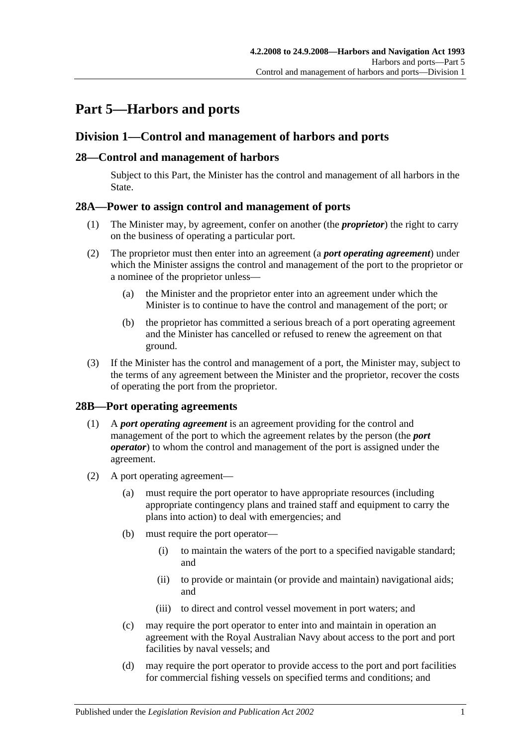# <span id="page-22-0"></span>**Part 5—Harbors and ports**

# <span id="page-22-1"></span>**Division 1—Control and management of harbors and ports**

## <span id="page-22-2"></span>**28—Control and management of harbors**

Subject to this Part, the Minister has the control and management of all harbors in the State.

## <span id="page-22-3"></span>**28A—Power to assign control and management of ports**

- (1) The Minister may, by agreement, confer on another (the *proprietor*) the right to carry on the business of operating a particular port.
- (2) The proprietor must then enter into an agreement (a *port operating agreement*) under which the Minister assigns the control and management of the port to the proprietor or a nominee of the proprietor unless—
	- (a) the Minister and the proprietor enter into an agreement under which the Minister is to continue to have the control and management of the port; or
	- (b) the proprietor has committed a serious breach of a port operating agreement and the Minister has cancelled or refused to renew the agreement on that ground.
- (3) If the Minister has the control and management of a port, the Minister may, subject to the terms of any agreement between the Minister and the proprietor, recover the costs of operating the port from the proprietor.

## <span id="page-22-4"></span>**28B—Port operating agreements**

- (1) A *port operating agreement* is an agreement providing for the control and management of the port to which the agreement relates by the person (the *port operator*) to whom the control and management of the port is assigned under the agreement.
- (2) A port operating agreement—
	- (a) must require the port operator to have appropriate resources (including appropriate contingency plans and trained staff and equipment to carry the plans into action) to deal with emergencies; and
	- (b) must require the port operator—
		- (i) to maintain the waters of the port to a specified navigable standard; and
		- (ii) to provide or maintain (or provide and maintain) navigational aids; and
		- (iii) to direct and control vessel movement in port waters; and
	- (c) may require the port operator to enter into and maintain in operation an agreement with the Royal Australian Navy about access to the port and port facilities by naval vessels; and
	- (d) may require the port operator to provide access to the port and port facilities for commercial fishing vessels on specified terms and conditions; and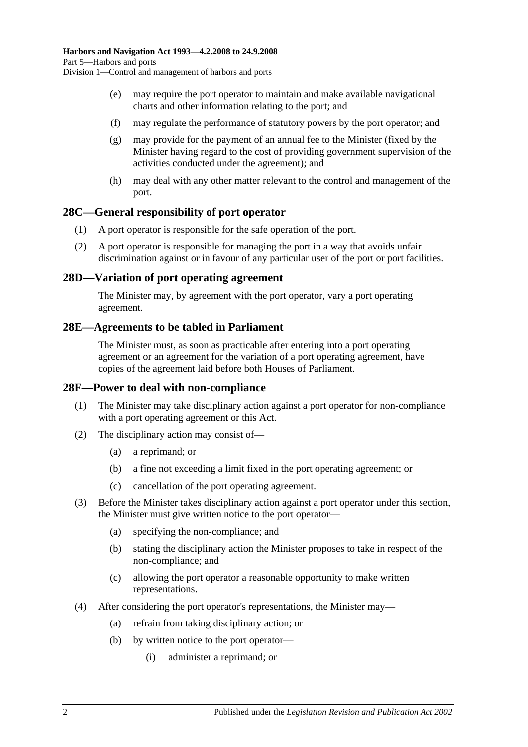- (e) may require the port operator to maintain and make available navigational charts and other information relating to the port; and
- (f) may regulate the performance of statutory powers by the port operator; and
- (g) may provide for the payment of an annual fee to the Minister (fixed by the Minister having regard to the cost of providing government supervision of the activities conducted under the agreement); and
- (h) may deal with any other matter relevant to the control and management of the port.

#### <span id="page-23-0"></span>**28C—General responsibility of port operator**

- (1) A port operator is responsible for the safe operation of the port.
- (2) A port operator is responsible for managing the port in a way that avoids unfair discrimination against or in favour of any particular user of the port or port facilities.

#### <span id="page-23-1"></span>**28D—Variation of port operating agreement**

The Minister may, by agreement with the port operator, vary a port operating agreement.

#### <span id="page-23-2"></span>**28E—Agreements to be tabled in Parliament**

The Minister must, as soon as practicable after entering into a port operating agreement or an agreement for the variation of a port operating agreement, have copies of the agreement laid before both Houses of Parliament.

#### <span id="page-23-3"></span>**28F—Power to deal with non-compliance**

- (1) The Minister may take disciplinary action against a port operator for non-compliance with a port operating agreement or this Act.
- (2) The disciplinary action may consist of—
	- (a) a reprimand; or
	- (b) a fine not exceeding a limit fixed in the port operating agreement; or
	- (c) cancellation of the port operating agreement.
- (3) Before the Minister takes disciplinary action against a port operator under this section, the Minister must give written notice to the port operator—
	- (a) specifying the non-compliance; and
	- (b) stating the disciplinary action the Minister proposes to take in respect of the non-compliance; and
	- (c) allowing the port operator a reasonable opportunity to make written representations.
- (4) After considering the port operator's representations, the Minister may—
	- (a) refrain from taking disciplinary action; or
	- (b) by written notice to the port operator—
		- (i) administer a reprimand; or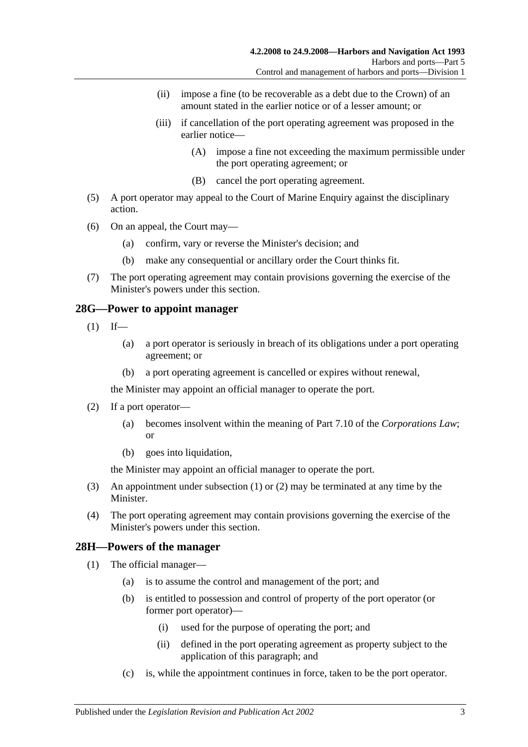- (ii) impose a fine (to be recoverable as a debt due to the Crown) of an amount stated in the earlier notice or of a lesser amount; or
- (iii) if cancellation of the port operating agreement was proposed in the earlier notice—
	- (A) impose a fine not exceeding the maximum permissible under the port operating agreement; or
	- (B) cancel the port operating agreement.
- (5) A port operator may appeal to the Court of Marine Enquiry against the disciplinary action.
- (6) On an appeal, the Court may—
	- (a) confirm, vary or reverse the Minister's decision; and
	- (b) make any consequential or ancillary order the Court thinks fit.
- (7) The port operating agreement may contain provisions governing the exercise of the Minister's powers under this section.

#### <span id="page-24-2"></span><span id="page-24-0"></span>**28G—Power to appoint manager**

- $(1)$  If—
	- (a) a port operator is seriously in breach of its obligations under a port operating agreement; or
	- (b) a port operating agreement is cancelled or expires without renewal,

the Minister may appoint an official manager to operate the port.

- <span id="page-24-3"></span>(2) If a port operator—
	- (a) becomes insolvent within the meaning of Part 7.10 of the *Corporations Law*; or
	- (b) goes into liquidation,

the Minister may appoint an official manager to operate the port.

- (3) An appointment under [subsection](#page-24-2) (1) or [\(2\)](#page-24-3) may be terminated at any time by the Minister.
- (4) The port operating agreement may contain provisions governing the exercise of the Minister's powers under this section.

## <span id="page-24-4"></span><span id="page-24-1"></span>**28H—Powers of the manager**

- (1) The official manager—
	- (a) is to assume the control and management of the port; and
	- (b) is entitled to possession and control of property of the port operator (or former port operator)—
		- (i) used for the purpose of operating the port; and
		- (ii) defined in the port operating agreement as property subject to the application of this paragraph; and
	- (c) is, while the appointment continues in force, taken to be the port operator.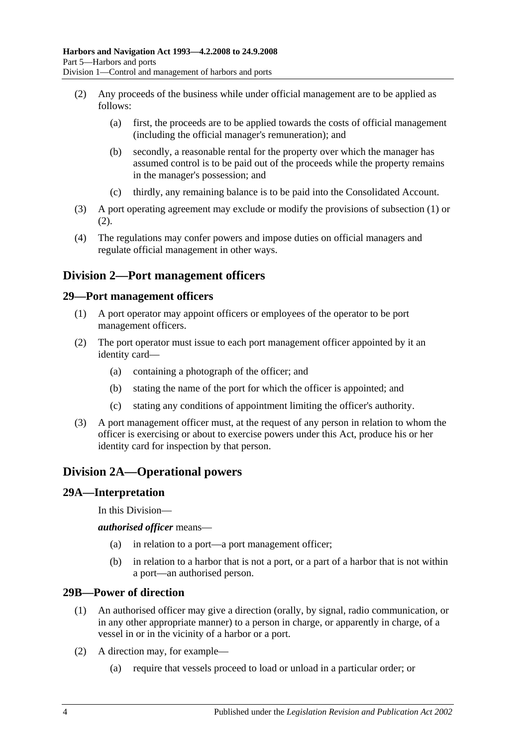- <span id="page-25-5"></span>(2) Any proceeds of the business while under official management are to be applied as follows:
	- (a) first, the proceeds are to be applied towards the costs of official management (including the official manager's remuneration); and
	- (b) secondly, a reasonable rental for the property over which the manager has assumed control is to be paid out of the proceeds while the property remains in the manager's possession; and
	- (c) thirdly, any remaining balance is to be paid into the Consolidated Account.
- (3) A port operating agreement may exclude or modify the provisions of [subsection](#page-24-4) (1) or [\(2\).](#page-25-5)
- (4) The regulations may confer powers and impose duties on official managers and regulate official management in other ways.

# <span id="page-25-0"></span>**Division 2—Port management officers**

#### <span id="page-25-1"></span>**29—Port management officers**

- (1) A port operator may appoint officers or employees of the operator to be port management officers.
- (2) The port operator must issue to each port management officer appointed by it an identity card—
	- (a) containing a photograph of the officer; and
	- (b) stating the name of the port for which the officer is appointed; and
	- (c) stating any conditions of appointment limiting the officer's authority.
- (3) A port management officer must, at the request of any person in relation to whom the officer is exercising or about to exercise powers under this Act, produce his or her identity card for inspection by that person.

# <span id="page-25-2"></span>**Division 2A—Operational powers**

#### <span id="page-25-3"></span>**29A—Interpretation**

In this Division—

*authorised officer* means—

- (a) in relation to a port—a port management officer;
- (b) in relation to a harbor that is not a port, or a part of a harbor that is not within a port—an authorised person.

#### <span id="page-25-4"></span>**29B—Power of direction**

- (1) An authorised officer may give a direction (orally, by signal, radio communication, or in any other appropriate manner) to a person in charge, or apparently in charge, of a vessel in or in the vicinity of a harbor or a port.
- (2) A direction may, for example—
	- (a) require that vessels proceed to load or unload in a particular order; or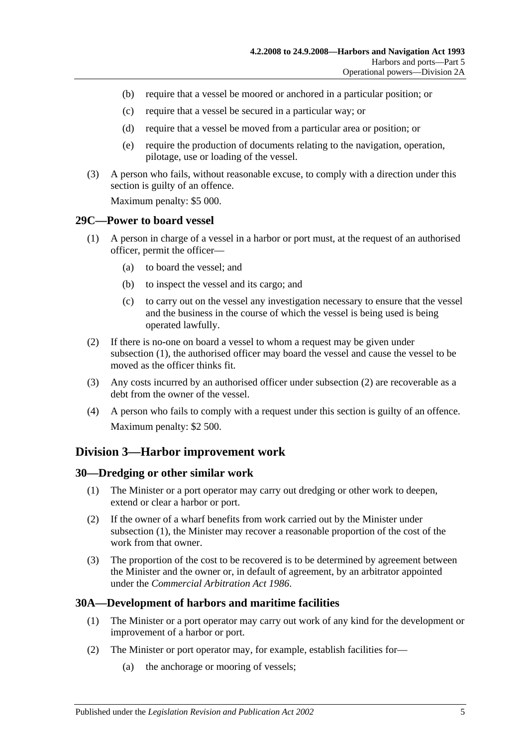- (b) require that a vessel be moored or anchored in a particular position; or
- (c) require that a vessel be secured in a particular way; or
- (d) require that a vessel be moved from a particular area or position; or
- (e) require the production of documents relating to the navigation, operation, pilotage, use or loading of the vessel.
- (3) A person who fails, without reasonable excuse, to comply with a direction under this section is guilty of an offence.

Maximum penalty: \$5 000.

#### <span id="page-26-4"></span><span id="page-26-0"></span>**29C—Power to board vessel**

- (1) A person in charge of a vessel in a harbor or port must, at the request of an authorised officer, permit the officer—
	- (a) to board the vessel; and
	- (b) to inspect the vessel and its cargo; and
	- (c) to carry out on the vessel any investigation necessary to ensure that the vessel and the business in the course of which the vessel is being used is being operated lawfully.
- <span id="page-26-5"></span>(2) If there is no-one on board a vessel to whom a request may be given under [subsection](#page-26-4) (1), the authorised officer may board the vessel and cause the vessel to be moved as the officer thinks fit.
- (3) Any costs incurred by an authorised officer under [subsection](#page-26-5) (2) are recoverable as a debt from the owner of the vessel.
- (4) A person who fails to comply with a request under this section is guilty of an offence. Maximum penalty: \$2 500.

## <span id="page-26-1"></span>**Division 3—Harbor improvement work**

#### <span id="page-26-6"></span><span id="page-26-2"></span>**30—Dredging or other similar work**

- (1) The Minister or a port operator may carry out dredging or other work to deepen, extend or clear a harbor or port.
- (2) If the owner of a wharf benefits from work carried out by the Minister under [subsection](#page-26-6) (1), the Minister may recover a reasonable proportion of the cost of the work from that owner.
- (3) The proportion of the cost to be recovered is to be determined by agreement between the Minister and the owner or, in default of agreement, by an arbitrator appointed under the *[Commercial Arbitration Act](http://www.legislation.sa.gov.au/index.aspx?action=legref&type=act&legtitle=Commercial%20Arbitration%20Act%201986) 1986*.

## <span id="page-26-3"></span>**30A—Development of harbors and maritime facilities**

- (1) The Minister or a port operator may carry out work of any kind for the development or improvement of a harbor or port.
- (2) The Minister or port operator may, for example, establish facilities for—
	- (a) the anchorage or mooring of vessels;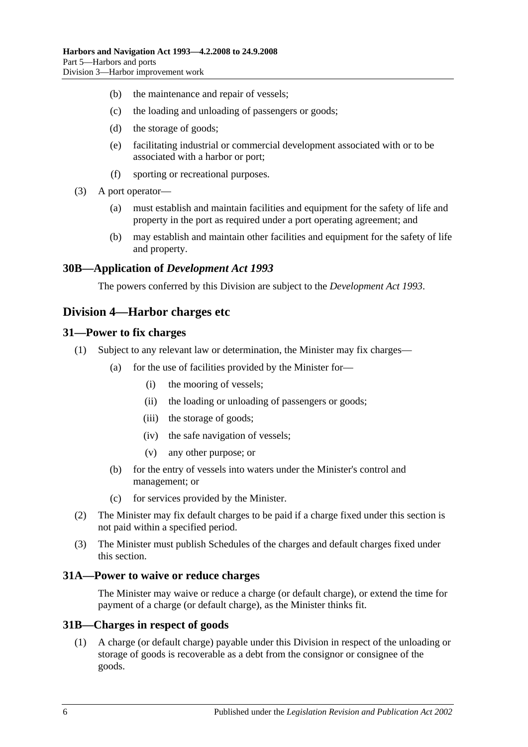- (b) the maintenance and repair of vessels;
- (c) the loading and unloading of passengers or goods;
- (d) the storage of goods;
- (e) facilitating industrial or commercial development associated with or to be associated with a harbor or port;
- (f) sporting or recreational purposes.
- (3) A port operator—
	- (a) must establish and maintain facilities and equipment for the safety of life and property in the port as required under a port operating agreement; and
	- (b) may establish and maintain other facilities and equipment for the safety of life and property.

#### <span id="page-27-0"></span>**30B—Application of** *Development Act 1993*

The powers conferred by this Division are subject to the *[Development Act](http://www.legislation.sa.gov.au/index.aspx?action=legref&type=act&legtitle=Development%20Act%201993) 1993*.

## <span id="page-27-1"></span>**Division 4—Harbor charges etc**

#### <span id="page-27-2"></span>**31—Power to fix charges**

- (1) Subject to any relevant law or determination, the Minister may fix charges—
	- (a) for the use of facilities provided by the Minister for—
		- (i) the mooring of vessels;
		- (ii) the loading or unloading of passengers or goods;
		- (iii) the storage of goods;
		- (iv) the safe navigation of vessels;
		- (v) any other purpose; or
	- (b) for the entry of vessels into waters under the Minister's control and management; or
	- (c) for services provided by the Minister.
- (2) The Minister may fix default charges to be paid if a charge fixed under this section is not paid within a specified period.
- (3) The Minister must publish Schedules of the charges and default charges fixed under this section.

#### <span id="page-27-3"></span>**31A—Power to waive or reduce charges**

The Minister may waive or reduce a charge (or default charge), or extend the time for payment of a charge (or default charge), as the Minister thinks fit.

#### <span id="page-27-4"></span>**31B—Charges in respect of goods**

(1) A charge (or default charge) payable under this Division in respect of the unloading or storage of goods is recoverable as a debt from the consignor or consignee of the goods.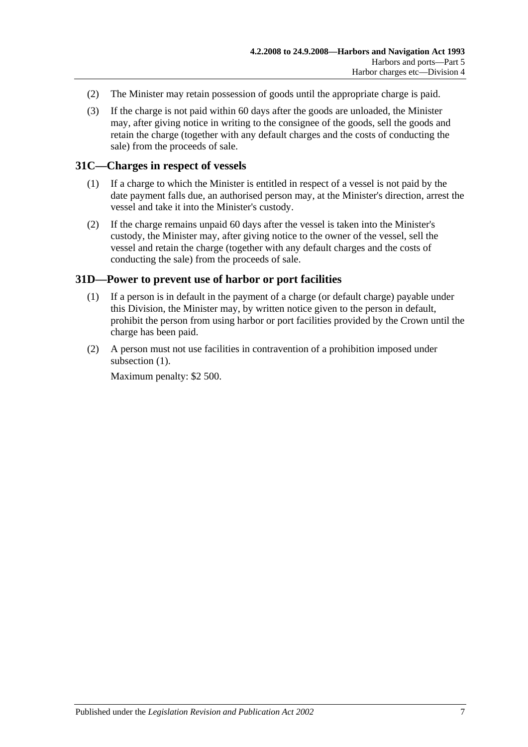- (2) The Minister may retain possession of goods until the appropriate charge is paid.
- (3) If the charge is not paid within 60 days after the goods are unloaded, the Minister may, after giving notice in writing to the consignee of the goods, sell the goods and retain the charge (together with any default charges and the costs of conducting the sale) from the proceeds of sale.

## <span id="page-28-0"></span>**31C—Charges in respect of vessels**

- (1) If a charge to which the Minister is entitled in respect of a vessel is not paid by the date payment falls due, an authorised person may, at the Minister's direction, arrest the vessel and take it into the Minister's custody.
- (2) If the charge remains unpaid 60 days after the vessel is taken into the Minister's custody, the Minister may, after giving notice to the owner of the vessel, sell the vessel and retain the charge (together with any default charges and the costs of conducting the sale) from the proceeds of sale.

## <span id="page-28-2"></span><span id="page-28-1"></span>**31D—Power to prevent use of harbor or port facilities**

- (1) If a person is in default in the payment of a charge (or default charge) payable under this Division, the Minister may, by written notice given to the person in default, prohibit the person from using harbor or port facilities provided by the Crown until the charge has been paid.
- (2) A person must not use facilities in contravention of a prohibition imposed under [subsection](#page-28-2)  $(1)$ .

Maximum penalty: \$2 500.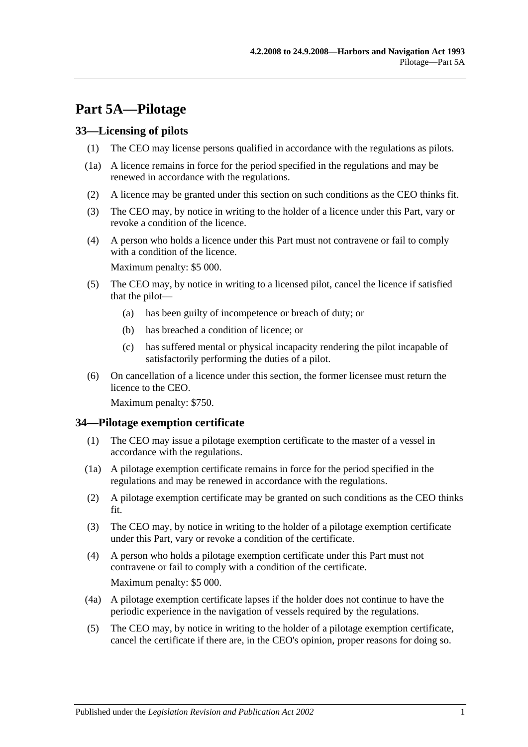# <span id="page-30-0"></span>**Part 5A—Pilotage**

#### <span id="page-30-1"></span>**33—Licensing of pilots**

- (1) The CEO may license persons qualified in accordance with the regulations as pilots.
- (1a) A licence remains in force for the period specified in the regulations and may be renewed in accordance with the regulations.
- (2) A licence may be granted under this section on such conditions as the CEO thinks fit.
- (3) The CEO may, by notice in writing to the holder of a licence under this Part, vary or revoke a condition of the licence.
- (4) A person who holds a licence under this Part must not contravene or fail to comply with a condition of the licence.

Maximum penalty: \$5 000.

- (5) The CEO may, by notice in writing to a licensed pilot, cancel the licence if satisfied that the pilot—
	- (a) has been guilty of incompetence or breach of duty; or
	- (b) has breached a condition of licence; or
	- (c) has suffered mental or physical incapacity rendering the pilot incapable of satisfactorily performing the duties of a pilot.
- (6) On cancellation of a licence under this section, the former licensee must return the licence to the CEO.

Maximum penalty: \$750.

#### <span id="page-30-2"></span>**34—Pilotage exemption certificate**

- (1) The CEO may issue a pilotage exemption certificate to the master of a vessel in accordance with the regulations.
- (1a) A pilotage exemption certificate remains in force for the period specified in the regulations and may be renewed in accordance with the regulations.
- (2) A pilotage exemption certificate may be granted on such conditions as the CEO thinks fit.
- (3) The CEO may, by notice in writing to the holder of a pilotage exemption certificate under this Part, vary or revoke a condition of the certificate.
- (4) A person who holds a pilotage exemption certificate under this Part must not contravene or fail to comply with a condition of the certificate. Maximum penalty: \$5 000.
- (4a) A pilotage exemption certificate lapses if the holder does not continue to have the periodic experience in the navigation of vessels required by the regulations.
- (5) The CEO may, by notice in writing to the holder of a pilotage exemption certificate, cancel the certificate if there are, in the CEO's opinion, proper reasons for doing so.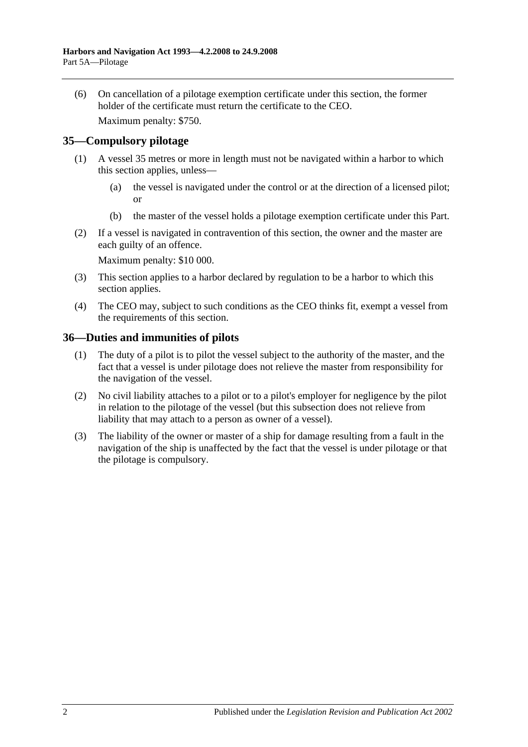(6) On cancellation of a pilotage exemption certificate under this section, the former holder of the certificate must return the certificate to the CEO.

Maximum penalty: \$750.

## <span id="page-31-0"></span>**35—Compulsory pilotage**

- (1) A vessel 35 metres or more in length must not be navigated within a harbor to which this section applies, unless—
	- (a) the vessel is navigated under the control or at the direction of a licensed pilot; or
	- (b) the master of the vessel holds a pilotage exemption certificate under this Part.
- (2) If a vessel is navigated in contravention of this section, the owner and the master are each guilty of an offence.

Maximum penalty: \$10 000.

- (3) This section applies to a harbor declared by regulation to be a harbor to which this section applies.
- (4) The CEO may, subject to such conditions as the CEO thinks fit, exempt a vessel from the requirements of this section.

#### <span id="page-31-1"></span>**36—Duties and immunities of pilots**

- (1) The duty of a pilot is to pilot the vessel subject to the authority of the master, and the fact that a vessel is under pilotage does not relieve the master from responsibility for the navigation of the vessel.
- (2) No civil liability attaches to a pilot or to a pilot's employer for negligence by the pilot in relation to the pilotage of the vessel (but this subsection does not relieve from liability that may attach to a person as owner of a vessel).
- (3) The liability of the owner or master of a ship for damage resulting from a fault in the navigation of the ship is unaffected by the fact that the vessel is under pilotage or that the pilotage is compulsory.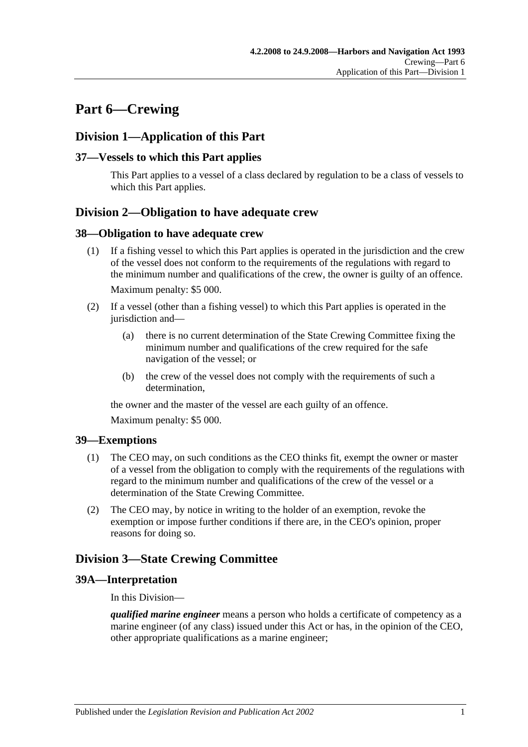# <span id="page-32-0"></span>**Part 6—Crewing**

# <span id="page-32-1"></span>**Division 1—Application of this Part**

## <span id="page-32-2"></span>**37—Vessels to which this Part applies**

This Part applies to a vessel of a class declared by regulation to be a class of vessels to which this Part applies.

# <span id="page-32-3"></span>**Division 2—Obligation to have adequate crew**

#### <span id="page-32-4"></span>**38—Obligation to have adequate crew**

- (1) If a fishing vessel to which this Part applies is operated in the jurisdiction and the crew of the vessel does not conform to the requirements of the regulations with regard to the minimum number and qualifications of the crew, the owner is guilty of an offence. Maximum penalty: \$5 000.
- (2) If a vessel (other than a fishing vessel) to which this Part applies is operated in the jurisdiction and—
	- (a) there is no current determination of the State Crewing Committee fixing the minimum number and qualifications of the crew required for the safe navigation of the vessel; or
	- (b) the crew of the vessel does not comply with the requirements of such a determination,

the owner and the master of the vessel are each guilty of an offence.

Maximum penalty: \$5 000.

## <span id="page-32-5"></span>**39—Exemptions**

- (1) The CEO may, on such conditions as the CEO thinks fit, exempt the owner or master of a vessel from the obligation to comply with the requirements of the regulations with regard to the minimum number and qualifications of the crew of the vessel or a determination of the State Crewing Committee.
- (2) The CEO may, by notice in writing to the holder of an exemption, revoke the exemption or impose further conditions if there are, in the CEO's opinion, proper reasons for doing so.

# <span id="page-32-6"></span>**Division 3—State Crewing Committee**

## <span id="page-32-7"></span>**39A—Interpretation**

In this Division—

*qualified marine engineer* means a person who holds a certificate of competency as a marine engineer (of any class) issued under this Act or has, in the opinion of the CEO, other appropriate qualifications as a marine engineer;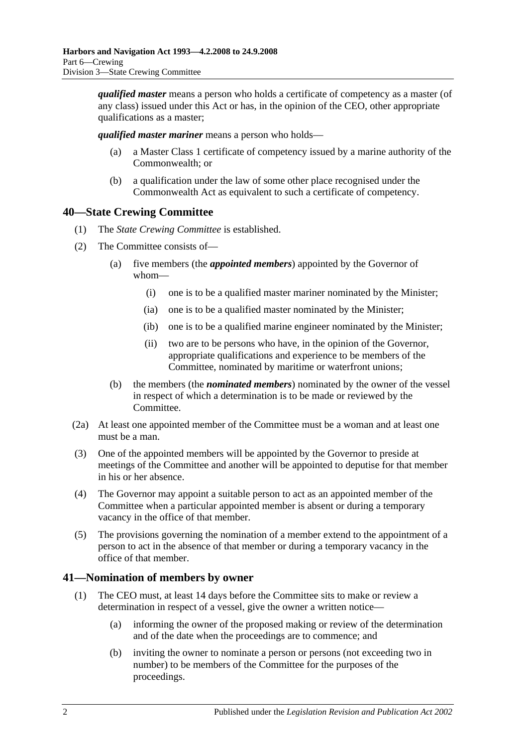*qualified master* means a person who holds a certificate of competency as a master (of any class) issued under this Act or has, in the opinion of the CEO, other appropriate qualifications as a master;

*qualified master mariner* means a person who holds—

- (a) a Master Class 1 certificate of competency issued by a marine authority of the Commonwealth; or
- (b) a qualification under the law of some other place recognised under the Commonwealth Act as equivalent to such a certificate of competency.

## <span id="page-33-0"></span>**40—State Crewing Committee**

- (1) The *State Crewing Committee* is established.
- (2) The Committee consists of—
	- (a) five members (the *appointed members*) appointed by the Governor of whom—
		- (i) one is to be a qualified master mariner nominated by the Minister;
		- (ia) one is to be a qualified master nominated by the Minister;
		- (ib) one is to be a qualified marine engineer nominated by the Minister;
		- (ii) two are to be persons who have, in the opinion of the Governor, appropriate qualifications and experience to be members of the Committee, nominated by maritime or waterfront unions;
	- (b) the members (the *nominated members*) nominated by the owner of the vessel in respect of which a determination is to be made or reviewed by the Committee.
- (2a) At least one appointed member of the Committee must be a woman and at least one must be a man.
- (3) One of the appointed members will be appointed by the Governor to preside at meetings of the Committee and another will be appointed to deputise for that member in his or her absence.
- (4) The Governor may appoint a suitable person to act as an appointed member of the Committee when a particular appointed member is absent or during a temporary vacancy in the office of that member.
- (5) The provisions governing the nomination of a member extend to the appointment of a person to act in the absence of that member or during a temporary vacancy in the office of that member.

## <span id="page-33-1"></span>**41—Nomination of members by owner**

- (1) The CEO must, at least 14 days before the Committee sits to make or review a determination in respect of a vessel, give the owner a written notice—
	- (a) informing the owner of the proposed making or review of the determination and of the date when the proceedings are to commence; and
	- (b) inviting the owner to nominate a person or persons (not exceeding two in number) to be members of the Committee for the purposes of the proceedings.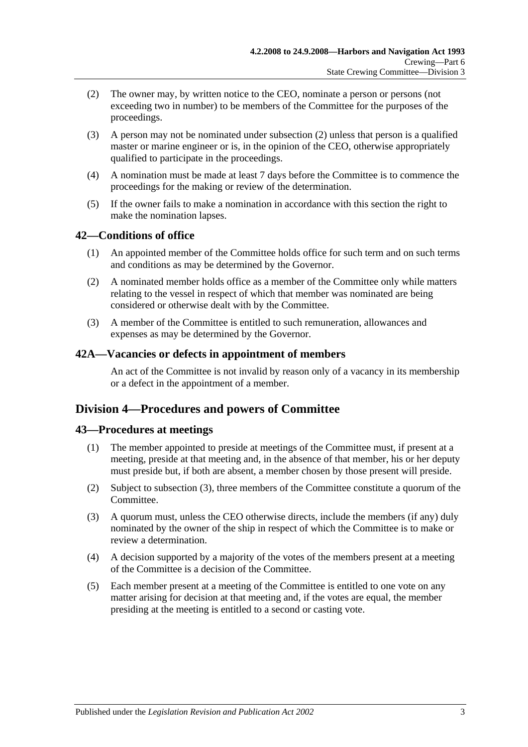- <span id="page-34-4"></span>(2) The owner may, by written notice to the CEO, nominate a person or persons (not exceeding two in number) to be members of the Committee for the purposes of the proceedings.
- (3) A person may not be nominated under [subsection](#page-34-4) (2) unless that person is a qualified master or marine engineer or is, in the opinion of the CEO, otherwise appropriately qualified to participate in the proceedings.
- (4) A nomination must be made at least 7 days before the Committee is to commence the proceedings for the making or review of the determination.
- (5) If the owner fails to make a nomination in accordance with this section the right to make the nomination lapses.

## <span id="page-34-0"></span>**42—Conditions of office**

- (1) An appointed member of the Committee holds office for such term and on such terms and conditions as may be determined by the Governor.
- (2) A nominated member holds office as a member of the Committee only while matters relating to the vessel in respect of which that member was nominated are being considered or otherwise dealt with by the Committee.
- (3) A member of the Committee is entitled to such remuneration, allowances and expenses as may be determined by the Governor.

#### <span id="page-34-1"></span>**42A—Vacancies or defects in appointment of members**

An act of the Committee is not invalid by reason only of a vacancy in its membership or a defect in the appointment of a member.

# <span id="page-34-2"></span>**Division 4—Procedures and powers of Committee**

## <span id="page-34-3"></span>**43—Procedures at meetings**

- (1) The member appointed to preside at meetings of the Committee must, if present at a meeting, preside at that meeting and, in the absence of that member, his or her deputy must preside but, if both are absent, a member chosen by those present will preside.
- (2) Subject to [subsection](#page-34-5) (3), three members of the Committee constitute a quorum of the Committee.
- <span id="page-34-5"></span>(3) A quorum must, unless the CEO otherwise directs, include the members (if any) duly nominated by the owner of the ship in respect of which the Committee is to make or review a determination.
- (4) A decision supported by a majority of the votes of the members present at a meeting of the Committee is a decision of the Committee.
- (5) Each member present at a meeting of the Committee is entitled to one vote on any matter arising for decision at that meeting and, if the votes are equal, the member presiding at the meeting is entitled to a second or casting vote.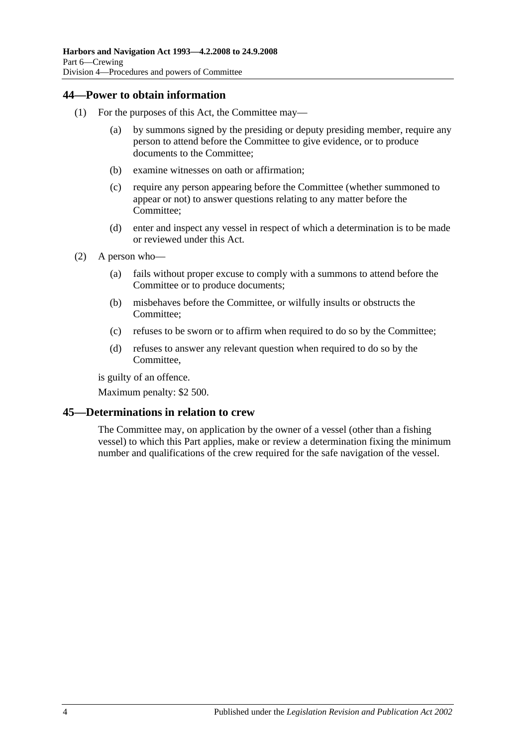## <span id="page-35-0"></span>**44—Power to obtain information**

- (1) For the purposes of this Act, the Committee may—
	- (a) by summons signed by the presiding or deputy presiding member, require any person to attend before the Committee to give evidence, or to produce documents to the Committee;
	- (b) examine witnesses on oath or affirmation;
	- (c) require any person appearing before the Committee (whether summoned to appear or not) to answer questions relating to any matter before the Committee;
	- (d) enter and inspect any vessel in respect of which a determination is to be made or reviewed under this Act.
- (2) A person who—
	- (a) fails without proper excuse to comply with a summons to attend before the Committee or to produce documents;
	- (b) misbehaves before the Committee, or wilfully insults or obstructs the Committee;
	- (c) refuses to be sworn or to affirm when required to do so by the Committee;
	- (d) refuses to answer any relevant question when required to do so by the Committee,

is guilty of an offence.

Maximum penalty: \$2 500.

## <span id="page-35-1"></span>**45—Determinations in relation to crew**

The Committee may, on application by the owner of a vessel (other than a fishing vessel) to which this Part applies, make or review a determination fixing the minimum number and qualifications of the crew required for the safe navigation of the vessel.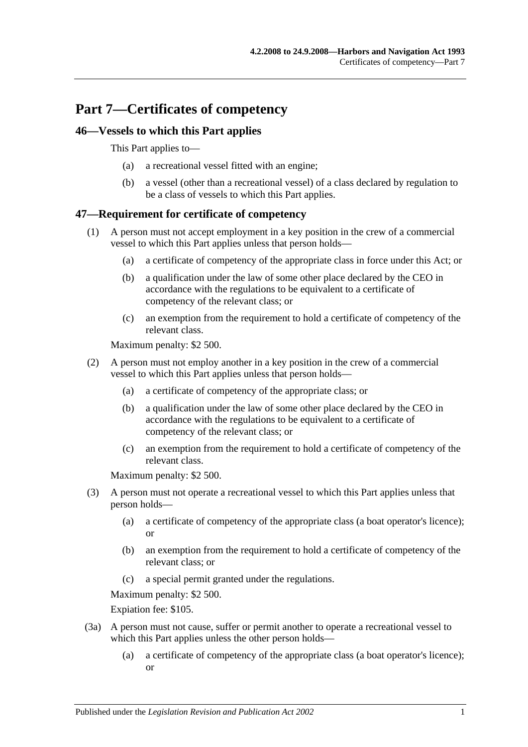# **Part 7—Certificates of competency**

## **46—Vessels to which this Part applies**

This Part applies to—

- (a) a recreational vessel fitted with an engine;
- (b) a vessel (other than a recreational vessel) of a class declared by regulation to be a class of vessels to which this Part applies.

# **47—Requirement for certificate of competency**

- (1) A person must not accept employment in a key position in the crew of a commercial vessel to which this Part applies unless that person holds—
	- (a) a certificate of competency of the appropriate class in force under this Act; or
	- (b) a qualification under the law of some other place declared by the CEO in accordance with the regulations to be equivalent to a certificate of competency of the relevant class; or
	- (c) an exemption from the requirement to hold a certificate of competency of the relevant class.

Maximum penalty: \$2 500.

- (2) A person must not employ another in a key position in the crew of a commercial vessel to which this Part applies unless that person holds—
	- (a) a certificate of competency of the appropriate class; or
	- (b) a qualification under the law of some other place declared by the CEO in accordance with the regulations to be equivalent to a certificate of competency of the relevant class; or
	- (c) an exemption from the requirement to hold a certificate of competency of the relevant class.

Maximum penalty: \$2 500.

- (3) A person must not operate a recreational vessel to which this Part applies unless that person holds—
	- (a) a certificate of competency of the appropriate class (a boat operator's licence); or
	- (b) an exemption from the requirement to hold a certificate of competency of the relevant class; or
	- (c) a special permit granted under the regulations.

Maximum penalty: \$2 500.

Expiation fee: \$105.

- (3a) A person must not cause, suffer or permit another to operate a recreational vessel to which this Part applies unless the other person holds—
	- (a) a certificate of competency of the appropriate class (a boat operator's licence); or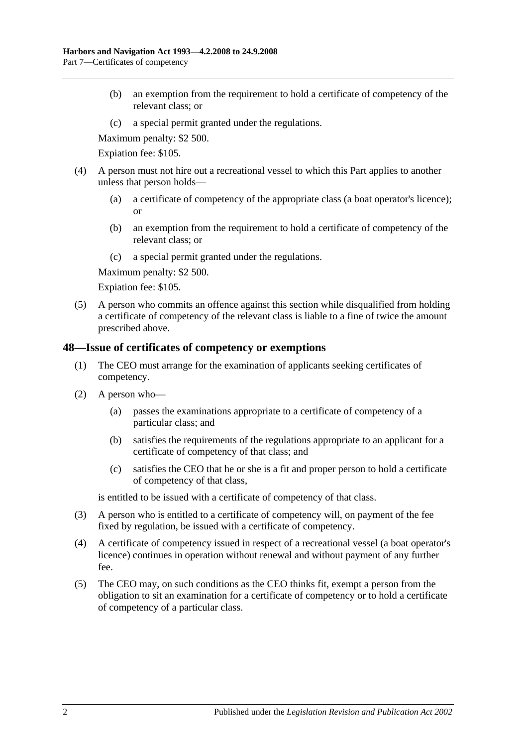- (b) an exemption from the requirement to hold a certificate of competency of the relevant class; or
- (c) a special permit granted under the regulations.

Maximum penalty: \$2 500.

Expiation fee: \$105.

- (4) A person must not hire out a recreational vessel to which this Part applies to another unless that person holds—
	- (a) a certificate of competency of the appropriate class (a boat operator's licence); or
	- (b) an exemption from the requirement to hold a certificate of competency of the relevant class; or
	- (c) a special permit granted under the regulations.

Maximum penalty: \$2 500.

Expiation fee: \$105.

(5) A person who commits an offence against this section while disqualified from holding a certificate of competency of the relevant class is liable to a fine of twice the amount prescribed above.

#### **48—Issue of certificates of competency or exemptions**

- (1) The CEO must arrange for the examination of applicants seeking certificates of competency.
- (2) A person who—
	- (a) passes the examinations appropriate to a certificate of competency of a particular class; and
	- (b) satisfies the requirements of the regulations appropriate to an applicant for a certificate of competency of that class; and
	- (c) satisfies the CEO that he or she is a fit and proper person to hold a certificate of competency of that class,

is entitled to be issued with a certificate of competency of that class.

- (3) A person who is entitled to a certificate of competency will, on payment of the fee fixed by regulation, be issued with a certificate of competency.
- (4) A certificate of competency issued in respect of a recreational vessel (a boat operator's licence) continues in operation without renewal and without payment of any further fee.
- (5) The CEO may, on such conditions as the CEO thinks fit, exempt a person from the obligation to sit an examination for a certificate of competency or to hold a certificate of competency of a particular class.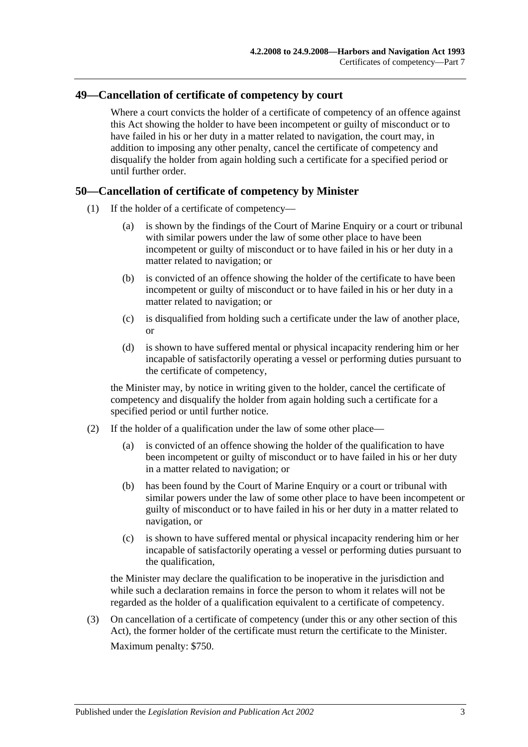## **49—Cancellation of certificate of competency by court**

Where a court convicts the holder of a certificate of competency of an offence against this Act showing the holder to have been incompetent or guilty of misconduct or to have failed in his or her duty in a matter related to navigation, the court may, in addition to imposing any other penalty, cancel the certificate of competency and disqualify the holder from again holding such a certificate for a specified period or until further order.

#### **50—Cancellation of certificate of competency by Minister**

- (1) If the holder of a certificate of competency—
	- (a) is shown by the findings of the Court of Marine Enquiry or a court or tribunal with similar powers under the law of some other place to have been incompetent or guilty of misconduct or to have failed in his or her duty in a matter related to navigation; or
	- (b) is convicted of an offence showing the holder of the certificate to have been incompetent or guilty of misconduct or to have failed in his or her duty in a matter related to navigation; or
	- (c) is disqualified from holding such a certificate under the law of another place, or
	- (d) is shown to have suffered mental or physical incapacity rendering him or her incapable of satisfactorily operating a vessel or performing duties pursuant to the certificate of competency,

the Minister may, by notice in writing given to the holder, cancel the certificate of competency and disqualify the holder from again holding such a certificate for a specified period or until further notice.

- (2) If the holder of a qualification under the law of some other place—
	- (a) is convicted of an offence showing the holder of the qualification to have been incompetent or guilty of misconduct or to have failed in his or her duty in a matter related to navigation; or
	- (b) has been found by the Court of Marine Enquiry or a court or tribunal with similar powers under the law of some other place to have been incompetent or guilty of misconduct or to have failed in his or her duty in a matter related to navigation, or
	- (c) is shown to have suffered mental or physical incapacity rendering him or her incapable of satisfactorily operating a vessel or performing duties pursuant to the qualification,

the Minister may declare the qualification to be inoperative in the jurisdiction and while such a declaration remains in force the person to whom it relates will not be regarded as the holder of a qualification equivalent to a certificate of competency.

(3) On cancellation of a certificate of competency (under this or any other section of this Act), the former holder of the certificate must return the certificate to the Minister. Maximum penalty: \$750.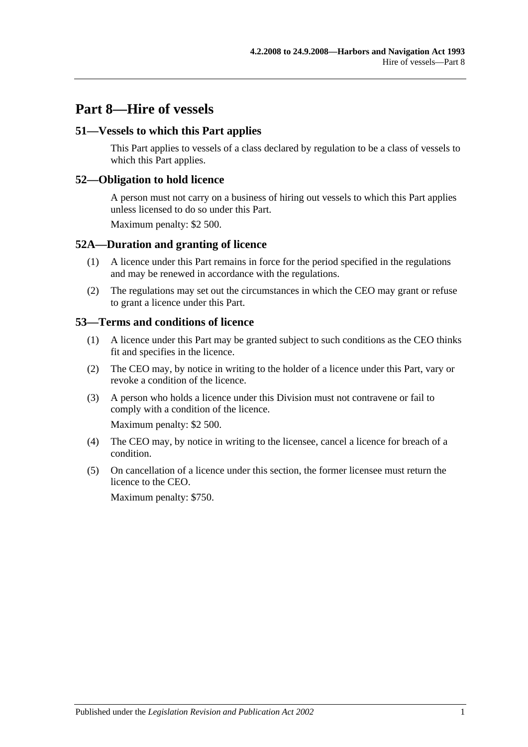# **Part 8—Hire of vessels**

### **51—Vessels to which this Part applies**

This Part applies to vessels of a class declared by regulation to be a class of vessels to which this Part applies.

### **52—Obligation to hold licence**

A person must not carry on a business of hiring out vessels to which this Part applies unless licensed to do so under this Part.

Maximum penalty: \$2 500.

#### **52A—Duration and granting of licence**

- (1) A licence under this Part remains in force for the period specified in the regulations and may be renewed in accordance with the regulations.
- (2) The regulations may set out the circumstances in which the CEO may grant or refuse to grant a licence under this Part.

#### **53—Terms and conditions of licence**

- (1) A licence under this Part may be granted subject to such conditions as the CEO thinks fit and specifies in the licence.
- (2) The CEO may, by notice in writing to the holder of a licence under this Part, vary or revoke a condition of the licence.
- (3) A person who holds a licence under this Division must not contravene or fail to comply with a condition of the licence.

Maximum penalty: \$2 500.

- (4) The CEO may, by notice in writing to the licensee, cancel a licence for breach of a condition.
- (5) On cancellation of a licence under this section, the former licensee must return the licence to the CEO.

Maximum penalty: \$750.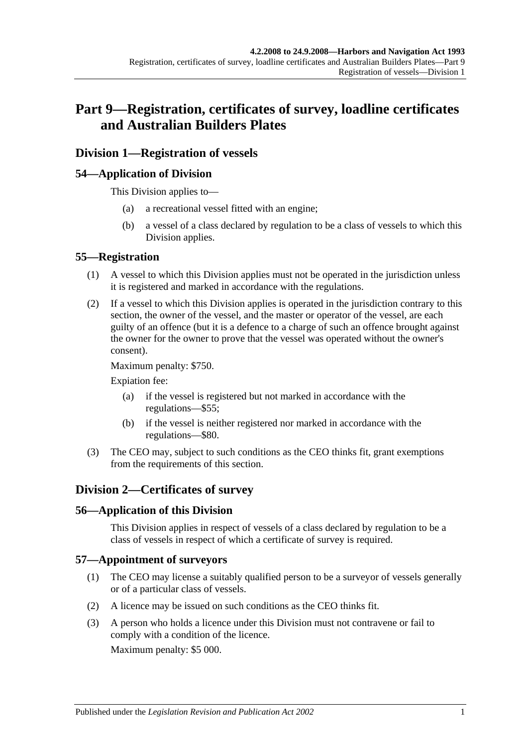# **Part 9—Registration, certificates of survey, loadline certificates and Australian Builders Plates**

# **Division 1—Registration of vessels**

# **54—Application of Division**

This Division applies to—

- (a) a recreational vessel fitted with an engine;
- (b) a vessel of a class declared by regulation to be a class of vessels to which this Division applies.

## **55—Registration**

- (1) A vessel to which this Division applies must not be operated in the jurisdiction unless it is registered and marked in accordance with the regulations.
- (2) If a vessel to which this Division applies is operated in the jurisdiction contrary to this section, the owner of the vessel, and the master or operator of the vessel, are each guilty of an offence (but it is a defence to a charge of such an offence brought against the owner for the owner to prove that the vessel was operated without the owner's consent).

Maximum penalty: \$750.

Expiation fee:

- (a) if the vessel is registered but not marked in accordance with the regulations—\$55;
- (b) if the vessel is neither registered nor marked in accordance with the regulations—\$80.
- (3) The CEO may, subject to such conditions as the CEO thinks fit, grant exemptions from the requirements of this section.

# **Division 2—Certificates of survey**

## **56—Application of this Division**

This Division applies in respect of vessels of a class declared by regulation to be a class of vessels in respect of which a certificate of survey is required.

## **57—Appointment of surveyors**

- (1) The CEO may license a suitably qualified person to be a surveyor of vessels generally or of a particular class of vessels.
- (2) A licence may be issued on such conditions as the CEO thinks fit.
- (3) A person who holds a licence under this Division must not contravene or fail to comply with a condition of the licence.

Maximum penalty: \$5 000.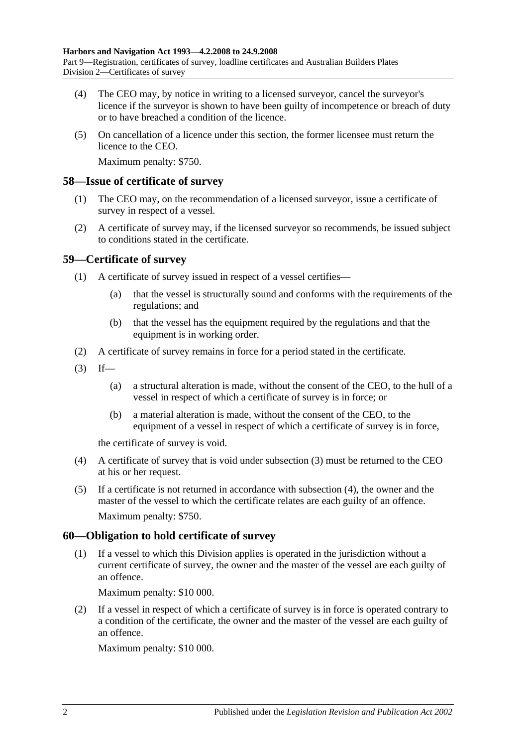- (4) The CEO may, by notice in writing to a licensed surveyor, cancel the surveyor's licence if the surveyor is shown to have been guilty of incompetence or breach of duty or to have breached a condition of the licence.
- (5) On cancellation of a licence under this section, the former licensee must return the licence to the CEO.

Maximum penalty: \$750.

#### **58—Issue of certificate of survey**

- (1) The CEO may, on the recommendation of a licensed surveyor, issue a certificate of survey in respect of a vessel.
- (2) A certificate of survey may, if the licensed surveyor so recommends, be issued subject to conditions stated in the certificate.

## **59—Certificate of survey**

- (1) A certificate of survey issued in respect of a vessel certifies—
	- (a) that the vessel is structurally sound and conforms with the requirements of the regulations; and
	- (b) that the vessel has the equipment required by the regulations and that the equipment is in working order.
- (2) A certificate of survey remains in force for a period stated in the certificate.
- <span id="page-43-0"></span> $(3)$  If—
	- (a) a structural alteration is made, without the consent of the CEO, to the hull of a vessel in respect of which a certificate of survey is in force; or
	- (b) a material alteration is made, without the consent of the CEO, to the equipment of a vessel in respect of which a certificate of survey is in force,

the certificate of survey is void.

- <span id="page-43-1"></span>(4) A certificate of survey that is void under [subsection](#page-43-0) (3) must be returned to the CEO at his or her request.
- (5) If a certificate is not returned in accordance with [subsection](#page-43-1) (4), the owner and the master of the vessel to which the certificate relates are each guilty of an offence. Maximum penalty: \$750.

## **60—Obligation to hold certificate of survey**

(1) If a vessel to which this Division applies is operated in the jurisdiction without a current certificate of survey, the owner and the master of the vessel are each guilty of an offence.

Maximum penalty: \$10 000.

(2) If a vessel in respect of which a certificate of survey is in force is operated contrary to a condition of the certificate, the owner and the master of the vessel are each guilty of an offence.

Maximum penalty: \$10 000.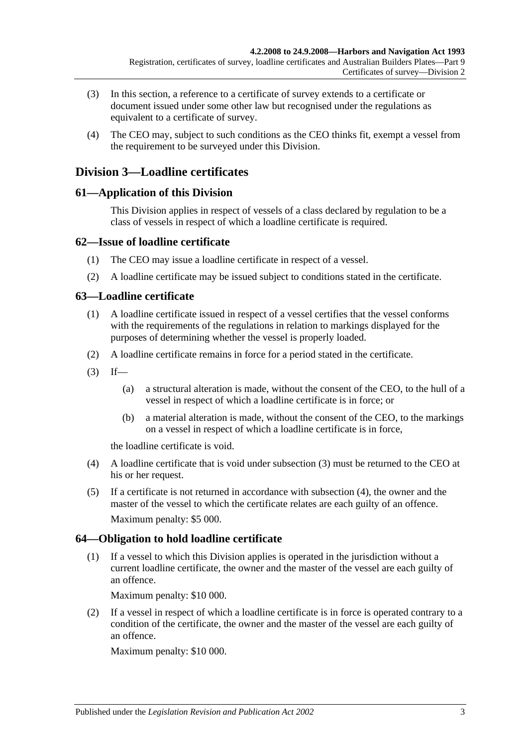- (3) In this section, a reference to a certificate of survey extends to a certificate or document issued under some other law but recognised under the regulations as equivalent to a certificate of survey.
- (4) The CEO may, subject to such conditions as the CEO thinks fit, exempt a vessel from the requirement to be surveyed under this Division.

# **Division 3—Loadline certificates**

# **61—Application of this Division**

This Division applies in respect of vessels of a class declared by regulation to be a class of vessels in respect of which a loadline certificate is required.

# **62—Issue of loadline certificate**

- (1) The CEO may issue a loadline certificate in respect of a vessel.
- (2) A loadline certificate may be issued subject to conditions stated in the certificate.

# **63—Loadline certificate**

- (1) A loadline certificate issued in respect of a vessel certifies that the vessel conforms with the requirements of the regulations in relation to markings displayed for the purposes of determining whether the vessel is properly loaded.
- (2) A loadline certificate remains in force for a period stated in the certificate.
- <span id="page-44-0"></span> $(3)$  If—
	- (a) a structural alteration is made, without the consent of the CEO, to the hull of a vessel in respect of which a loadline certificate is in force; or
	- (b) a material alteration is made, without the consent of the CEO, to the markings on a vessel in respect of which a loadline certificate is in force,

the loadline certificate is void.

- <span id="page-44-1"></span>(4) A loadline certificate that is void under [subsection](#page-44-0) (3) must be returned to the CEO at his or her request.
- (5) If a certificate is not returned in accordance with [subsection](#page-44-1) (4), the owner and the master of the vessel to which the certificate relates are each guilty of an offence. Maximum penalty: \$5 000.

# **64—Obligation to hold loadline certificate**

(1) If a vessel to which this Division applies is operated in the jurisdiction without a current loadline certificate, the owner and the master of the vessel are each guilty of an offence.

Maximum penalty: \$10 000.

(2) If a vessel in respect of which a loadline certificate is in force is operated contrary to a condition of the certificate, the owner and the master of the vessel are each guilty of an offence.

Maximum penalty: \$10 000.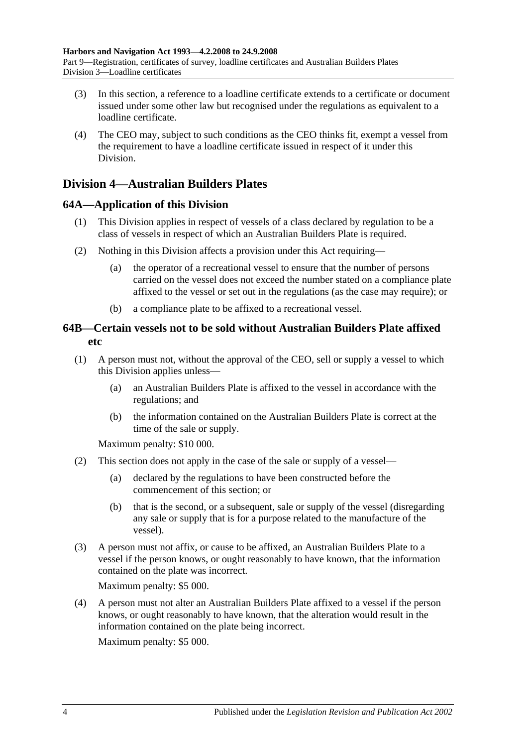- (3) In this section, a reference to a loadline certificate extends to a certificate or document issued under some other law but recognised under the regulations as equivalent to a loadline certificate.
- (4) The CEO may, subject to such conditions as the CEO thinks fit, exempt a vessel from the requirement to have a loadline certificate issued in respect of it under this Division.

# **Division 4—Australian Builders Plates**

# **64A—Application of this Division**

- (1) This Division applies in respect of vessels of a class declared by regulation to be a class of vessels in respect of which an Australian Builders Plate is required.
- (2) Nothing in this Division affects a provision under this Act requiring—
	- (a) the operator of a recreational vessel to ensure that the number of persons carried on the vessel does not exceed the number stated on a compliance plate affixed to the vessel or set out in the regulations (as the case may require); or
	- (b) a compliance plate to be affixed to a recreational vessel.

# **64B—Certain vessels not to be sold without Australian Builders Plate affixed etc**

- <span id="page-45-0"></span>(1) A person must not, without the approval of the CEO, sell or supply a vessel to which this Division applies unless—
	- (a) an Australian Builders Plate is affixed to the vessel in accordance with the regulations; and
	- (b) the information contained on the Australian Builders Plate is correct at the time of the sale or supply.

Maximum penalty: \$10 000.

- (2) This section does not apply in the case of the sale or supply of a vessel—
	- (a) declared by the regulations to have been constructed before the commencement of this section; or
	- (b) that is the second, or a subsequent, sale or supply of the vessel (disregarding any sale or supply that is for a purpose related to the manufacture of the vessel).
- (3) A person must not affix, or cause to be affixed, an Australian Builders Plate to a vessel if the person knows, or ought reasonably to have known, that the information contained on the plate was incorrect.

Maximum penalty: \$5 000.

(4) A person must not alter an Australian Builders Plate affixed to a vessel if the person knows, or ought reasonably to have known, that the alteration would result in the information contained on the plate being incorrect.

Maximum penalty: \$5 000.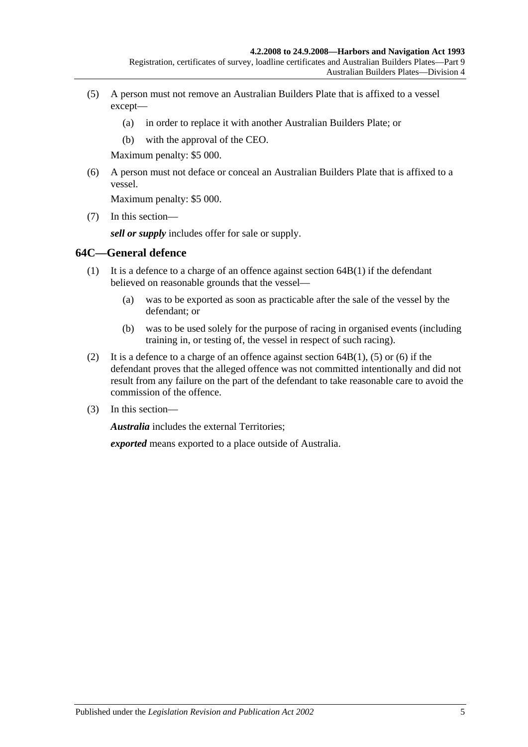- <span id="page-46-0"></span>(5) A person must not remove an Australian Builders Plate that is affixed to a vessel except—
	- (a) in order to replace it with another Australian Builders Plate; or
	- (b) with the approval of the CEO.

Maximum penalty: \$5 000.

<span id="page-46-1"></span>(6) A person must not deface or conceal an Australian Builders Plate that is affixed to a vessel.

Maximum penalty: \$5 000.

(7) In this section—

*sell or supply* includes offer for sale or supply.

### **64C—General defence**

- (1) It is a defence to a charge of an offence against [section](#page-45-0) 64B(1) if the defendant believed on reasonable grounds that the vessel—
	- (a) was to be exported as soon as practicable after the sale of the vessel by the defendant; or
	- (b) was to be used solely for the purpose of racing in organised events (including training in, or testing of, the vessel in respect of such racing).
- (2) It is a defence to a charge of an offence against [section](#page-45-0)  $64B(1)$ , [\(5\)](#page-46-0) or [\(6\)](#page-46-1) if the defendant proves that the alleged offence was not committed intentionally and did not result from any failure on the part of the defendant to take reasonable care to avoid the commission of the offence.
- (3) In this section—

*Australia* includes the external Territories;

*exported* means exported to a place outside of Australia.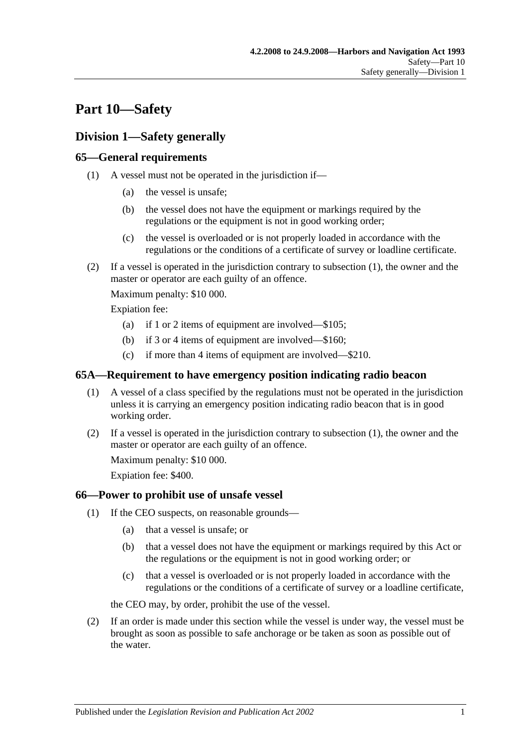# **Part 10—Safety**

# **Division 1—Safety generally**

# <span id="page-48-0"></span>**65—General requirements**

- (1) A vessel must not be operated in the jurisdiction if—
	- (a) the vessel is unsafe;
	- (b) the vessel does not have the equipment or markings required by the regulations or the equipment is not in good working order;
	- (c) the vessel is overloaded or is not properly loaded in accordance with the regulations or the conditions of a certificate of survey or loadline certificate.
- (2) If a vessel is operated in the jurisdiction contrary to [subsection](#page-48-0) (1), the owner and the master or operator are each guilty of an offence.

Maximum penalty: \$10 000.

Expiation fee:

- (a) if 1 or 2 items of equipment are involved—\$105;
- (b) if 3 or 4 items of equipment are involved—\$160;
- (c) if more than 4 items of equipment are involved—\$210.

### <span id="page-48-1"></span>**65A—Requirement to have emergency position indicating radio beacon**

- (1) A vessel of a class specified by the regulations must not be operated in the jurisdiction unless it is carrying an emergency position indicating radio beacon that is in good working order.
- (2) If a vessel is operated in the jurisdiction contrary to [subsection](#page-48-1) (1), the owner and the master or operator are each guilty of an offence.

Maximum penalty: \$10 000.

Expiation fee: \$400.

## <span id="page-48-3"></span>**66—Power to prohibit use of unsafe vessel**

- (1) If the CEO suspects, on reasonable grounds—
	- (a) that a vessel is unsafe; or
	- (b) that a vessel does not have the equipment or markings required by this Act or the regulations or the equipment is not in good working order; or
	- (c) that a vessel is overloaded or is not properly loaded in accordance with the regulations or the conditions of a certificate of survey or a loadline certificate,

the CEO may, by order, prohibit the use of the vessel.

<span id="page-48-2"></span>(2) If an order is made under this section while the vessel is under way, the vessel must be brought as soon as possible to safe anchorage or be taken as soon as possible out of the water.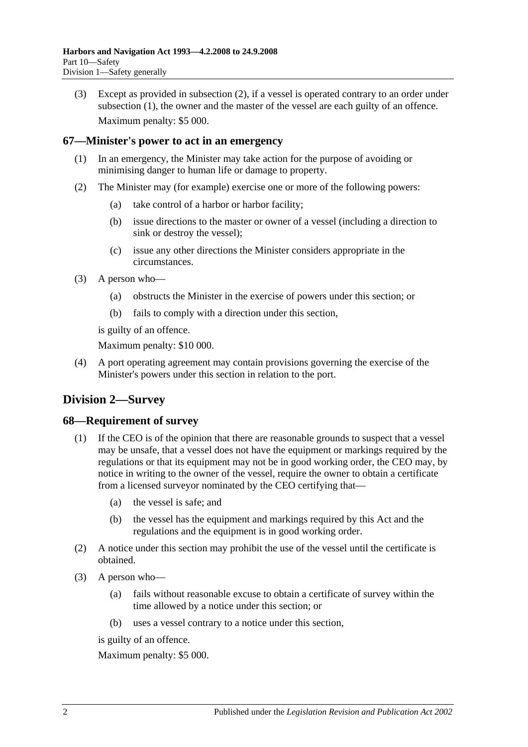(3) Except as provided in [subsection](#page-48-2) (2), if a vessel is operated contrary to an order under [subsection](#page-48-3) (1), the owner and the master of the vessel are each guilty of an offence. Maximum penalty: \$5 000.

## **67—Minister's power to act in an emergency**

- (1) In an emergency, the Minister may take action for the purpose of avoiding or minimising danger to human life or damage to property.
- (2) The Minister may (for example) exercise one or more of the following powers:
	- (a) take control of a harbor or harbor facility;
	- (b) issue directions to the master or owner of a vessel (including a direction to sink or destroy the vessel);
	- (c) issue any other directions the Minister considers appropriate in the circumstances.
- (3) A person who—
	- (a) obstructs the Minister in the exercise of powers under this section; or
	- (b) fails to comply with a direction under this section,

is guilty of an offence.

Maximum penalty: \$10 000.

(4) A port operating agreement may contain provisions governing the exercise of the Minister's powers under this section in relation to the port.

# **Division 2—Survey**

#### **68—Requirement of survey**

- (1) If the CEO is of the opinion that there are reasonable grounds to suspect that a vessel may be unsafe, that a vessel does not have the equipment or markings required by the regulations or that its equipment may not be in good working order, the CEO may, by notice in writing to the owner of the vessel, require the owner to obtain a certificate from a licensed surveyor nominated by the CEO certifying that—
	- (a) the vessel is safe; and
	- (b) the vessel has the equipment and markings required by this Act and the regulations and the equipment is in good working order.
- (2) A notice under this section may prohibit the use of the vessel until the certificate is obtained.
- (3) A person who—
	- (a) fails without reasonable excuse to obtain a certificate of survey within the time allowed by a notice under this section; or
	- (b) uses a vessel contrary to a notice under this section,

is guilty of an offence.

Maximum penalty: \$5 000.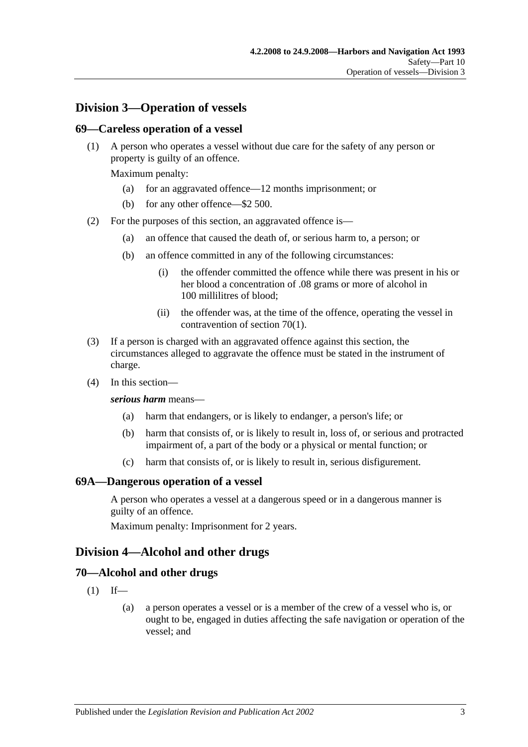# **Division 3—Operation of vessels**

### **69—Careless operation of a vessel**

(1) A person who operates a vessel without due care for the safety of any person or property is guilty of an offence.

Maximum penalty:

- (a) for an aggravated offence—12 months imprisonment; or
- (b) for any other offence—\$2 500.
- (2) For the purposes of this section, an aggravated offence is—
	- (a) an offence that caused the death of, or serious harm to, a person; or
	- (b) an offence committed in any of the following circumstances:
		- (i) the offender committed the offence while there was present in his or her blood a concentration of .08 grams or more of alcohol in 100 millilitres of blood;
		- (ii) the offender was, at the time of the offence, operating the vessel in contravention of [section](#page-50-0) 70(1).
- (3) If a person is charged with an aggravated offence against this section, the circumstances alleged to aggravate the offence must be stated in the instrument of charge.
- (4) In this section—

#### *serious harm* means—

- (a) harm that endangers, or is likely to endanger, a person's life; or
- (b) harm that consists of, or is likely to result in, loss of, or serious and protracted impairment of, a part of the body or a physical or mental function; or
- (c) harm that consists of, or is likely to result in, serious disfigurement.

#### **69A—Dangerous operation of a vessel**

A person who operates a vessel at a dangerous speed or in a dangerous manner is guilty of an offence.

Maximum penalty: Imprisonment for 2 years.

## **Division 4—Alcohol and other drugs**

#### <span id="page-50-0"></span>**70—Alcohol and other drugs**

- $(1)$  If—
	- (a) a person operates a vessel or is a member of the crew of a vessel who is, or ought to be, engaged in duties affecting the safe navigation or operation of the vessel; and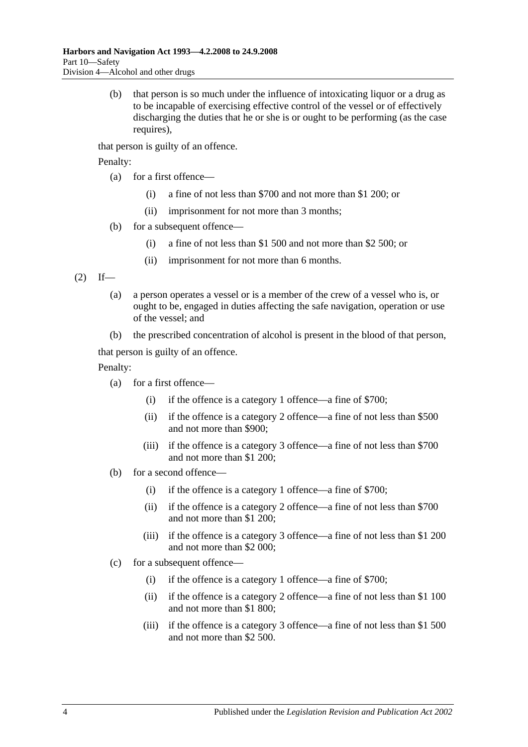(b) that person is so much under the influence of intoxicating liquor or a drug as to be incapable of exercising effective control of the vessel or of effectively discharging the duties that he or she is or ought to be performing (as the case requires).

that person is guilty of an offence.

Penalty:

- (a) for a first offence—
	- (i) a fine of not less than \$700 and not more than \$1 200; or
	- (ii) imprisonment for not more than 3 months;
- (b) for a subsequent offence—
	- (i) a fine of not less than \$1 500 and not more than \$2 500; or
	- (ii) imprisonment for not more than 6 months.

<span id="page-51-0"></span> $(2)$  If—

- (a) a person operates a vessel or is a member of the crew of a vessel who is, or ought to be, engaged in duties affecting the safe navigation, operation or use of the vessel; and
- (b) the prescribed concentration of alcohol is present in the blood of that person,

that person is guilty of an offence.

Penalty:

- (a) for a first offence—
	- (i) if the offence is a category 1 offence—a fine of \$700;
	- (ii) if the offence is a category 2 offence—a fine of not less than \$500 and not more than \$900;
	- (iii) if the offence is a category 3 offence—a fine of not less than \$700 and not more than \$1 200;
- (b) for a second offence—
	- (i) if the offence is a category 1 offence—a fine of \$700;
	- (ii) if the offence is a category 2 offence—a fine of not less than \$700 and not more than \$1 200;
	- (iii) if the offence is a category 3 offence—a fine of not less than \$1 200 and not more than \$2 000;
- (c) for a subsequent offence—
	- (i) if the offence is a category 1 offence—a fine of \$700;
	- (ii) if the offence is a category 2 offence—a fine of not less than \$1 100 and not more than \$1 800;
	- (iii) if the offence is a category 3 offence—a fine of not less than \$1 500 and not more than \$2 500.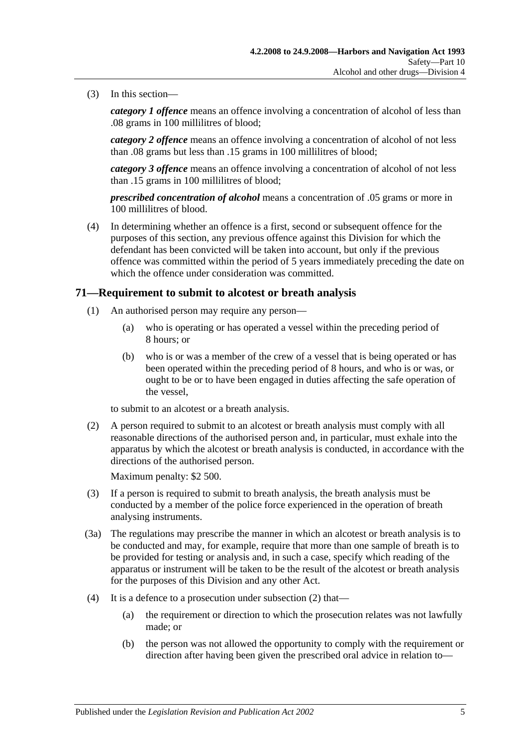(3) In this section—

*category 1 offence* means an offence involving a concentration of alcohol of less than .08 grams in 100 millilitres of blood;

*category 2 offence* means an offence involving a concentration of alcohol of not less than .08 grams but less than .15 grams in 100 millilitres of blood;

*category 3 offence* means an offence involving a concentration of alcohol of not less than .15 grams in 100 millilitres of blood;

*prescribed concentration of alcohol* means a concentration of .05 grams or more in 100 millilitres of blood.

(4) In determining whether an offence is a first, second or subsequent offence for the purposes of this section, any previous offence against this Division for which the defendant has been convicted will be taken into account, but only if the previous offence was committed within the period of 5 years immediately preceding the date on which the offence under consideration was committed.

### <span id="page-52-1"></span>**71—Requirement to submit to alcotest or breath analysis**

- (1) An authorised person may require any person—
	- (a) who is operating or has operated a vessel within the preceding period of 8 hours; or
	- (b) who is or was a member of the crew of a vessel that is being operated or has been operated within the preceding period of 8 hours, and who is or was, or ought to be or to have been engaged in duties affecting the safe operation of the vessel,

to submit to an alcotest or a breath analysis.

<span id="page-52-0"></span>(2) A person required to submit to an alcotest or breath analysis must comply with all reasonable directions of the authorised person and, in particular, must exhale into the apparatus by which the alcotest or breath analysis is conducted, in accordance with the directions of the authorised person.

Maximum penalty: \$2 500.

- (3) If a person is required to submit to breath analysis, the breath analysis must be conducted by a member of the police force experienced in the operation of breath analysing instruments.
- (3a) The regulations may prescribe the manner in which an alcotest or breath analysis is to be conducted and may, for example, require that more than one sample of breath is to be provided for testing or analysis and, in such a case, specify which reading of the apparatus or instrument will be taken to be the result of the alcotest or breath analysis for the purposes of this Division and any other Act.
- (4) It is a defence to a prosecution under [subsection](#page-52-0) (2) that—
	- (a) the requirement or direction to which the prosecution relates was not lawfully made; or
	- (b) the person was not allowed the opportunity to comply with the requirement or direction after having been given the prescribed oral advice in relation to—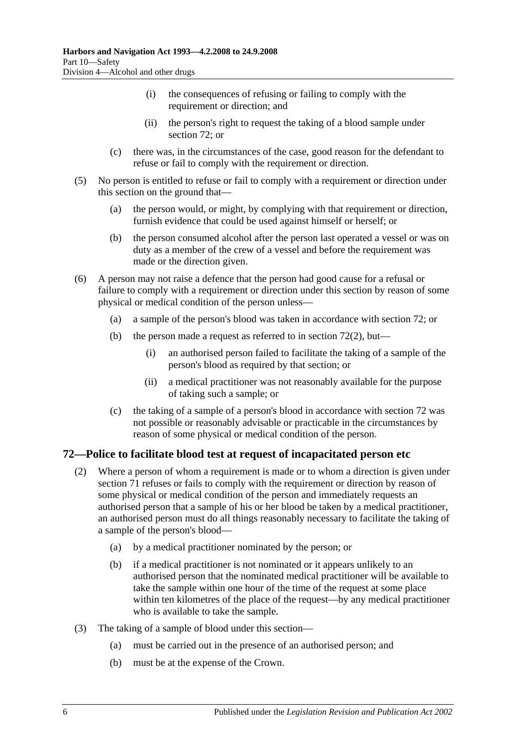- (i) the consequences of refusing or failing to comply with the requirement or direction; and
- (ii) the person's right to request the taking of a blood sample under [section](#page-53-0) 72; or
- (c) there was, in the circumstances of the case, good reason for the defendant to refuse or fail to comply with the requirement or direction.
- (5) No person is entitled to refuse or fail to comply with a requirement or direction under this section on the ground that—
	- (a) the person would, or might, by complying with that requirement or direction, furnish evidence that could be used against himself or herself; or
	- (b) the person consumed alcohol after the person last operated a vessel or was on duty as a member of the crew of a vessel and before the requirement was made or the direction given.
- (6) A person may not raise a defence that the person had good cause for a refusal or failure to comply with a requirement or direction under this section by reason of some physical or medical condition of the person unless—
	- (a) a sample of the person's blood was taken in accordance with [section](#page-53-0) 72; or
	- (b) the person made a request as referred to in [section](#page-53-1)  $72(2)$ , but—
		- (i) an authorised person failed to facilitate the taking of a sample of the person's blood as required by that section; or
		- (ii) a medical practitioner was not reasonably available for the purpose of taking such a sample; or
	- (c) the taking of a sample of a person's blood in accordance with [section](#page-53-0) 72 was not possible or reasonably advisable or practicable in the circumstances by reason of some physical or medical condition of the person.

## <span id="page-53-1"></span><span id="page-53-0"></span>**72—Police to facilitate blood test at request of incapacitated person etc**

- (2) Where a person of whom a requirement is made or to whom a direction is given under [section](#page-52-1) 71 refuses or fails to comply with the requirement or direction by reason of some physical or medical condition of the person and immediately requests an authorised person that a sample of his or her blood be taken by a medical practitioner, an authorised person must do all things reasonably necessary to facilitate the taking of a sample of the person's blood—
	- (a) by a medical practitioner nominated by the person; or
	- (b) if a medical practitioner is not nominated or it appears unlikely to an authorised person that the nominated medical practitioner will be available to take the sample within one hour of the time of the request at some place within ten kilometres of the place of the request—by any medical practitioner who is available to take the sample.
- (3) The taking of a sample of blood under this section—
	- (a) must be carried out in the presence of an authorised person; and
	- (b) must be at the expense of the Crown.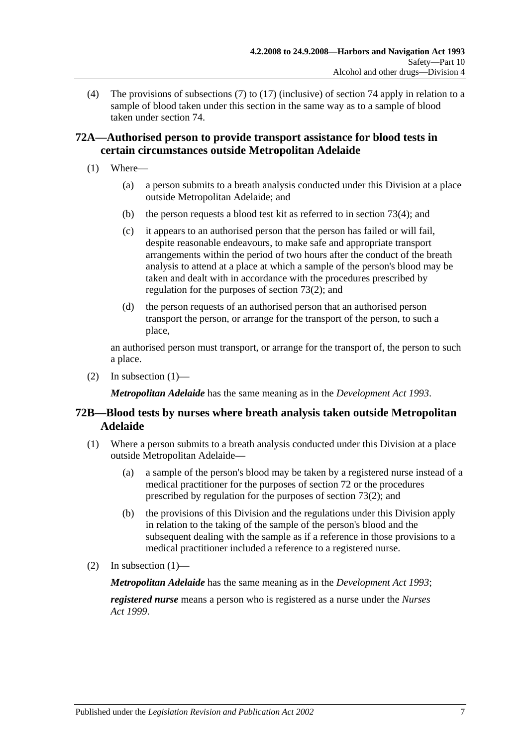(4) The provisions of [subsections](#page-58-0) (7) to [\(17\)](#page-60-0) (inclusive) of [section](#page-58-1) 74 apply in relation to a sample of blood taken under this section in the same way as to a sample of blood taken under [section](#page-58-1) 74.

# **72A—Authorised person to provide transport assistance for blood tests in certain circumstances outside Metropolitan Adelaide**

- <span id="page-54-0"></span>(1) Where—
	- (a) a person submits to a breath analysis conducted under this Division at a place outside Metropolitan Adelaide; and
	- (b) the person requests a blood test kit as referred to in [section](#page-56-0) 73(4); and
	- (c) it appears to an authorised person that the person has failed or will fail, despite reasonable endeavours, to make safe and appropriate transport arrangements within the period of two hours after the conduct of the breath analysis to attend at a place at which a sample of the person's blood may be taken and dealt with in accordance with the procedures prescribed by regulation for the purposes of [section](#page-55-0) 73(2); and
	- (d) the person requests of an authorised person that an authorised person transport the person, or arrange for the transport of the person, to such a place,

an authorised person must transport, or arrange for the transport of, the person to such a place.

(2) In [subsection](#page-54-0)  $(1)$ —

*Metropolitan Adelaide* has the same meaning as in the *[Development Act](http://www.legislation.sa.gov.au/index.aspx?action=legref&type=act&legtitle=Development%20Act%201993) 1993*.

# **72B—Blood tests by nurses where breath analysis taken outside Metropolitan Adelaide**

- <span id="page-54-1"></span>(1) Where a person submits to a breath analysis conducted under this Division at a place outside Metropolitan Adelaide—
	- (a) a sample of the person's blood may be taken by a registered nurse instead of a medical practitioner for the purposes of [section](#page-53-0) 72 or the procedures prescribed by regulation for the purposes of [section](#page-55-0) 73(2); and
	- (b) the provisions of this Division and the regulations under this Division apply in relation to the taking of the sample of the person's blood and the subsequent dealing with the sample as if a reference in those provisions to a medical practitioner included a reference to a registered nurse.
- (2) In [subsection](#page-54-1)  $(1)$ —

*Metropolitan Adelaide* has the same meaning as in the *[Development Act](http://www.legislation.sa.gov.au/index.aspx?action=legref&type=act&legtitle=Development%20Act%201993) 1993*;

*registered nurse* means a person who is registered as a nurse under the *[Nurses](http://www.legislation.sa.gov.au/index.aspx?action=legref&type=act&legtitle=Nurses%20Act%201999)  Act [1999](http://www.legislation.sa.gov.au/index.aspx?action=legref&type=act&legtitle=Nurses%20Act%201999)*.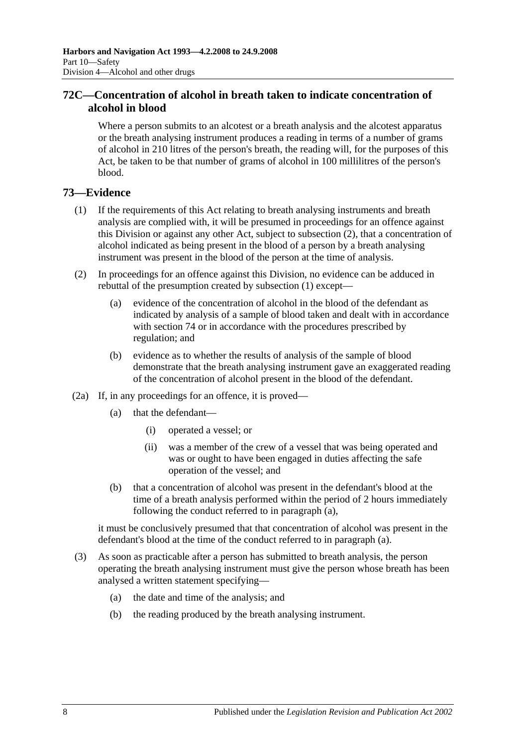# **72C—Concentration of alcohol in breath taken to indicate concentration of alcohol in blood**

Where a person submits to an alcotest or a breath analysis and the alcotest apparatus or the breath analysing instrument produces a reading in terms of a number of grams of alcohol in 210 litres of the person's breath, the reading will, for the purposes of this Act, be taken to be that number of grams of alcohol in 100 millilitres of the person's blood.

# <span id="page-55-1"></span>**73—Evidence**

- (1) If the requirements of this Act relating to breath analysing instruments and breath analysis are complied with, it will be presumed in proceedings for an offence against this Division or against any other Act, subject to [subsection](#page-55-0) (2), that a concentration of alcohol indicated as being present in the blood of a person by a breath analysing instrument was present in the blood of the person at the time of analysis.
- <span id="page-55-0"></span>(2) In proceedings for an offence against this Division, no evidence can be adduced in rebuttal of the presumption created by [subsection](#page-55-1) (1) except—
	- (a) evidence of the concentration of alcohol in the blood of the defendant as indicated by analysis of a sample of blood taken and dealt with in accordance with [section](#page-58-1) 74 or in accordance with the procedures prescribed by regulation; and
	- (b) evidence as to whether the results of analysis of the sample of blood demonstrate that the breath analysing instrument gave an exaggerated reading of the concentration of alcohol present in the blood of the defendant.
- <span id="page-55-2"></span>(2a) If, in any proceedings for an offence, it is proved—
	- (a) that the defendant—
		- (i) operated a vessel; or
		- (ii) was a member of the crew of a vessel that was being operated and was or ought to have been engaged in duties affecting the safe operation of the vessel; and
	- (b) that a concentration of alcohol was present in the defendant's blood at the time of a breath analysis performed within the period of 2 hours immediately following the conduct referred to in [paragraph](#page-55-2) (a),

it must be conclusively presumed that that concentration of alcohol was present in the defendant's blood at the time of the conduct referred to in [paragraph](#page-55-2) (a).

- <span id="page-55-3"></span>(3) As soon as practicable after a person has submitted to breath analysis, the person operating the breath analysing instrument must give the person whose breath has been analysed a written statement specifying—
	- (a) the date and time of the analysis; and
	- (b) the reading produced by the breath analysing instrument.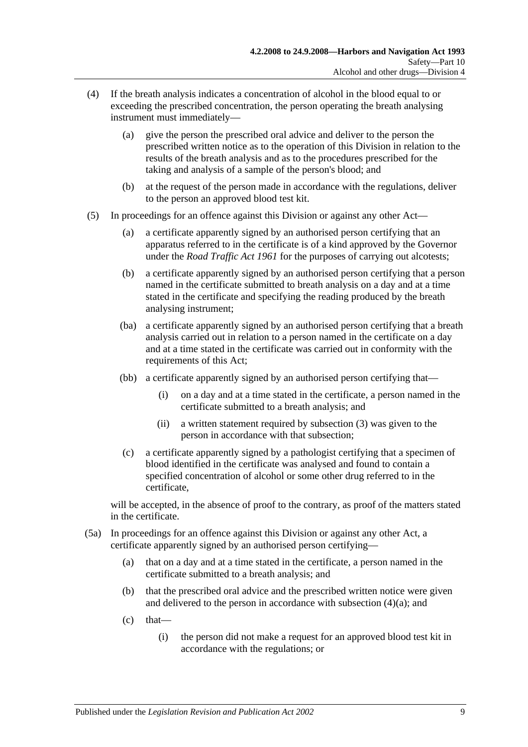- <span id="page-56-1"></span><span id="page-56-0"></span>(4) If the breath analysis indicates a concentration of alcohol in the blood equal to or exceeding the prescribed concentration, the person operating the breath analysing instrument must immediately—
	- (a) give the person the prescribed oral advice and deliver to the person the prescribed written notice as to the operation of this Division in relation to the results of the breath analysis and as to the procedures prescribed for the taking and analysis of a sample of the person's blood; and
	- (b) at the request of the person made in accordance with the regulations, deliver to the person an approved blood test kit.
- <span id="page-56-2"></span>(5) In proceedings for an offence against this Division or against any other Act—
	- (a) a certificate apparently signed by an authorised person certifying that an apparatus referred to in the certificate is of a kind approved by the Governor under the *[Road Traffic Act](http://www.legislation.sa.gov.au/index.aspx?action=legref&type=act&legtitle=Road%20Traffic%20Act%201961) 1961* for the purposes of carrying out alcotests;
	- (b) a certificate apparently signed by an authorised person certifying that a person named in the certificate submitted to breath analysis on a day and at a time stated in the certificate and specifying the reading produced by the breath analysing instrument;
	- (ba) a certificate apparently signed by an authorised person certifying that a breath analysis carried out in relation to a person named in the certificate on a day and at a time stated in the certificate was carried out in conformity with the requirements of this Act;
	- (bb) a certificate apparently signed by an authorised person certifying that—
		- (i) on a day and at a time stated in the certificate, a person named in the certificate submitted to a breath analysis; and
		- (ii) a written statement required by [subsection](#page-55-3) (3) was given to the person in accordance with that subsection;
	- (c) a certificate apparently signed by a pathologist certifying that a specimen of blood identified in the certificate was analysed and found to contain a specified concentration of alcohol or some other drug referred to in the certificate,

will be accepted, in the absence of proof to the contrary, as proof of the matters stated in the certificate.

- (5a) In proceedings for an offence against this Division or against any other Act, a certificate apparently signed by an authorised person certifying—
	- (a) that on a day and at a time stated in the certificate, a person named in the certificate submitted to a breath analysis; and
	- (b) that the prescribed oral advice and the prescribed written notice were given and delivered to the person in accordance with [subsection](#page-56-1) (4)(a); and
	- $(c)$  that—
		- (i) the person did not make a request for an approved blood test kit in accordance with the regulations; or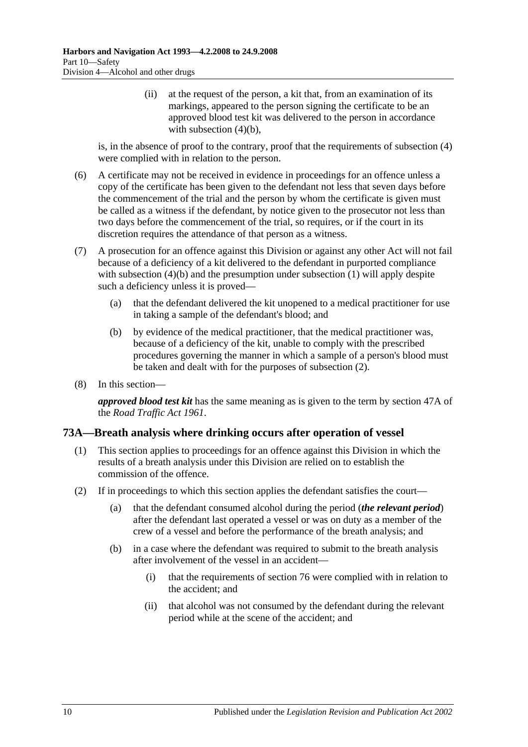(ii) at the request of the person, a kit that, from an examination of its markings, appeared to the person signing the certificate to be an approved blood test kit was delivered to the person in accordance with [subsection](#page-56-2)  $(4)(b)$ ,

is, in the absence of proof to the contrary, proof that the requirements of [subsection](#page-56-0) (4) were complied with in relation to the person.

- (6) A certificate may not be received in evidence in proceedings for an offence unless a copy of the certificate has been given to the defendant not less that seven days before the commencement of the trial and the person by whom the certificate is given must be called as a witness if the defendant, by notice given to the prosecutor not less than two days before the commencement of the trial, so requires, or if the court in its discretion requires the attendance of that person as a witness.
- (7) A prosecution for an offence against this Division or against any other Act will not fail because of a deficiency of a kit delivered to the defendant in purported compliance with [subsection](#page-55-1) (4)(b) and the presumption under subsection (1) will apply despite such a deficiency unless it is proved—
	- (a) that the defendant delivered the kit unopened to a medical practitioner for use in taking a sample of the defendant's blood; and
	- (b) by evidence of the medical practitioner, that the medical practitioner was, because of a deficiency of the kit, unable to comply with the prescribed procedures governing the manner in which a sample of a person's blood must be taken and dealt with for the purposes of [subsection](#page-55-0) (2).
- (8) In this section—

*approved blood test kit* has the same meaning as is given to the term by section 47A of the *[Road Traffic Act](http://www.legislation.sa.gov.au/index.aspx?action=legref&type=act&legtitle=Road%20Traffic%20Act%201961) 1961*.

#### **73A—Breath analysis where drinking occurs after operation of vessel**

- (1) This section applies to proceedings for an offence against this Division in which the results of a breath analysis under this Division are relied on to establish the commission of the offence.
- (2) If in proceedings to which this section applies the defendant satisfies the court—
	- (a) that the defendant consumed alcohol during the period (*the relevant period*) after the defendant last operated a vessel or was on duty as a member of the crew of a vessel and before the performance of the breath analysis; and
	- (b) in a case where the defendant was required to submit to the breath analysis after involvement of the vessel in an accident—
		- (i) that the requirements of [section](#page-62-0) 76 were complied with in relation to the accident; and
		- (ii) that alcohol was not consumed by the defendant during the relevant period while at the scene of the accident; and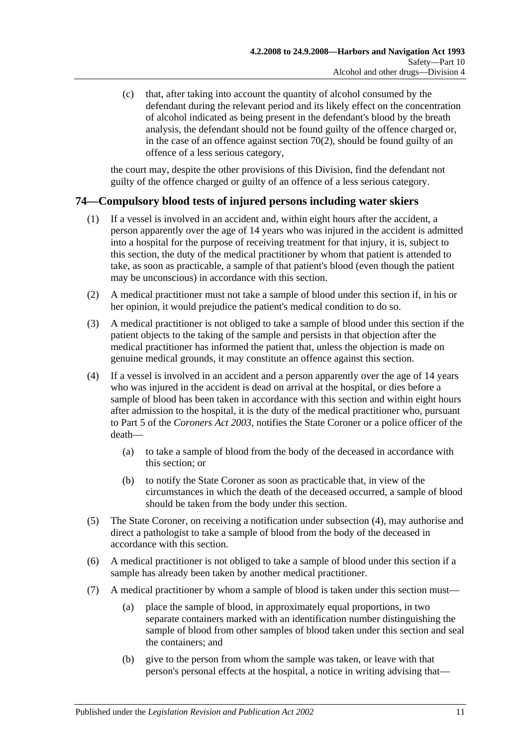(c) that, after taking into account the quantity of alcohol consumed by the defendant during the relevant period and its likely effect on the concentration of alcohol indicated as being present in the defendant's blood by the breath analysis, the defendant should not be found guilty of the offence charged or, in the case of an offence against [section](#page-51-0)  $70(2)$ , should be found guilty of an offence of a less serious category,

the court may, despite the other provisions of this Division, find the defendant not guilty of the offence charged or guilty of an offence of a less serious category.

# <span id="page-58-1"></span>**74—Compulsory blood tests of injured persons including water skiers**

- (1) If a vessel is involved in an accident and, within eight hours after the accident, a person apparently over the age of 14 years who was injured in the accident is admitted into a hospital for the purpose of receiving treatment for that injury, it is, subject to this section, the duty of the medical practitioner by whom that patient is attended to take, as soon as practicable, a sample of that patient's blood (even though the patient may be unconscious) in accordance with this section.
- (2) A medical practitioner must not take a sample of blood under this section if, in his or her opinion, it would prejudice the patient's medical condition to do so.
- (3) A medical practitioner is not obliged to take a sample of blood under this section if the patient objects to the taking of the sample and persists in that objection after the medical practitioner has informed the patient that, unless the objection is made on genuine medical grounds, it may constitute an offence against this section.
- (4) If a vessel is involved in an accident and a person apparently over the age of 14 years who was injured in the accident is dead on arrival at the hospital, or dies before a sample of blood has been taken in accordance with this section and within eight hours after admission to the hospital, it is the duty of the medical practitioner who, pursuant to Part 5 of the *[Coroners Act](http://www.legislation.sa.gov.au/index.aspx?action=legref&type=act&legtitle=Coroners%20Act%202003) 2003*, notifies the State Coroner or a police officer of the death—
	- (a) to take a sample of blood from the body of the deceased in accordance with this section; or
	- (b) to notify the State Coroner as soon as practicable that, in view of the circumstances in which the death of the deceased occurred, a sample of blood should be taken from the body under this section.
- (5) The State Coroner, on receiving a notification under subsection (4), may authorise and direct a pathologist to take a sample of blood from the body of the deceased in accordance with this section.
- (6) A medical practitioner is not obliged to take a sample of blood under this section if a sample has already been taken by another medical practitioner.
- <span id="page-58-0"></span>(7) A medical practitioner by whom a sample of blood is taken under this section must—
	- (a) place the sample of blood, in approximately equal proportions, in two separate containers marked with an identification number distinguishing the sample of blood from other samples of blood taken under this section and seal the containers; and
	- (b) give to the person from whom the sample was taken, or leave with that person's personal effects at the hospital, a notice in writing advising that—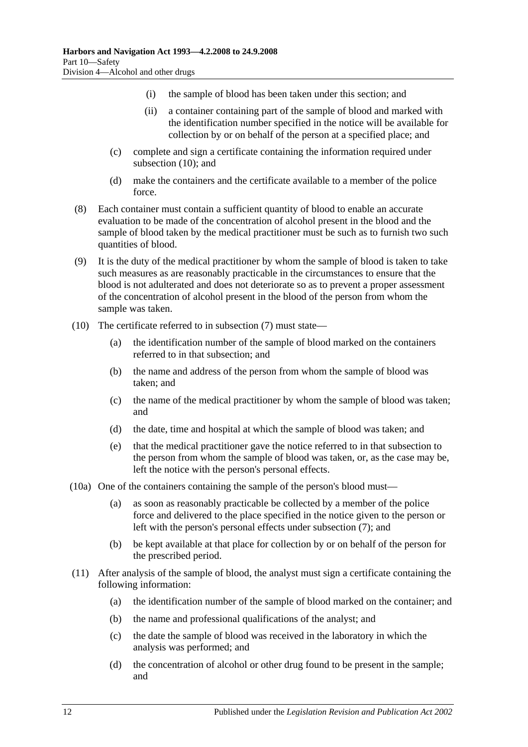- (i) the sample of blood has been taken under this section; and
- (ii) a container containing part of the sample of blood and marked with the identification number specified in the notice will be available for collection by or on behalf of the person at a specified place; and
- (c) complete and sign a certificate containing the information required under [subsection](#page-59-0) (10); and
- (d) make the containers and the certificate available to a member of the police force.
- (8) Each container must contain a sufficient quantity of blood to enable an accurate evaluation to be made of the concentration of alcohol present in the blood and the sample of blood taken by the medical practitioner must be such as to furnish two such quantities of blood.
- (9) It is the duty of the medical practitioner by whom the sample of blood is taken to take such measures as are reasonably practicable in the circumstances to ensure that the blood is not adulterated and does not deteriorate so as to prevent a proper assessment of the concentration of alcohol present in the blood of the person from whom the sample was taken.
- <span id="page-59-0"></span>(10) The certificate referred to in [subsection](#page-58-0) (7) must state—
	- (a) the identification number of the sample of blood marked on the containers referred to in that subsection; and
	- (b) the name and address of the person from whom the sample of blood was taken; and
	- (c) the name of the medical practitioner by whom the sample of blood was taken; and
	- (d) the date, time and hospital at which the sample of blood was taken; and
	- (e) that the medical practitioner gave the notice referred to in that subsection to the person from whom the sample of blood was taken, or, as the case may be, left the notice with the person's personal effects.
- (10a) One of the containers containing the sample of the person's blood must—
	- (a) as soon as reasonably practicable be collected by a member of the police force and delivered to the place specified in the notice given to the person or left with the person's personal effects under [subsection](#page-58-0) (7); and
	- (b) be kept available at that place for collection by or on behalf of the person for the prescribed period.
- (11) After analysis of the sample of blood, the analyst must sign a certificate containing the following information:
	- (a) the identification number of the sample of blood marked on the container; and
	- (b) the name and professional qualifications of the analyst; and
	- (c) the date the sample of blood was received in the laboratory in which the analysis was performed; and
	- (d) the concentration of alcohol or other drug found to be present in the sample; and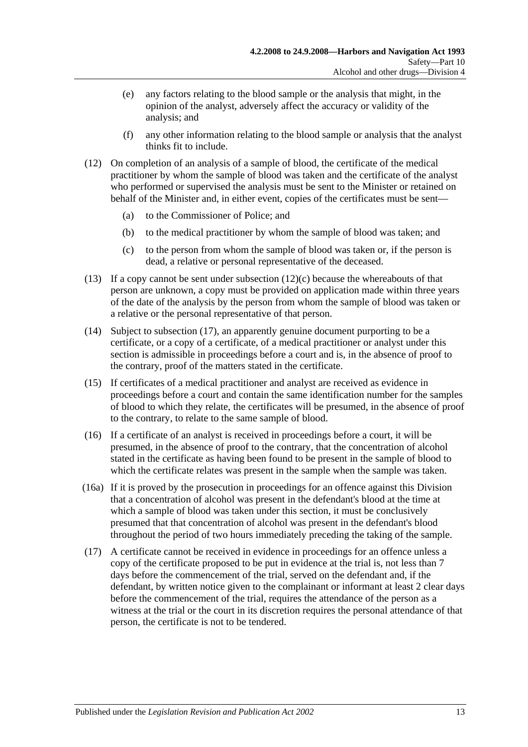- (e) any factors relating to the blood sample or the analysis that might, in the opinion of the analyst, adversely affect the accuracy or validity of the analysis; and
- (f) any other information relating to the blood sample or analysis that the analyst thinks fit to include.
- (12) On completion of an analysis of a sample of blood, the certificate of the medical practitioner by whom the sample of blood was taken and the certificate of the analyst who performed or supervised the analysis must be sent to the Minister or retained on behalf of the Minister and, in either event, copies of the certificates must be sent—
	- (a) to the Commissioner of Police; and
	- (b) to the medical practitioner by whom the sample of blood was taken; and
	- (c) to the person from whom the sample of blood was taken or, if the person is dead, a relative or personal representative of the deceased.
- <span id="page-60-1"></span>(13) If a copy cannot be sent under [subsection](#page-60-1)  $(12)(c)$  because the whereabouts of that person are unknown, a copy must be provided on application made within three years of the date of the analysis by the person from whom the sample of blood was taken or a relative or the personal representative of that person.
- (14) Subject to [subsection](#page-60-0) (17), an apparently genuine document purporting to be a certificate, or a copy of a certificate, of a medical practitioner or analyst under this section is admissible in proceedings before a court and is, in the absence of proof to the contrary, proof of the matters stated in the certificate.
- (15) If certificates of a medical practitioner and analyst are received as evidence in proceedings before a court and contain the same identification number for the samples of blood to which they relate, the certificates will be presumed, in the absence of proof to the contrary, to relate to the same sample of blood.
- (16) If a certificate of an analyst is received in proceedings before a court, it will be presumed, in the absence of proof to the contrary, that the concentration of alcohol stated in the certificate as having been found to be present in the sample of blood to which the certificate relates was present in the sample when the sample was taken.
- (16a) If it is proved by the prosecution in proceedings for an offence against this Division that a concentration of alcohol was present in the defendant's blood at the time at which a sample of blood was taken under this section, it must be conclusively presumed that that concentration of alcohol was present in the defendant's blood throughout the period of two hours immediately preceding the taking of the sample.
- <span id="page-60-0"></span>(17) A certificate cannot be received in evidence in proceedings for an offence unless a copy of the certificate proposed to be put in evidence at the trial is, not less than 7 days before the commencement of the trial, served on the defendant and, if the defendant, by written notice given to the complainant or informant at least 2 clear days before the commencement of the trial, requires the attendance of the person as a witness at the trial or the court in its discretion requires the personal attendance of that person, the certificate is not to be tendered.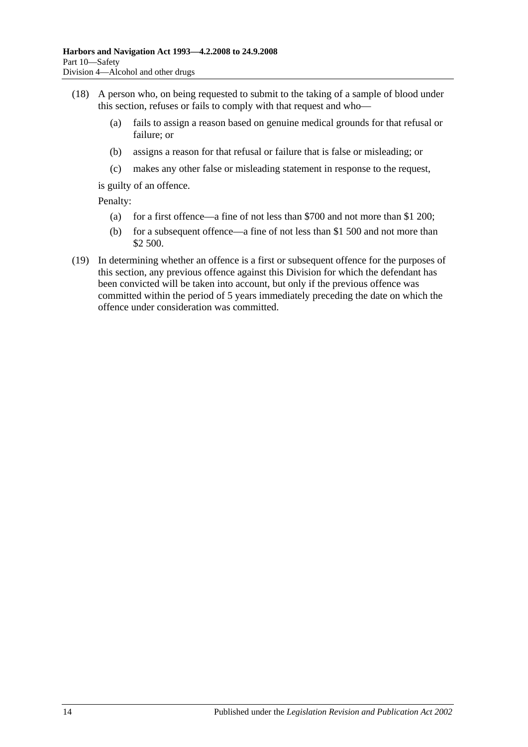- (18) A person who, on being requested to submit to the taking of a sample of blood under this section, refuses or fails to comply with that request and who—
	- (a) fails to assign a reason based on genuine medical grounds for that refusal or failure; or
	- (b) assigns a reason for that refusal or failure that is false or misleading; or
	- (c) makes any other false or misleading statement in response to the request,

is guilty of an offence.

Penalty:

- (a) for a first offence—a fine of not less than \$700 and not more than \$1 200;
- (b) for a subsequent offence—a fine of not less than \$1 500 and not more than \$2 500.
- (19) In determining whether an offence is a first or subsequent offence for the purposes of this section, any previous offence against this Division for which the defendant has been convicted will be taken into account, but only if the previous offence was committed within the period of 5 years immediately preceding the date on which the offence under consideration was committed.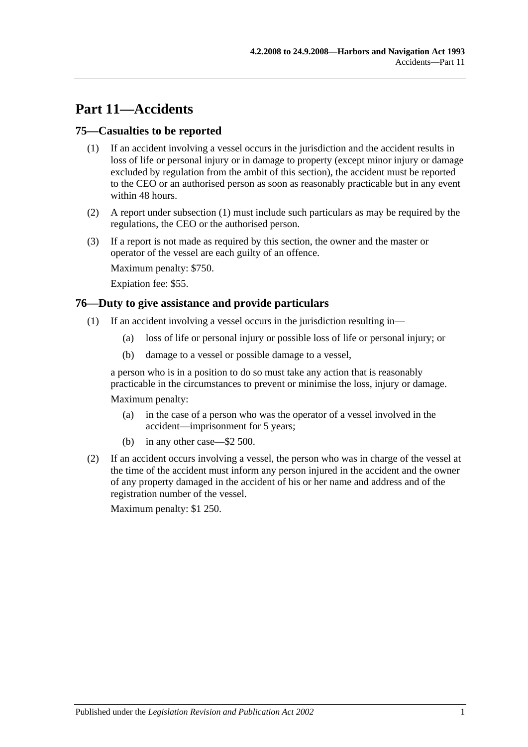# **Part 11—Accidents**

## <span id="page-62-1"></span>**75—Casualties to be reported**

- (1) If an accident involving a vessel occurs in the jurisdiction and the accident results in loss of life or personal injury or in damage to property (except minor injury or damage excluded by regulation from the ambit of this section), the accident must be reported to the CEO or an authorised person as soon as reasonably practicable but in any event within 48 hours.
- (2) A report under [subsection](#page-62-1) (1) must include such particulars as may be required by the regulations, the CEO or the authorised person.
- (3) If a report is not made as required by this section, the owner and the master or operator of the vessel are each guilty of an offence.

Maximum penalty: \$750.

Expiation fee: \$55.

### <span id="page-62-0"></span>**76—Duty to give assistance and provide particulars**

- (1) If an accident involving a vessel occurs in the jurisdiction resulting in—
	- (a) loss of life or personal injury or possible loss of life or personal injury; or
	- (b) damage to a vessel or possible damage to a vessel,

a person who is in a position to do so must take any action that is reasonably practicable in the circumstances to prevent or minimise the loss, injury or damage.

Maximum penalty:

- (a) in the case of a person who was the operator of a vessel involved in the accident—imprisonment for 5 years;
- (b) in any other case—\$2 500.
- (2) If an accident occurs involving a vessel, the person who was in charge of the vessel at the time of the accident must inform any person injured in the accident and the owner of any property damaged in the accident of his or her name and address and of the registration number of the vessel.

Maximum penalty: \$1 250.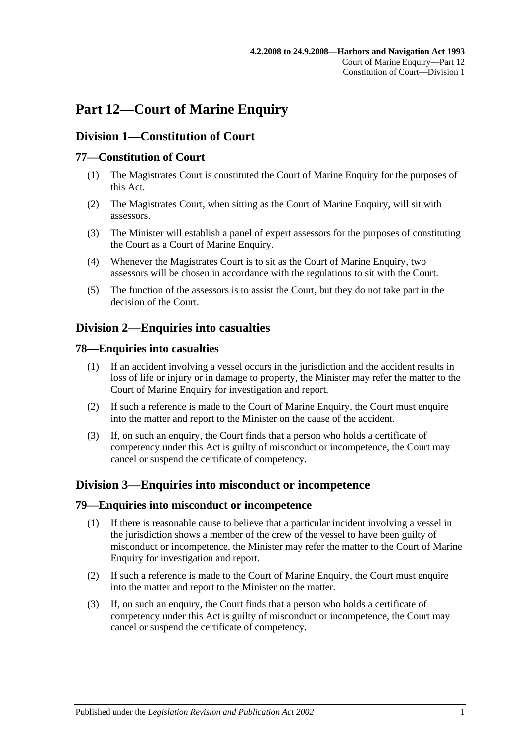# **Part 12—Court of Marine Enquiry**

# **Division 1—Constitution of Court**

# **77—Constitution of Court**

- (1) The Magistrates Court is constituted the Court of Marine Enquiry for the purposes of this Act.
- (2) The Magistrates Court, when sitting as the Court of Marine Enquiry, will sit with assessors.
- (3) The Minister will establish a panel of expert assessors for the purposes of constituting the Court as a Court of Marine Enquiry.
- (4) Whenever the Magistrates Court is to sit as the Court of Marine Enquiry, two assessors will be chosen in accordance with the regulations to sit with the Court.
- (5) The function of the assessors is to assist the Court, but they do not take part in the decision of the Court.

# **Division 2—Enquiries into casualties**

# **78—Enquiries into casualties**

- (1) If an accident involving a vessel occurs in the jurisdiction and the accident results in loss of life or injury or in damage to property, the Minister may refer the matter to the Court of Marine Enquiry for investigation and report.
- (2) If such a reference is made to the Court of Marine Enquiry, the Court must enquire into the matter and report to the Minister on the cause of the accident.
- (3) If, on such an enquiry, the Court finds that a person who holds a certificate of competency under this Act is guilty of misconduct or incompetence, the Court may cancel or suspend the certificate of competency.

# **Division 3—Enquiries into misconduct or incompetence**

## **79—Enquiries into misconduct or incompetence**

- (1) If there is reasonable cause to believe that a particular incident involving a vessel in the jurisdiction shows a member of the crew of the vessel to have been guilty of misconduct or incompetence, the Minister may refer the matter to the Court of Marine Enquiry for investigation and report.
- (2) If such a reference is made to the Court of Marine Enquiry, the Court must enquire into the matter and report to the Minister on the matter.
- (3) If, on such an enquiry, the Court finds that a person who holds a certificate of competency under this Act is guilty of misconduct or incompetence, the Court may cancel or suspend the certificate of competency.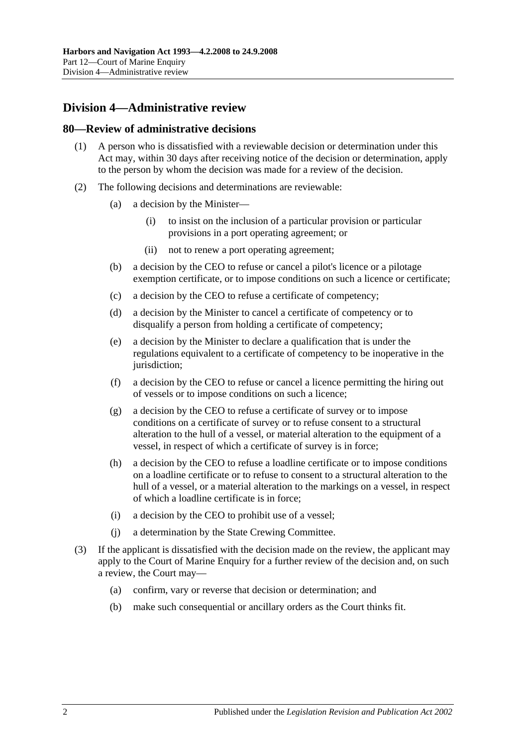# **Division 4—Administrative review**

#### **80—Review of administrative decisions**

- (1) A person who is dissatisfied with a reviewable decision or determination under this Act may, within 30 days after receiving notice of the decision or determination, apply to the person by whom the decision was made for a review of the decision.
- (2) The following decisions and determinations are reviewable:
	- (a) a decision by the Minister—
		- (i) to insist on the inclusion of a particular provision or particular provisions in a port operating agreement; or
		- (ii) not to renew a port operating agreement;
	- (b) a decision by the CEO to refuse or cancel a pilot's licence or a pilotage exemption certificate, or to impose conditions on such a licence or certificate;
	- (c) a decision by the CEO to refuse a certificate of competency;
	- (d) a decision by the Minister to cancel a certificate of competency or to disqualify a person from holding a certificate of competency;
	- (e) a decision by the Minister to declare a qualification that is under the regulations equivalent to a certificate of competency to be inoperative in the jurisdiction:
	- (f) a decision by the CEO to refuse or cancel a licence permitting the hiring out of vessels or to impose conditions on such a licence;
	- (g) a decision by the CEO to refuse a certificate of survey or to impose conditions on a certificate of survey or to refuse consent to a structural alteration to the hull of a vessel, or material alteration to the equipment of a vessel, in respect of which a certificate of survey is in force;
	- (h) a decision by the CEO to refuse a loadline certificate or to impose conditions on a loadline certificate or to refuse to consent to a structural alteration to the hull of a vessel, or a material alteration to the markings on a vessel, in respect of which a loadline certificate is in force;
	- (i) a decision by the CEO to prohibit use of a vessel;
	- (j) a determination by the State Crewing Committee.
- (3) If the applicant is dissatisfied with the decision made on the review, the applicant may apply to the Court of Marine Enquiry for a further review of the decision and, on such a review, the Court may—
	- (a) confirm, vary or reverse that decision or determination; and
	- (b) make such consequential or ancillary orders as the Court thinks fit.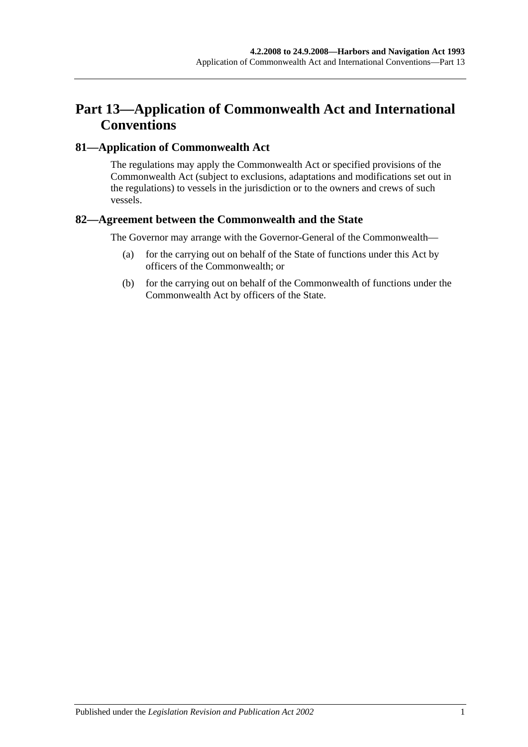# **Part 13—Application of Commonwealth Act and International Conventions**

## **81—Application of Commonwealth Act**

The regulations may apply the Commonwealth Act or specified provisions of the Commonwealth Act (subject to exclusions, adaptations and modifications set out in the regulations) to vessels in the jurisdiction or to the owners and crews of such vessels.

## **82—Agreement between the Commonwealth and the State**

The Governor may arrange with the Governor-General of the Commonwealth—

- (a) for the carrying out on behalf of the State of functions under this Act by officers of the Commonwealth; or
- (b) for the carrying out on behalf of the Commonwealth of functions under the Commonwealth Act by officers of the State.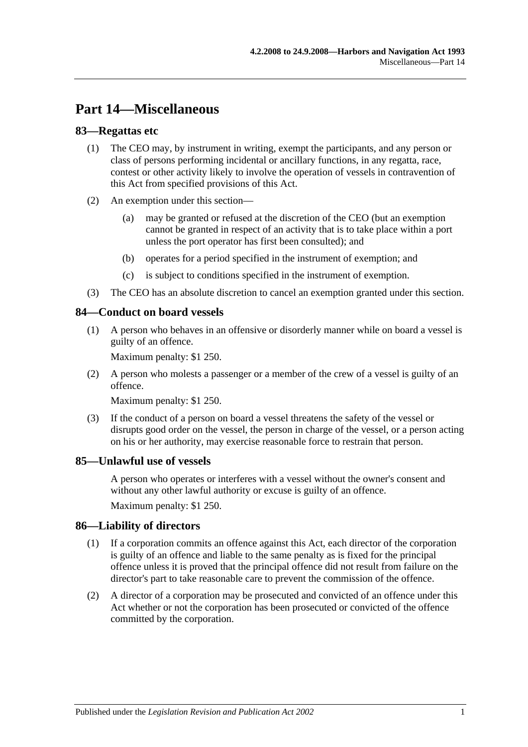# **Part 14—Miscellaneous**

### **83—Regattas etc**

- (1) The CEO may, by instrument in writing, exempt the participants, and any person or class of persons performing incidental or ancillary functions, in any regatta, race, contest or other activity likely to involve the operation of vessels in contravention of this Act from specified provisions of this Act.
- (2) An exemption under this section—
	- (a) may be granted or refused at the discretion of the CEO (but an exemption cannot be granted in respect of an activity that is to take place within a port unless the port operator has first been consulted); and
	- (b) operates for a period specified in the instrument of exemption; and
	- (c) is subject to conditions specified in the instrument of exemption.
- (3) The CEO has an absolute discretion to cancel an exemption granted under this section.

#### **84—Conduct on board vessels**

(1) A person who behaves in an offensive or disorderly manner while on board a vessel is guilty of an offence.

Maximum penalty: \$1 250.

(2) A person who molests a passenger or a member of the crew of a vessel is guilty of an offence.

Maximum penalty: \$1 250.

(3) If the conduct of a person on board a vessel threatens the safety of the vessel or disrupts good order on the vessel, the person in charge of the vessel, or a person acting on his or her authority, may exercise reasonable force to restrain that person.

#### **85—Unlawful use of vessels**

A person who operates or interferes with a vessel without the owner's consent and without any other lawful authority or excuse is guilty of an offence.

Maximum penalty: \$1 250.

#### **86—Liability of directors**

- (1) If a corporation commits an offence against this Act, each director of the corporation is guilty of an offence and liable to the same penalty as is fixed for the principal offence unless it is proved that the principal offence did not result from failure on the director's part to take reasonable care to prevent the commission of the offence.
- (2) A director of a corporation may be prosecuted and convicted of an offence under this Act whether or not the corporation has been prosecuted or convicted of the offence committed by the corporation.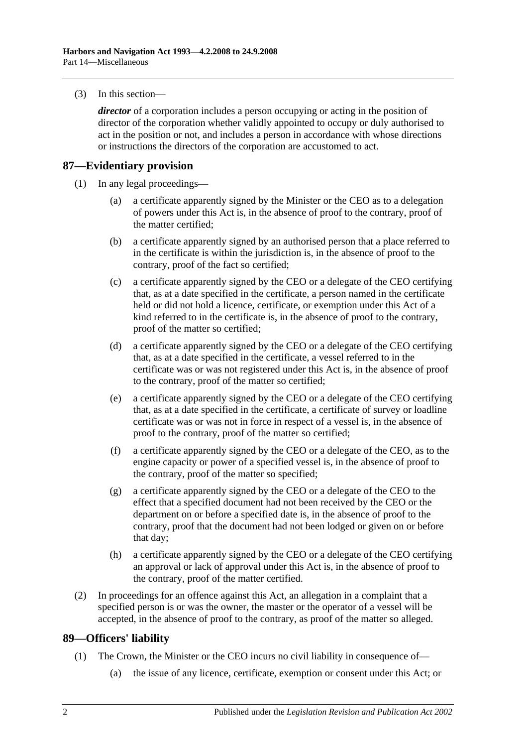(3) In this section—

*director* of a corporation includes a person occupying or acting in the position of director of the corporation whether validly appointed to occupy or duly authorised to act in the position or not, and includes a person in accordance with whose directions or instructions the directors of the corporation are accustomed to act.

## **87—Evidentiary provision**

- (1) In any legal proceedings—
	- (a) a certificate apparently signed by the Minister or the CEO as to a delegation of powers under this Act is, in the absence of proof to the contrary, proof of the matter certified;
	- (b) a certificate apparently signed by an authorised person that a place referred to in the certificate is within the jurisdiction is, in the absence of proof to the contrary, proof of the fact so certified;
	- (c) a certificate apparently signed by the CEO or a delegate of the CEO certifying that, as at a date specified in the certificate, a person named in the certificate held or did not hold a licence, certificate, or exemption under this Act of a kind referred to in the certificate is, in the absence of proof to the contrary, proof of the matter so certified;
	- (d) a certificate apparently signed by the CEO or a delegate of the CEO certifying that, as at a date specified in the certificate, a vessel referred to in the certificate was or was not registered under this Act is, in the absence of proof to the contrary, proof of the matter so certified;
	- (e) a certificate apparently signed by the CEO or a delegate of the CEO certifying that, as at a date specified in the certificate, a certificate of survey or loadline certificate was or was not in force in respect of a vessel is, in the absence of proof to the contrary, proof of the matter so certified;
	- (f) a certificate apparently signed by the CEO or a delegate of the CEO, as to the engine capacity or power of a specified vessel is, in the absence of proof to the contrary, proof of the matter so specified;
	- (g) a certificate apparently signed by the CEO or a delegate of the CEO to the effect that a specified document had not been received by the CEO or the department on or before a specified date is, in the absence of proof to the contrary, proof that the document had not been lodged or given on or before that day;
	- (h) a certificate apparently signed by the CEO or a delegate of the CEO certifying an approval or lack of approval under this Act is, in the absence of proof to the contrary, proof of the matter certified.
- (2) In proceedings for an offence against this Act, an allegation in a complaint that a specified person is or was the owner, the master or the operator of a vessel will be accepted, in the absence of proof to the contrary, as proof of the matter so alleged.

## **89—Officers' liability**

- (1) The Crown, the Minister or the CEO incurs no civil liability in consequence of—
	- (a) the issue of any licence, certificate, exemption or consent under this Act; or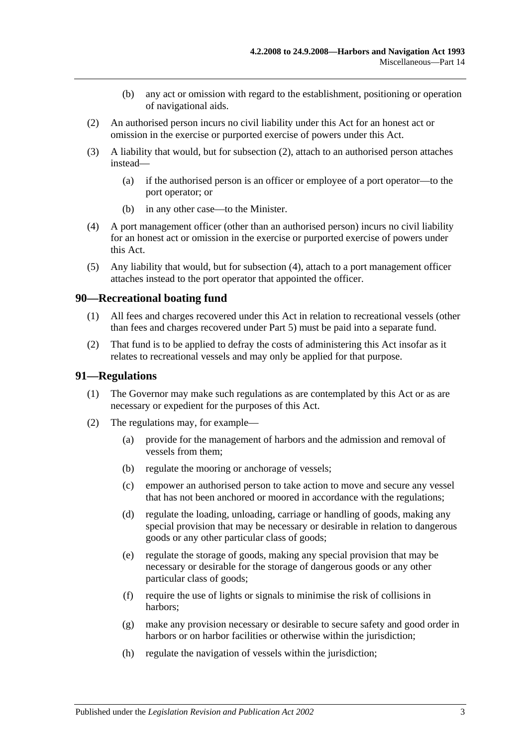- (b) any act or omission with regard to the establishment, positioning or operation of navigational aids.
- <span id="page-70-0"></span>(2) An authorised person incurs no civil liability under this Act for an honest act or omission in the exercise or purported exercise of powers under this Act.
- (3) A liability that would, but for [subsection](#page-70-0) (2), attach to an authorised person attaches instead—
	- (a) if the authorised person is an officer or employee of a port operator—to the port operator; or
	- (b) in any other case—to the Minister.
- <span id="page-70-1"></span>(4) A port management officer (other than an authorised person) incurs no civil liability for an honest act or omission in the exercise or purported exercise of powers under this Act.
- (5) Any liability that would, but for [subsection](#page-70-1) (4), attach to a port management officer attaches instead to the port operator that appointed the officer.

#### **90—Recreational boating fund**

- (1) All fees and charges recovered under this Act in relation to recreational vessels (other than fees and charges recovered under [Part 5\)](#page-22-0) must be paid into a separate fund.
- (2) That fund is to be applied to defray the costs of administering this Act insofar as it relates to recreational vessels and may only be applied for that purpose.

#### **91—Regulations**

- (1) The Governor may make such regulations as are contemplated by this Act or as are necessary or expedient for the purposes of this Act.
- (2) The regulations may, for example—
	- (a) provide for the management of harbors and the admission and removal of vessels from them;
	- (b) regulate the mooring or anchorage of vessels;
	- (c) empower an authorised person to take action to move and secure any vessel that has not been anchored or moored in accordance with the regulations;
	- (d) regulate the loading, unloading, carriage or handling of goods, making any special provision that may be necessary or desirable in relation to dangerous goods or any other particular class of goods;
	- (e) regulate the storage of goods, making any special provision that may be necessary or desirable for the storage of dangerous goods or any other particular class of goods;
	- (f) require the use of lights or signals to minimise the risk of collisions in harbors;
	- (g) make any provision necessary or desirable to secure safety and good order in harbors or on harbor facilities or otherwise within the jurisdiction;
	- (h) regulate the navigation of vessels within the jurisdiction;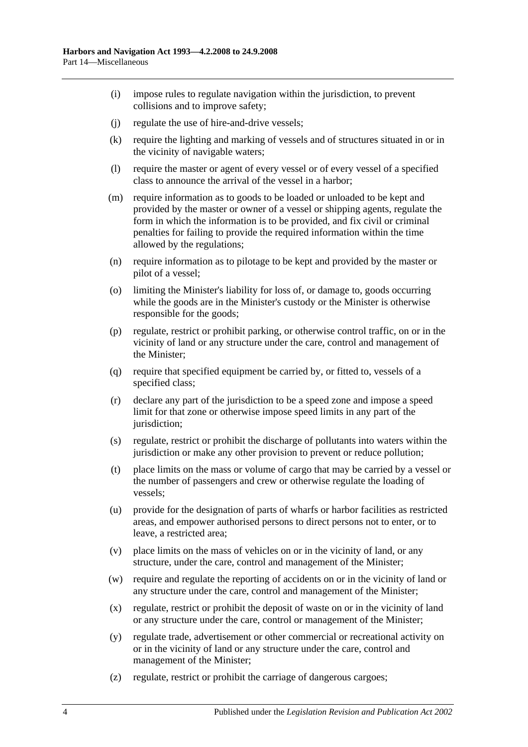- (i) impose rules to regulate navigation within the jurisdiction, to prevent collisions and to improve safety;
- (j) regulate the use of hire-and-drive vessels;
- (k) require the lighting and marking of vessels and of structures situated in or in the vicinity of navigable waters;
- (l) require the master or agent of every vessel or of every vessel of a specified class to announce the arrival of the vessel in a harbor;
- (m) require information as to goods to be loaded or unloaded to be kept and provided by the master or owner of a vessel or shipping agents, regulate the form in which the information is to be provided, and fix civil or criminal penalties for failing to provide the required information within the time allowed by the regulations;
- (n) require information as to pilotage to be kept and provided by the master or pilot of a vessel;
- (o) limiting the Minister's liability for loss of, or damage to, goods occurring while the goods are in the Minister's custody or the Minister is otherwise responsible for the goods;
- (p) regulate, restrict or prohibit parking, or otherwise control traffic, on or in the vicinity of land or any structure under the care, control and management of the Minister;
- (q) require that specified equipment be carried by, or fitted to, vessels of a specified class;
- (r) declare any part of the jurisdiction to be a speed zone and impose a speed limit for that zone or otherwise impose speed limits in any part of the jurisdiction:
- (s) regulate, restrict or prohibit the discharge of pollutants into waters within the jurisdiction or make any other provision to prevent or reduce pollution;
- (t) place limits on the mass or volume of cargo that may be carried by a vessel or the number of passengers and crew or otherwise regulate the loading of vessels;
- (u) provide for the designation of parts of wharfs or harbor facilities as restricted areas, and empower authorised persons to direct persons not to enter, or to leave, a restricted area;
- (v) place limits on the mass of vehicles on or in the vicinity of land, or any structure, under the care, control and management of the Minister;
- (w) require and regulate the reporting of accidents on or in the vicinity of land or any structure under the care, control and management of the Minister;
- (x) regulate, restrict or prohibit the deposit of waste on or in the vicinity of land or any structure under the care, control or management of the Minister;
- (y) regulate trade, advertisement or other commercial or recreational activity on or in the vicinity of land or any structure under the care, control and management of the Minister;
- (z) regulate, restrict or prohibit the carriage of dangerous cargoes;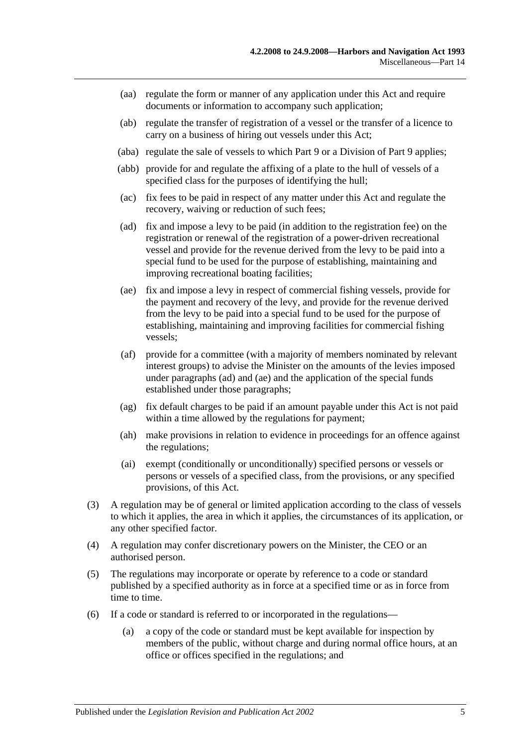- (aa) regulate the form or manner of any application under this Act and require documents or information to accompany such application;
- (ab) regulate the transfer of registration of a vessel or the transfer of a licence to carry on a business of hiring out vessels under this Act;
- (aba) regulate the sale of vessels to which [Part 9](#page-42-0) or a Division of [Part 9](#page-42-0) applies;
- (abb) provide for and regulate the affixing of a plate to the hull of vessels of a specified class for the purposes of identifying the hull;
- (ac) fix fees to be paid in respect of any matter under this Act and regulate the recovery, waiving or reduction of such fees;
- <span id="page-72-0"></span>(ad) fix and impose a levy to be paid (in addition to the registration fee) on the registration or renewal of the registration of a power-driven recreational vessel and provide for the revenue derived from the levy to be paid into a special fund to be used for the purpose of establishing, maintaining and improving recreational boating facilities;
- <span id="page-72-1"></span>(ae) fix and impose a levy in respect of commercial fishing vessels, provide for the payment and recovery of the levy, and provide for the revenue derived from the levy to be paid into a special fund to be used for the purpose of establishing, maintaining and improving facilities for commercial fishing vessels;
- (af) provide for a committee (with a majority of members nominated by relevant interest groups) to advise the Minister on the amounts of the levies imposed under [paragraphs](#page-72-0) (ad) and [\(ae\)](#page-72-1) and the application of the special funds established under those paragraphs;
- (ag) fix default charges to be paid if an amount payable under this Act is not paid within a time allowed by the regulations for payment;
- (ah) make provisions in relation to evidence in proceedings for an offence against the regulations;
- (ai) exempt (conditionally or unconditionally) specified persons or vessels or persons or vessels of a specified class, from the provisions, or any specified provisions, of this Act.
- (3) A regulation may be of general or limited application according to the class of vessels to which it applies, the area in which it applies, the circumstances of its application, or any other specified factor.
- (4) A regulation may confer discretionary powers on the Minister, the CEO or an authorised person.
- (5) The regulations may incorporate or operate by reference to a code or standard published by a specified authority as in force at a specified time or as in force from time to time.
- (6) If a code or standard is referred to or incorporated in the regulations—
	- (a) a copy of the code or standard must be kept available for inspection by members of the public, without charge and during normal office hours, at an office or offices specified in the regulations; and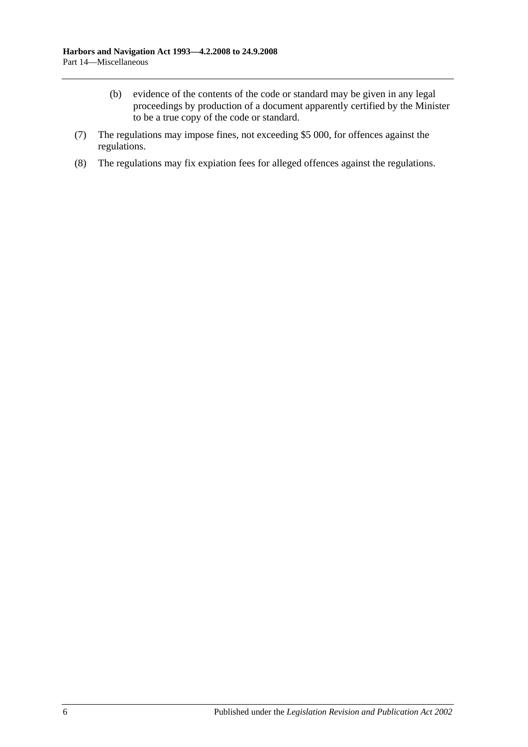- (b) evidence of the contents of the code or standard may be given in any legal proceedings by production of a document apparently certified by the Minister to be a true copy of the code or standard.
- (7) The regulations may impose fines, not exceeding \$5 000, for offences against the regulations.
- (8) The regulations may fix expiation fees for alleged offences against the regulations.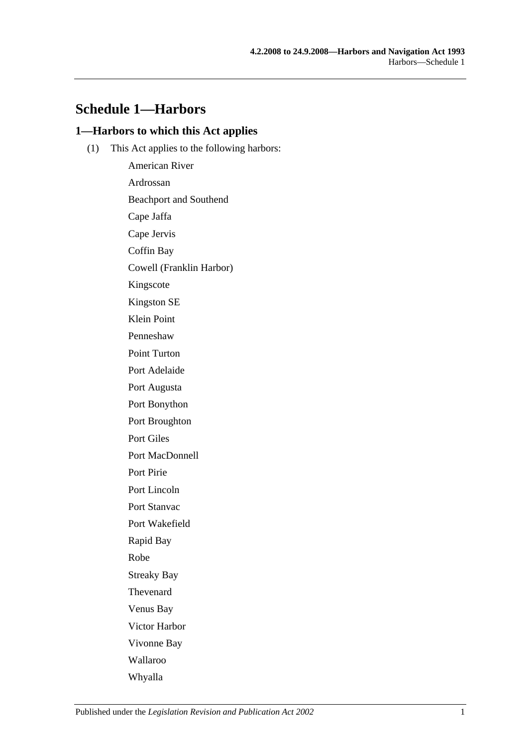# **Schedule 1—Harbors**

### **1—Harbors to which this Act applies**

(1) This Act applies to the following harbors:

American River Ardrossan Beachport and Southend Cape Jaffa Cape Jervis Coffin Bay Cowell (Franklin Harbor) Kingscote Kingston SE Klein Point Penneshaw Point Turton Port Adelaide Port Augusta Port Bonython Port Broughton Port Giles Port MacDonnell Port Pirie Port Lincoln Port Stanvac Port Wakefield Rapid Bay Robe Streaky Bay Thevenard Venus Bay Victor Harbor Vivonne Bay Wallaroo Whyalla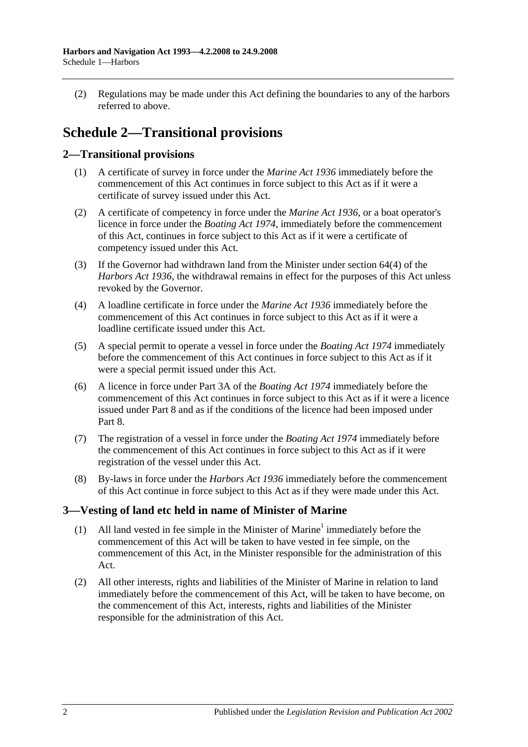(2) Regulations may be made under this Act defining the boundaries to any of the harbors referred to above.

# **Schedule 2—Transitional provisions**

# **2—Transitional provisions**

- (1) A certificate of survey in force under the *[Marine Act](http://www.legislation.sa.gov.au/index.aspx?action=legref&type=act&legtitle=Marine%20Act%201936) 1936* immediately before the commencement of this Act continues in force subject to this Act as if it were a certificate of survey issued under this Act.
- (2) A certificate of competency in force under the *[Marine Act](http://www.legislation.sa.gov.au/index.aspx?action=legref&type=act&legtitle=Marine%20Act%201936) 1936*, or a boat operator's licence in force under the *[Boating Act](http://www.legislation.sa.gov.au/index.aspx?action=legref&type=act&legtitle=Boating%20Act%201974) 1974*, immediately before the commencement of this Act, continues in force subject to this Act as if it were a certificate of competency issued under this Act.
- (3) If the Governor had withdrawn land from the Minister under section 64(4) of the *[Harbors Act](http://www.legislation.sa.gov.au/index.aspx?action=legref&type=act&legtitle=Harbors%20Act%201936) 1936*, the withdrawal remains in effect for the purposes of this Act unless revoked by the Governor.
- (4) A loadline certificate in force under the *[Marine Act](http://www.legislation.sa.gov.au/index.aspx?action=legref&type=act&legtitle=Marine%20Act%201936) 1936* immediately before the commencement of this Act continues in force subject to this Act as if it were a loadline certificate issued under this Act.
- (5) A special permit to operate a vessel in force under the *[Boating Act](http://www.legislation.sa.gov.au/index.aspx?action=legref&type=act&legtitle=Boating%20Act%201974) 1974* immediately before the commencement of this Act continues in force subject to this Act as if it were a special permit issued under this Act.
- (6) A licence in force under Part 3A of the *[Boating Act](http://www.legislation.sa.gov.au/index.aspx?action=legref&type=act&legtitle=Boating%20Act%201974) 1974* immediately before the commencement of this Act continues in force subject to this Act as if it were a licence issued under [Part 8](#page-40-0) and as if the conditions of the licence had been imposed under [Part](#page-40-0) 8.
- (7) The registration of a vessel in force under the *[Boating Act](http://www.legislation.sa.gov.au/index.aspx?action=legref&type=act&legtitle=Boating%20Act%201974) 1974* immediately before the commencement of this Act continues in force subject to this Act as if it were registration of the vessel under this Act.
- (8) By-laws in force under the *[Harbors Act](http://www.legislation.sa.gov.au/index.aspx?action=legref&type=act&legtitle=Harbors%20Act%201936) 1936* immediately before the commencement of this Act continue in force subject to this Act as if they were made under this Act.

# **3—Vesting of land etc held in name of Minister of Marine**

- (1) All land vested in fee simple in the Minister of Marine<sup>1</sup> immediately before the commencement of this Act will be taken to have vested in fee simple, on the commencement of this Act, in the Minister responsible for the administration of this Act.
- (2) All other interests, rights and liabilities of the Minister of Marine in relation to land immediately before the commencement of this Act, will be taken to have become, on the commencement of this Act, interests, rights and liabilities of the Minister responsible for the administration of this Act.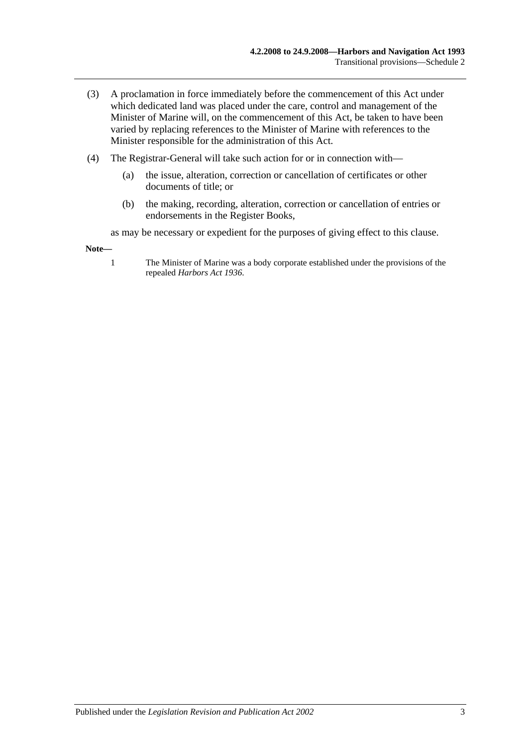- (3) A proclamation in force immediately before the commencement of this Act under which dedicated land was placed under the care, control and management of the Minister of Marine will, on the commencement of this Act, be taken to have been varied by replacing references to the Minister of Marine with references to the Minister responsible for the administration of this Act.
- (4) The Registrar-General will take such action for or in connection with—
	- (a) the issue, alteration, correction or cancellation of certificates or other documents of title; or
	- (b) the making, recording, alteration, correction or cancellation of entries or endorsements in the Register Books,

as may be necessary or expedient for the purposes of giving effect to this clause.

**Note—**

1 The Minister of Marine was a body corporate established under the provisions of the repealed *[Harbors Act](http://www.legislation.sa.gov.au/index.aspx?action=legref&type=act&legtitle=Harbors%20Act%201936) 1936*.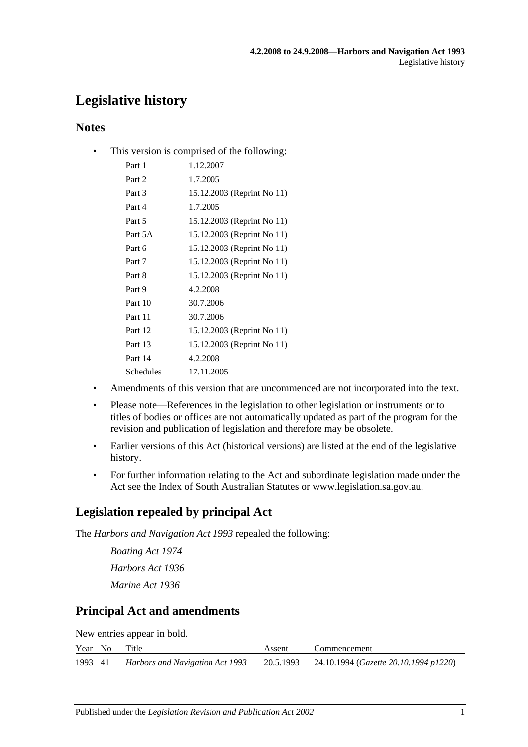# **Legislative history**

# **Notes**

• This version is comprised of the following:

| Part 1    | 1.12.2007                  |
|-----------|----------------------------|
| Part 2    | 1.7.2005                   |
| Part 3    | 15.12.2003 (Reprint No 11) |
| Part 4    | 1.7.2005                   |
| Part 5    | 15.12.2003 (Reprint No 11) |
| Part 5A   | 15.12.2003 (Reprint No 11) |
| Part 6    | 15.12.2003 (Reprint No 11) |
| Part 7    | 15.12.2003 (Reprint No 11) |
| Part 8    | 15.12.2003 (Reprint No 11) |
| Part 9    | 4.2.2008                   |
| Part 10   | 30.7.2006                  |
| Part 11   | 30.7.2006                  |
| Part 12   | 15.12.2003 (Reprint No 11) |
| Part 13   | 15.12.2003 (Reprint No 11) |
| Part 14   | 4.2.2008                   |
| Schedules | 17.11.2005                 |

- Amendments of this version that are uncommenced are not incorporated into the text.
- Please note—References in the legislation to other legislation or instruments or to titles of bodies or offices are not automatically updated as part of the program for the revision and publication of legislation and therefore may be obsolete.
- Earlier versions of this Act (historical versions) are listed at the end of the legislative history.
- For further information relating to the Act and subordinate legislation made under the Act see the Index of South Australian Statutes or www.legislation.sa.gov.au.

# **Legislation repealed by principal Act**

The *Harbors and Navigation Act 1993* repealed the following:

*Boating Act 1974 Harbors Act 1936 Marine Act 1936*

# **Principal Act and amendments**

New entries appear in bold.

|         | Year No Title |                                 | Assent | Commencement                                             |
|---------|---------------|---------------------------------|--------|----------------------------------------------------------|
| 1993 41 |               | Harbors and Navigation Act 1993 |        | 20.5.1993 24.10.1994 ( <i>Gazette 20.10.1994 p1220</i> ) |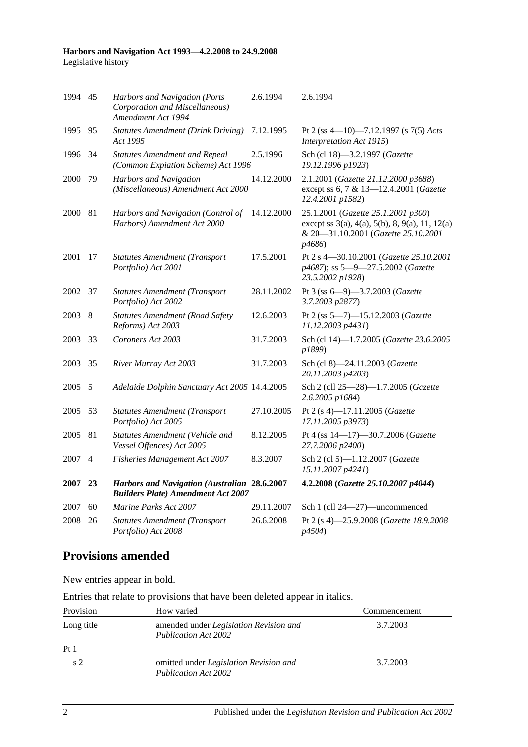#### **Harbors and Navigation Act 1993—4.2.2008 to 24.9.2008** Legislative history

| 1994 45 |                | Harbors and Navigation (Ports<br>Corporation and Miscellaneous)<br>Amendment Act 1994     | 2.6.1994   | 2.6.1994                                                                                                                              |
|---------|----------------|-------------------------------------------------------------------------------------------|------------|---------------------------------------------------------------------------------------------------------------------------------------|
| 1995    | 95             | <b>Statutes Amendment (Drink Driving)</b><br>Act 1995                                     | 7.12.1995  | Pt 2 (ss 4-10)-7.12.1997 (s 7(5) Acts<br>Interpretation Act 1915)                                                                     |
| 1996    | -34            | <b>Statutes Amendment and Repeal</b><br>(Common Expiation Scheme) Act 1996                | 2.5.1996   | Sch (cl 18)-3.2.1997 (Gazette<br>19.12.1996 p1923)                                                                                    |
| 2000    | 79             | Harbors and Navigation<br>(Miscellaneous) Amendment Act 2000                              | 14.12.2000 | 2.1.2001 (Gazette 21.12.2000 p3688)<br>except ss 6, 7 & 13-12.4.2001 (Gazette<br>12.4.2001 p1582)                                     |
| 2000    | 81             | Harbors and Navigation (Control of<br>Harbors) Amendment Act 2000                         | 14.12.2000 | 25.1.2001 (Gazette 25.1.2001 p300)<br>except ss 3(a), 4(a), 5(b), 8, 9(a), 11, 12(a)<br>& 20-31.10.2001 (Gazette 25.10.2001<br>p4686) |
| 2001    | 17             | <b>Statutes Amendment (Transport</b><br>Portfolio) Act 2001                               | 17.5.2001  | Pt 2 s 4-30.10.2001 (Gazette 25.10.2001<br>p4687); ss 5-9-27.5.2002 (Gazette<br>23.5.2002 p1928)                                      |
| 2002    | 37             | <b>Statutes Amendment (Transport</b><br>Portfolio) Act 2002                               | 28.11.2002 | Pt 3 (ss 6-9)-3.7.2003 (Gazette<br>3.7.2003 p2877)                                                                                    |
| 2003    | 8              | <b>Statutes Amendment (Road Safety</b><br>Reforms) Act 2003                               | 12.6.2003  | Pt 2 (ss 5-7)-15.12.2003 (Gazette<br>11.12.2003 p4431)                                                                                |
| 2003    | 33             | Coroners Act 2003                                                                         | 31.7.2003  | Sch (cl 14)-1.7.2005 (Gazette 23.6.2005<br>p1899)                                                                                     |
| 2003    | 35             | River Murray Act 2003                                                                     | 31.7.2003  | Sch (cl 8)-24.11.2003 (Gazette<br>20.11.2003 p4203)                                                                                   |
| 2005    | 5              | Adelaide Dolphin Sanctuary Act 2005 14.4.2005                                             |            | Sch 2 (cll 25-28)-1.7.2005 (Gazette<br>$2.6.2005$ $p1684$ )                                                                           |
| 2005    | 53             | <b>Statutes Amendment (Transport</b><br>Portfolio) Act 2005                               | 27.10.2005 | Pt 2 (s 4)-17.11.2005 (Gazette<br>17.11.2005 p3973)                                                                                   |
| 2005    | 81             | Statutes Amendment (Vehicle and<br>Vessel Offences) Act 2005                              | 8.12.2005  | Pt 4 (ss 14-17)-30.7.2006 (Gazette<br>27.7.2006 p2400)                                                                                |
| 2007    | $\overline{4}$ | <b>Fisheries Management Act 2007</b>                                                      | 8.3.2007   | Sch 2 (cl 5)-1.12.2007 (Gazette<br>15.11.2007 p4241)                                                                                  |
| 2007    | 23             | Harbors and Navigation (Australian 28.6.2007<br><b>Builders Plate) Amendment Act 2007</b> |            | 4.2.2008 (Gazette 25.10.2007 p4044)                                                                                                   |
| 2007    | 60             | Marine Parks Act 2007                                                                     | 29.11.2007 | Sch 1 (cll 24-27)-uncommenced                                                                                                         |
| 2008    | 26             | <b>Statutes Amendment (Transport</b><br>Portfolio) Act 2008                               | 26.6.2008  | Pt 2 (s 4)-25.9.2008 (Gazette 18.9.2008<br>p4504)                                                                                     |

# **Provisions amended**

New entries appear in bold.

Entries that relate to provisions that have been deleted appear in italics.

| Provision       | How varied                                                            | Commencement |
|-----------------|-----------------------------------------------------------------------|--------------|
| Long title      | amended under <i>Legislation Revision and</i><br>Publication Act 2002 | 3.7.2003     |
| Pt <sub>1</sub> |                                                                       |              |
| s <sub>2</sub>  | omitted under Legislation Revision and<br>Publication Act 2002        | 3.7.2003     |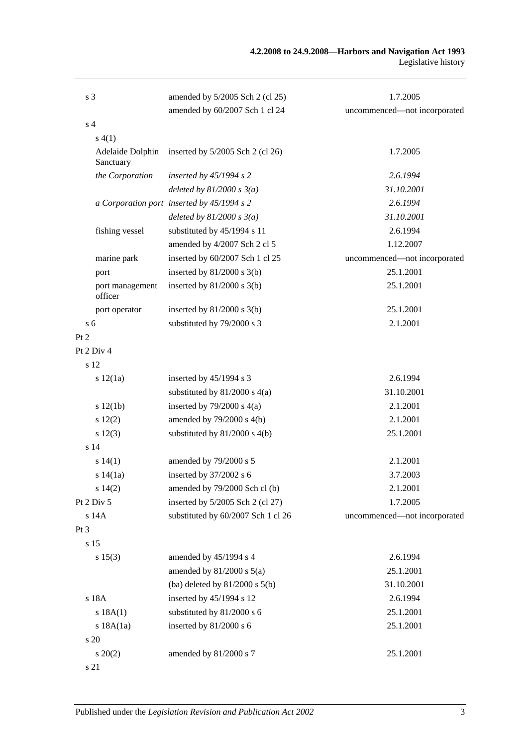| s <sub>3</sub>                | amended by 5/2005 Sch 2 (cl 25)            | 1.7.2005                     |
|-------------------------------|--------------------------------------------|------------------------------|
|                               | amended by 60/2007 Sch 1 cl 24             | uncommenced-not incorporated |
| s <sub>4</sub>                |                                            |                              |
| s(4(1))                       |                                            |                              |
| Adelaide Dolphin<br>Sanctuary | inserted by $5/2005$ Sch 2 (cl 26)         | 1.7.2005                     |
| the Corporation               | inserted by $45/1994 s 2$                  | 2.6.1994                     |
|                               | deleted by $81/2000 s 3(a)$                | 31.10.2001                   |
|                               | a Corporation port inserted by 45/1994 s 2 | 2.6.1994                     |
|                               | deleted by $81/2000 s 3(a)$                | 31.10.2001                   |
| fishing vessel                | substituted by 45/1994 s 11                | 2.6.1994                     |
|                               | amended by 4/2007 Sch 2 cl 5               | 1.12.2007                    |
| marine park                   | inserted by 60/2007 Sch 1 cl 25            | uncommenced-not incorporated |
| port                          | inserted by $81/2000$ s 3(b)               | 25.1.2001                    |
| port management<br>officer    | inserted by $81/2000$ s $3(b)$             | 25.1.2001                    |
| port operator                 | inserted by $81/2000$ s $3(b)$             | 25.1.2001                    |
| s <sub>6</sub>                | substituted by 79/2000 s 3                 | 2.1.2001                     |
| Pt 2                          |                                            |                              |
| Pt 2 Div 4                    |                                            |                              |
| s 12                          |                                            |                              |
| s 12(1a)                      | inserted by $45/1994$ s 3                  | 2.6.1994                     |
|                               | substituted by $81/2000$ s $4(a)$          | 31.10.2001                   |
| s 12(1b)                      | inserted by $79/2000$ s $4(a)$             | 2.1.2001                     |
| 12(2)                         | amended by $79/2000$ s $4(b)$              | 2.1.2001                     |
| s 12(3)                       | substituted by $81/2000$ s $4(b)$          | 25.1.2001                    |
| s <sub>14</sub>               |                                            |                              |
| s 14(1)                       | amended by 79/2000 s 5                     | 2.1.2001                     |
| s 14(1a)                      | inserted by 37/2002 s 6                    | 3.7.2003                     |
| s 14(2)                       | amended by 79/2000 Sch cl (b)              | 2.1.2001                     |
| Pt 2 Div 5                    | inserted by 5/2005 Sch 2 (cl 27)           | 1.7.2005                     |
| s 14A                         | substituted by 60/2007 Sch 1 cl 26         | uncommenced-not incorporated |
| Pt <sub>3</sub>               |                                            |                              |
| s 15                          |                                            |                              |
| s 15(3)                       | amended by 45/1994 s 4                     | 2.6.1994                     |
|                               | amended by $81/2000$ s $5(a)$              | 25.1.2001                    |
|                               | (ba) deleted by $81/2000$ s $5(b)$         | 31.10.2001                   |
| s 18A                         | inserted by 45/1994 s 12                   | 2.6.1994                     |
| s 18A(1)                      | substituted by 81/2000 s 6                 | 25.1.2001                    |
| s 18A(1a)                     | inserted by 81/2000 s 6                    | 25.1.2001                    |
| s 20                          |                                            |                              |
| $s\,20(2)$                    | amended by 81/2000 s 7                     | 25.1.2001                    |
| s 21                          |                                            |                              |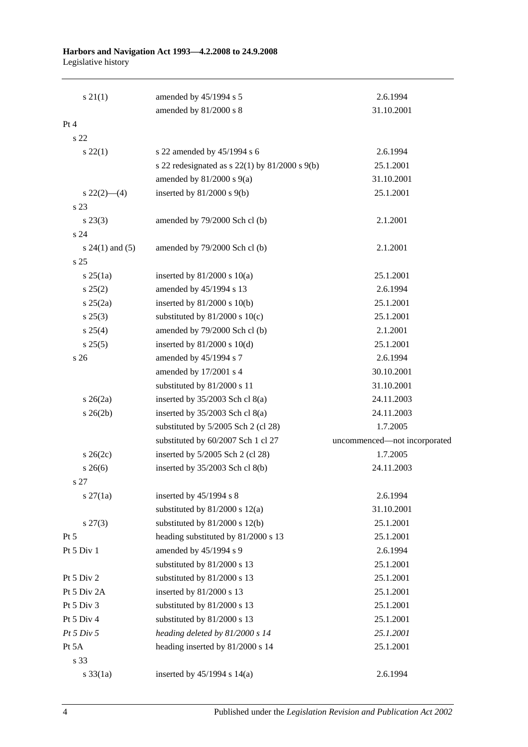#### **Harbors and Navigation Act 1993—4.2.2008 to 24.9.2008** Legislative history

| $s \, 21(1)$        | amended by 45/1994 s 5                               | 2.6.1994                     |
|---------------------|------------------------------------------------------|------------------------------|
|                     | amended by 81/2000 s 8                               | 31.10.2001                   |
| Pt 4                |                                                      |                              |
| s <sub>22</sub>     |                                                      |                              |
| $s\,22(1)$          | s 22 amended by 45/1994 s 6                          | 2.6.1994                     |
|                     | s 22 redesignated as s $22(1)$ by $81/2000$ s $9(b)$ | 25.1.2001                    |
|                     | amended by $81/2000$ s $9(a)$                        | 31.10.2001                   |
| $s\,22(2)$ —(4)     | inserted by $81/2000$ s $9(b)$                       | 25.1.2001                    |
| s 23                |                                                      |                              |
| $s\,23(3)$          | amended by 79/2000 Sch cl (b)                        | 2.1.2001                     |
| s 24                |                                                      |                              |
| s $24(1)$ and $(5)$ | amended by 79/2000 Sch cl (b)                        | 2.1.2001                     |
| s <sub>25</sub>     |                                                      |                              |
| s 25(1a)            | inserted by $81/2000$ s $10(a)$                      | 25.1.2001                    |
| s 25(2)             | amended by 45/1994 s 13                              | 2.6.1994                     |
| $s \; 25(2a)$       | inserted by $81/2000$ s $10(b)$                      | 25.1.2001                    |
| $s\,25(3)$          | substituted by $81/2000$ s $10(c)$                   | 25.1.2001                    |
| s 25(4)             | amended by 79/2000 Sch cl (b)                        | 2.1.2001                     |
| s 25(5)             | inserted by $81/2000$ s $10(d)$                      | 25.1.2001                    |
| s <sub>26</sub>     | amended by 45/1994 s 7                               | 2.6.1994                     |
|                     | amended by 17/2001 s 4                               | 30.10.2001                   |
|                     | substituted by 81/2000 s 11                          | 31.10.2001                   |
| $s\,26(2a)$         | inserted by $35/2003$ Sch cl $8(a)$                  | 24.11.2003                   |
| $s \; 26(2b)$       | inserted by $35/2003$ Sch cl $8(a)$                  | 24.11.2003                   |
|                     | substituted by 5/2005 Sch 2 (cl 28)                  | 1.7.2005                     |
|                     | substituted by 60/2007 Sch 1 cl 27                   | uncommenced-not incorporated |
| $s \; 26(2c)$       | inserted by 5/2005 Sch 2 (cl 28)                     | 1.7.2005                     |
| $s \; 26(6)$        | inserted by $35/2003$ Sch cl $8(b)$                  | 24.11.2003                   |
| s 27                |                                                      |                              |
| $s \, 27(1a)$       | inserted by $45/1994$ s 8                            | 2.6.1994                     |
|                     | substituted by $81/2000$ s $12(a)$                   | 31.10.2001                   |
| $s\,27(3)$          | substituted by $81/2000$ s $12(b)$                   | 25.1.2001                    |
| Pt 5                | heading substituted by 81/2000 s 13                  | 25.1.2001                    |
| Pt 5 Div 1          | amended by 45/1994 s 9                               | 2.6.1994                     |
|                     | substituted by 81/2000 s 13                          | 25.1.2001                    |
| Pt 5 Div 2          | substituted by 81/2000 s 13                          | 25.1.2001                    |
| Pt 5 Div 2A         | inserted by 81/2000 s 13                             | 25.1.2001                    |
| Pt 5 Div 3          | substituted by 81/2000 s 13                          | 25.1.2001                    |
| Pt 5 Div 4          | substituted by 81/2000 s 13                          | 25.1.2001                    |
| Pt 5 Div 5          | heading deleted by 81/2000 s 14                      | 25.1.2001                    |
| Pt 5A               | heading inserted by 81/2000 s 14                     | 25.1.2001                    |
| s 33                |                                                      |                              |
| $s \frac{33}{1a}$   | inserted by $45/1994$ s $14(a)$                      | 2.6.1994                     |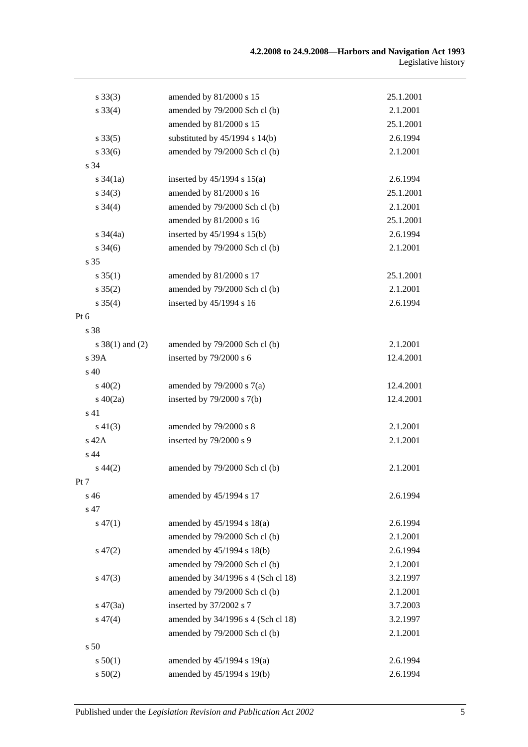| $s \, 33(3)$        | amended by 81/2000 s 15            | 25.1.2001 |
|---------------------|------------------------------------|-----------|
| $s \, 33(4)$        | amended by 79/2000 Sch cl (b)      | 2.1.2001  |
|                     | amended by 81/2000 s 15            | 25.1.2001 |
| $s \, 33(5)$        | substituted by $45/1994$ s $14(b)$ | 2.6.1994  |
| $s \, 33(6)$        | amended by 79/2000 Sch cl (b)      | 2.1.2001  |
| s 34                |                                    |           |
| $s \frac{34}{1a}$   | inserted by $45/1994$ s $15(a)$    | 2.6.1994  |
| $s \; 34(3)$        | amended by 81/2000 s 16            | 25.1.2001 |
| $s \; 34(4)$        | amended by 79/2000 Sch cl (b)      | 2.1.2001  |
|                     | amended by 81/2000 s 16            | 25.1.2001 |
| $s \frac{34}{4a}$   | inserted by 45/1994 s 15(b)        | 2.6.1994  |
| $s \; 34(6)$        | amended by 79/2000 Sch cl (b)      | 2.1.2001  |
| s 35                |                                    |           |
| $s \, 35(1)$        | amended by 81/2000 s 17            | 25.1.2001 |
| $s \, 35(2)$        | amended by 79/2000 Sch cl (b)      | 2.1.2001  |
| $s \; 35(4)$        | inserted by 45/1994 s 16           | 2.6.1994  |
| Pt 6                |                                    |           |
| s 38                |                                    |           |
| $s \ 38(1)$ and (2) | amended by 79/2000 Sch cl (b)      | 2.1.2001  |
| s 39A               | inserted by 79/2000 s 6            | 12.4.2001 |
| s 40                |                                    |           |
| $s\ 40(2)$          | amended by $79/2000$ s $7(a)$      | 12.4.2001 |
| $s\ 40(2a)$         | inserted by $79/2000$ s $7(b)$     | 12.4.2001 |
| s 41                |                                    |           |
| $s\ 41(3)$          | amended by 79/2000 s 8             | 2.1.2001  |
| s 42A               | inserted by 79/2000 s 9            | 2.1.2001  |
| s 44                |                                    |           |
| $s\,44(2)$          | amended by 79/2000 Sch cl (b)      | 2.1.2001  |
| Pt 7                |                                    |           |
| s 46                | amended by 45/1994 s 17            | 2.6.1994  |
| s 47                |                                    |           |
| $s\,47(1)$          | amended by $45/1994$ s $18(a)$     | 2.6.1994  |
|                     | amended by 79/2000 Sch cl (b)      | 2.1.2001  |
| $s\,47(2)$          | amended by 45/1994 s 18(b)         | 2.6.1994  |
|                     | amended by 79/2000 Sch cl (b)      | 2.1.2001  |
| $s\,47(3)$          | amended by 34/1996 s 4 (Sch cl 18) | 3.2.1997  |
|                     | amended by 79/2000 Sch cl (b)      | 2.1.2001  |
| $s\,47(3a)$         | inserted by 37/2002 s 7            | 3.7.2003  |
| $s\,47(4)$          | amended by 34/1996 s 4 (Sch cl 18) | 3.2.1997  |
|                     | amended by 79/2000 Sch cl (b)      | 2.1.2001  |
| s 50                |                                    |           |
| s 50(1)             | amended by 45/1994 s 19(a)         | 2.6.1994  |
| s 50(2)             | amended by 45/1994 s 19(b)         | 2.6.1994  |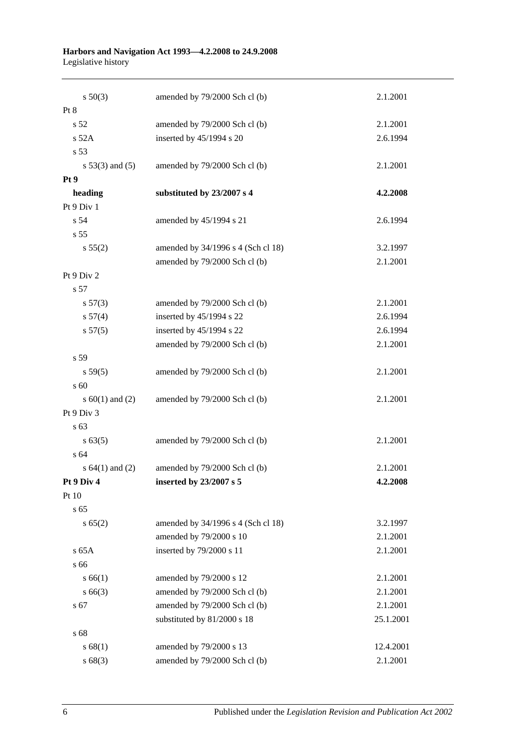#### **Harbors and Navigation Act 1993—4.2.2008 to 24.9.2008** Legislative history

| $s\ 50(3)$          | amended by 79/2000 Sch cl (b)      | 2.1.2001  |
|---------------------|------------------------------------|-----------|
| Pt 8                |                                    |           |
| s <sub>52</sub>     | amended by 79/2000 Sch cl (b)      | 2.1.2001  |
| s 52A               | inserted by 45/1994 s 20           | 2.6.1994  |
| s 53                |                                    |           |
| $s\ 53(3)$ and (5)  | amended by 79/2000 Sch cl (b)      | 2.1.2001  |
| Pt 9                |                                    |           |
| heading             | substituted by 23/2007 s 4         | 4.2.2008  |
| Pt 9 Div 1          |                                    |           |
| s 54                | amended by 45/1994 s 21            | 2.6.1994  |
| s 55                |                                    |           |
| s 55(2)             | amended by 34/1996 s 4 (Sch cl 18) | 3.2.1997  |
|                     | amended by 79/2000 Sch cl (b)      | 2.1.2001  |
| Pt 9 Div 2          |                                    |           |
| s 57                |                                    |           |
| s 57(3)             | amended by 79/2000 Sch cl (b)      | 2.1.2001  |
| s 57(4)             | inserted by 45/1994 s 22           | 2.6.1994  |
| s 57(5)             | inserted by 45/1994 s 22           | 2.6.1994  |
|                     | amended by 79/2000 Sch cl (b)      | 2.1.2001  |
| s 59                |                                    |           |
| s 59(5)             | amended by 79/2000 Sch cl (b)      | 2.1.2001  |
| s 60                |                                    |           |
| s $60(1)$ and $(2)$ | amended by 79/2000 Sch cl (b)      | 2.1.2001  |
| Pt 9 Div 3          |                                    |           |
| s 63                |                                    |           |
| s 63(5)             | amended by 79/2000 Sch cl (b)      | 2.1.2001  |
| s 64                |                                    |           |
| s $64(1)$ and $(2)$ | amended by 79/2000 Sch cl (b)      | 2.1.2001  |
| Pt 9 Div 4          | inserted by $23/2007$ s 5          | 4.2.2008  |
| Pt 10               |                                    |           |
| s 65                |                                    |           |
| s 65(2)             | amended by 34/1996 s 4 (Sch cl 18) | 3.2.1997  |
|                     | amended by 79/2000 s 10            | 2.1.2001  |
| $s$ 65A             | inserted by 79/2000 s 11           | 2.1.2001  |
| s 66                |                                    |           |
| s 66(1)             | amended by 79/2000 s 12            | 2.1.2001  |
| $s\,66(3)$          | amended by 79/2000 Sch cl (b)      | 2.1.2001  |
| s 67                | amended by 79/2000 Sch cl (b)      | 2.1.2001  |
|                     | substituted by 81/2000 s 18        | 25.1.2001 |
| s 68                |                                    |           |
| s 68(1)             | amended by 79/2000 s 13            | 12.4.2001 |
| s68(3)              | amended by 79/2000 Sch cl (b)      | 2.1.2001  |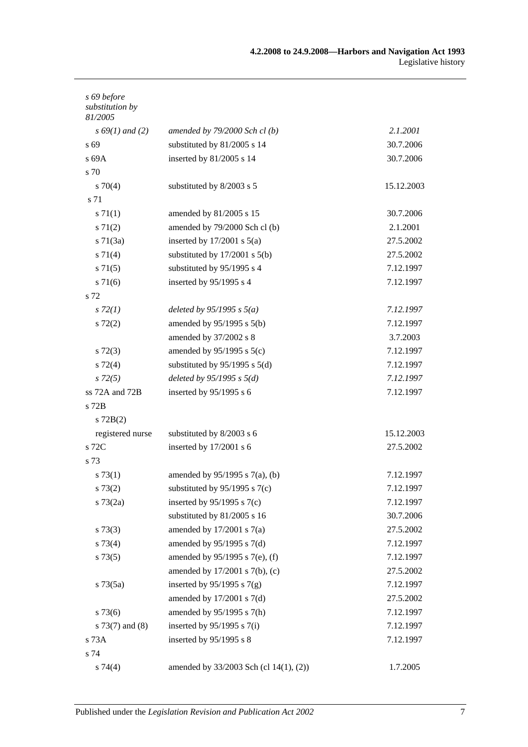| s 69 before<br>substitution by<br>81/2005 |                                        |            |
|-------------------------------------------|----------------------------------------|------------|
| $s\,69(1)$ and (2)                        | amended by $79/2000$ Sch cl (b)        | 2.1.2001   |
| s 69                                      | substituted by 81/2005 s 14            | 30.7.2006  |
| s 69A                                     | inserted by 81/2005 s 14               | 30.7.2006  |
| s 70                                      |                                        |            |
| $s \, 70(4)$                              | substituted by 8/2003 s 5              | 15.12.2003 |
| s 71                                      |                                        |            |
| s 71(1)                                   | amended by 81/2005 s 15                | 30.7.2006  |
| $s \, 71(2)$                              | amended by 79/2000 Sch cl (b)          | 2.1.2001   |
| $s \, 71(3a)$                             | inserted by $17/2001$ s $5(a)$         | 27.5.2002  |
| $s \, 71(4)$                              | substituted by $17/2001$ s $5(b)$      | 27.5.2002  |
| $s \, 71(5)$                              | substituted by 95/1995 s 4             | 7.12.1997  |
| $s \, 71(6)$                              | inserted by $95/1995$ s 4              | 7.12.1997  |
| s 72                                      |                                        |            |
| s 72(1)                                   | deleted by $95/1995$ s $5(a)$          | 7.12.1997  |
| $s\ 72(2)$                                | amended by $95/1995$ s $5(b)$          | 7.12.1997  |
|                                           | amended by 37/2002 s 8                 | 3.7.2003   |
| $s\ 72(3)$                                | amended by $95/1995$ s $5(c)$          | 7.12.1997  |
| $s\,72(4)$                                | substituted by $95/1995$ s $5(d)$      | 7.12.1997  |
| $s\,72(5)$                                | deleted by $95/1995 s 5(d)$            | 7.12.1997  |
| ss 72A and 72B                            | inserted by $95/1995$ s 6              | 7.12.1997  |
| s 72B                                     |                                        |            |
| $s$ 72B(2)                                |                                        |            |
| registered nurse                          | substituted by 8/2003 s 6              | 15.12.2003 |
| s 72C                                     | inserted by 17/2001 s 6                | 27.5.2002  |
| s 73                                      |                                        |            |
| s 73(1)                                   | amended by $95/1995$ s $7(a)$ , (b)    | 7.12.1997  |
| s 73(2)                                   | substituted by $95/1995$ s $7(c)$      | 7.12.1997  |
| $s \, 73(2a)$                             | inserted by $95/1995$ s $7(c)$         | 7.12.1997  |
|                                           | substituted by 81/2005 s 16            | 30.7.2006  |
| $s \, 73(3)$                              | amended by $17/2001$ s $7(a)$          | 27.5.2002  |
| s 73(4)                                   | amended by 95/1995 s 7(d)              | 7.12.1997  |
| s 73(5)                                   | amended by $95/1995$ s 7(e), (f)       | 7.12.1997  |
|                                           | amended by 17/2001 s 7(b), (c)         | 27.5.2002  |
| $s \, 73(5a)$                             | inserted by $95/1995$ s $7(g)$         | 7.12.1997  |
|                                           | amended by $17/2001$ s $7(d)$          | 27.5.2002  |
| $s\,73(6)$                                | amended by 95/1995 s 7(h)              | 7.12.1997  |
| s $73(7)$ and $(8)$                       | inserted by $95/1995$ s $7(i)$         | 7.12.1997  |
| s 73A                                     | inserted by 95/1995 s 8                | 7.12.1997  |
| s 74                                      |                                        |            |
| $s \, 74(4)$                              | amended by 33/2003 Sch (cl 14(1), (2)) | 1.7.2005   |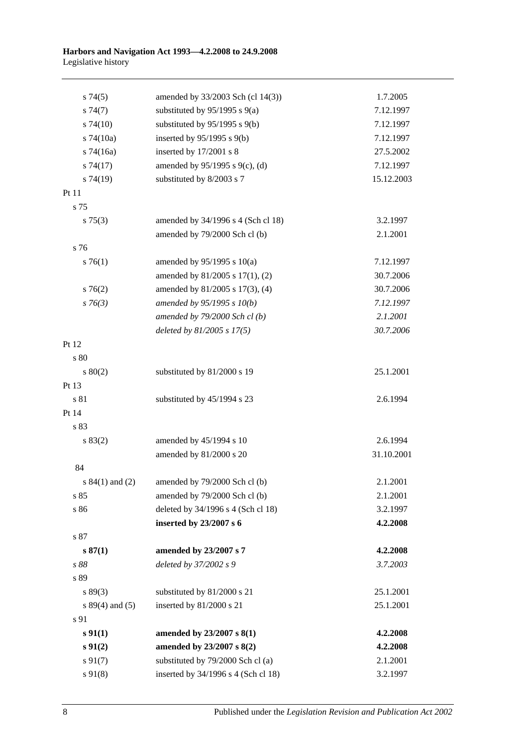| s74(5)            | amended by 33/2003 Sch (cl 14(3))   | 1.7.2005   |
|-------------------|-------------------------------------|------------|
| s74(7)            | substituted by $95/1995$ s $9(a)$   | 7.12.1997  |
| $s\,74(10)$       | substituted by $95/1995$ s $9(b)$   | 7.12.1997  |
| $s$ 74(10a)       | inserted by $95/1995$ s $9(b)$      | 7.12.1997  |
| $s$ 74(16a)       | inserted by 17/2001 s 8             | 27.5.2002  |
| s74(17)           | amended by 95/1995 s 9(c), (d)      | 7.12.1997  |
| s74(19)           | substituted by 8/2003 s 7           | 15.12.2003 |
| Pt 11             |                                     |            |
| s 75              |                                     |            |
| $s \, 75(3)$      | amended by 34/1996 s 4 (Sch cl 18)  | 3.2.1997   |
|                   | amended by 79/2000 Sch cl (b)       | 2.1.2001   |
| s 76              |                                     |            |
| $s \, 76(1)$      | amended by $95/1995$ s $10(a)$      | 7.12.1997  |
|                   | amended by 81/2005 s 17(1), (2)     | 30.7.2006  |
| $s \, 76(2)$      | amended by 81/2005 s 17(3), (4)     | 30.7.2006  |
| $s \, 76(3)$      | amended by $95/1995 s 10(b)$        | 7.12.1997  |
|                   | amended by 79/2000 Sch cl (b)       | 2.1.2001   |
|                   | deleted by $81/2005 s 17(5)$        | 30.7.2006  |
| Pt 12             |                                     |            |
| s 80              |                                     |            |
| 80(2)             | substituted by 81/2000 s 19         | 25.1.2001  |
| Pt 13             |                                     |            |
| s 81              | substituted by 45/1994 s 23         | 2.6.1994   |
| Pt 14             |                                     |            |
| s 83              |                                     |            |
| s 83(2)           | amended by 45/1994 s 10             | 2.6.1994   |
|                   | amended by 81/2000 s 20             | 31.10.2001 |
| 84                |                                     |            |
| s $84(1)$ and (2) | amended by 79/2000 Sch cl (b)       | 2.1.2001   |
| s 85              | amended by 79/2000 Sch cl (b)       | 2.1.2001   |
| s 86              | deleted by 34/1996 s 4 (Sch cl 18)  | 3.2.1997   |
|                   | inserted by 23/2007 s 6             | 4.2.2008   |
| $\sqrt{s}$ 87     |                                     |            |
| s 87(1)           | amended by 23/2007 s 7              | 4.2.2008   |
| s 88              | deleted by 37/2002 s 9              | 3.7.2003   |
| s 89              |                                     |            |
| s 89(3)           | substituted by 81/2000 s 21         | 25.1.2001  |
| $s 89(4)$ and (5) | inserted by 81/2000 s 21            | 25.1.2001  |
| s 91              |                                     |            |
| $s \, 91(1)$      | amended by 23/2007 s 8(1)           | 4.2.2008   |
| $s\,91(2)$        | amended by 23/2007 s 8(2)           | 4.2.2008   |
| $s\,91(7)$        | substituted by 79/2000 Sch cl (a)   | 2.1.2001   |
| $s\,91(8)$        | inserted by 34/1996 s 4 (Sch cl 18) | 3.2.1997   |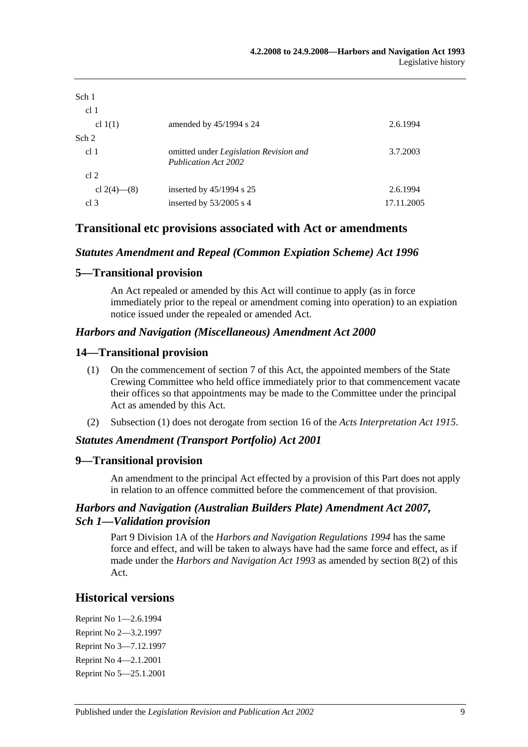| Sch 1<br>cl <sub>1</sub> |                                                                |            |
|--------------------------|----------------------------------------------------------------|------------|
| cl $1(1)$                | amended by $45/1994$ s 24                                      | 2.6.1994   |
| Sch 2                    |                                                                |            |
| cl <sub>1</sub>          | omitted under Legislation Revision and<br>Publication Act 2002 | 3.7.2003   |
| cl 2                     |                                                                |            |
| cl 2(4)–(8)              | inserted by $45/1994$ s 25                                     | 2.6.1994   |
| cl <sub>3</sub>          | inserted by $53/2005$ s 4                                      | 17.11.2005 |

## **Transitional etc provisions associated with Act or amendments**

### *Statutes Amendment and Repeal (Common Expiation Scheme) Act 1996*

### **5—Transitional provision**

An Act repealed or amended by this Act will continue to apply (as in force immediately prior to the repeal or amendment coming into operation) to an expiation notice issued under the repealed or amended Act.

#### *Harbors and Navigation (Miscellaneous) Amendment Act 2000*

### **14—Transitional provision**

- (1) On the commencement of section 7 of this Act, the appointed members of the State Crewing Committee who held office immediately prior to that commencement vacate their offices so that appointments may be made to the Committee under the principal Act as amended by this Act.
- (2) Subsection (1) does not derogate from section 16 of the *[Acts Interpretation Act](http://www.legislation.sa.gov.au/index.aspx?action=legref&type=act&legtitle=Acts%20Interpretation%20Act%201915) 1915*.

### *Statutes Amendment (Transport Portfolio) Act 2001*

### **9—Transitional provision**

An amendment to the principal Act effected by a provision of this Part does not apply in relation to an offence committed before the commencement of that provision.

### *Harbors and Navigation (Australian Builders Plate) Amendment Act 2007, Sch 1—Validation provision*

Part 9 Division 1A of the *[Harbors and Navigation Regulations](http://www.legislation.sa.gov.au/index.aspx?action=legref&type=subordleg&legtitle=Harbors%20and%20Navigation%20Regulations%201994) 1994* has the same force and effect, and will be taken to always have had the same force and effect, as if made under the *[Harbors and Navigation Act](http://www.legislation.sa.gov.au/index.aspx?action=legref&type=act&legtitle=Harbors%20and%20Navigation%20Act%201993) 1993* as amended by section 8(2) of this Act.

## **Historical versions**

Reprint No 1—2.6.1994 Reprint No 2—3.2.1997 Reprint No 3—7.12.1997 Reprint No 4—2.1.2001 Reprint No 5—25.1.2001